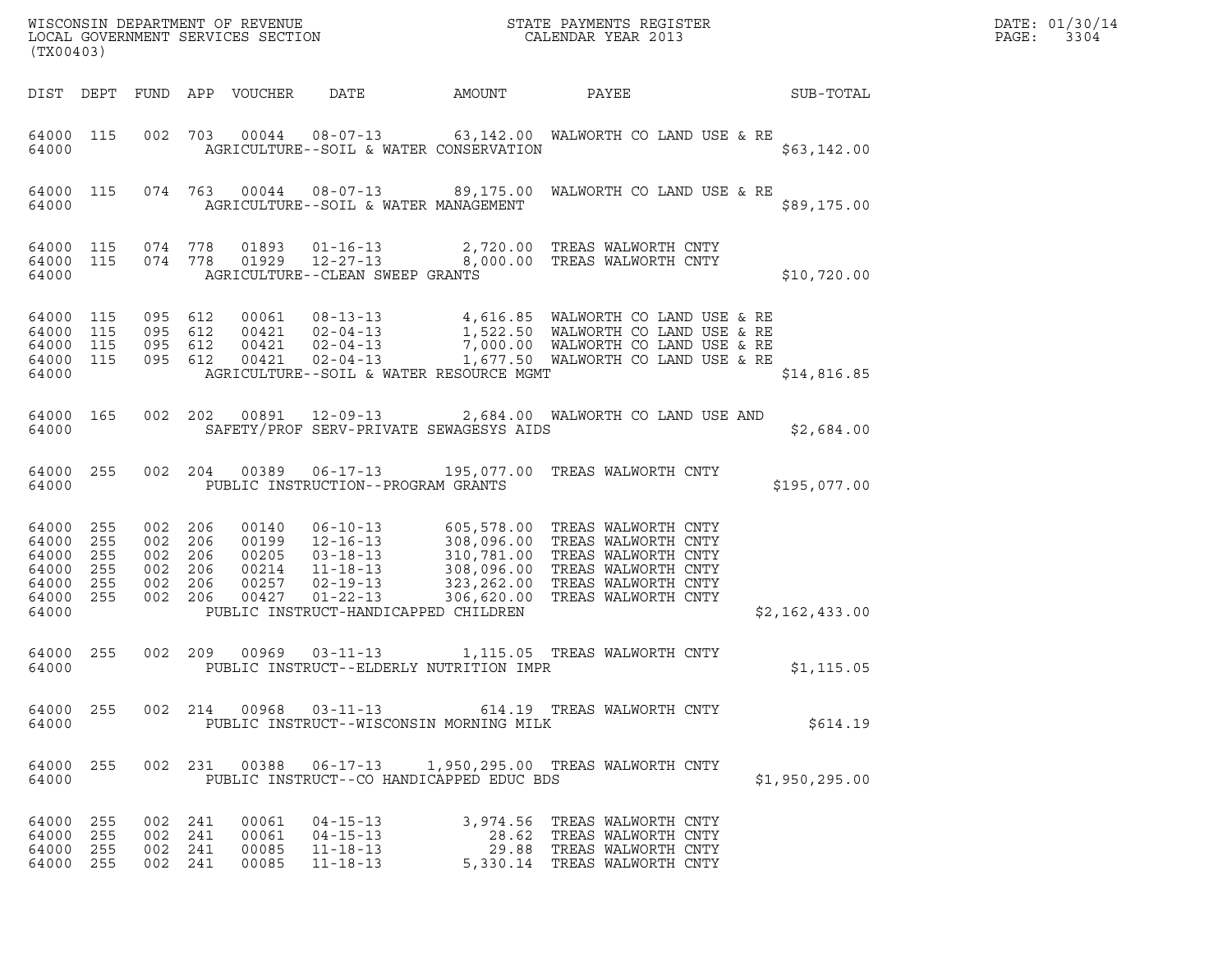| (TX00403)                                                           |                          |                                 |                                            |                                                    | DATE: 01/30/14<br>PAGE:<br>3304                                                                                                                                                              |                                          |                                                                                                                                                                                                          |                |  |
|---------------------------------------------------------------------|--------------------------|---------------------------------|--------------------------------------------|----------------------------------------------------|----------------------------------------------------------------------------------------------------------------------------------------------------------------------------------------------|------------------------------------------|----------------------------------------------------------------------------------------------------------------------------------------------------------------------------------------------------------|----------------|--|
|                                                                     | DIST DEPT                |                                 |                                            | FUND APP VOUCHER                                   | DATE                                                                                                                                                                                         | AMOUNT                                   | PAYEE                                                                                                                                                                                                    | SUB-TOTAL      |  |
| 64000 115<br>64000                                                  |                          |                                 |                                            | 002 703 00044                                      | $08 - 07 - 13$                                                                                                                                                                               | AGRICULTURE--SOIL & WATER CONSERVATION   | 63,142.00 WALWORTH CO LAND USE & RE                                                                                                                                                                      | \$63,142.00    |  |
| 64000 115<br>64000                                                  |                          |                                 |                                            |                                                    | 074 763 00044 08-07-13<br>AGRICULTURE--SOIL & WATER MANAGEMENT                                                                                                                               |                                          | 89,175.00 WALWORTH CO LAND USE & RE                                                                                                                                                                      | \$89,175.00    |  |
| 64000 115<br>64000 115<br>64000                                     |                          | 074 778<br>074 778              |                                            | 01893<br>01929                                     | $01 - 16 - 13$<br>AGRICULTURE--CLEAN SWEEP GRANTS                                                                                                                                            |                                          | 2,720.00 TREAS WALWORTH CNTY<br>12-27-13 8,000.00 TREAS WALWORTH CNTY                                                                                                                                    | \$10,720.00    |  |
| 64000<br>64000<br>64000 115<br>64000 115<br>64000                   | 115<br>115               | 095<br>095                      | 612<br>095 612<br>612<br>095 612           |                                                    |                                                                                                                                                                                              | AGRICULTURE--SOIL & WATER RESOURCE MGMT  |                                                                                                                                                                                                          | \$14,816.85    |  |
| 64000 165<br>64000                                                  |                          |                                 | 002 202                                    |                                                    | 00891 12-09-13                                                                                                                                                                               | SAFETY/PROF SERV-PRIVATE SEWAGESYS AIDS  | 2,684.00 WALWORTH CO LAND USE AND                                                                                                                                                                        | \$2,684.00     |  |
| 64000 255<br>64000                                                  |                          |                                 | 002 204                                    |                                                    | 00389 06-17-13<br>PUBLIC INSTRUCTION--PROGRAM GRANTS                                                                                                                                         |                                          | 195,077.00 TREAS WALWORTH CNTY                                                                                                                                                                           | \$195,077.00   |  |
| 64000<br>64000<br>64000<br>64000<br>64000 255<br>64000 255<br>64000 | 255<br>255<br>255<br>255 | 002<br>002<br>002<br>002<br>002 | 206<br>206<br>206<br>206<br>206<br>002 206 | 00140<br>00199<br>00205<br>00214<br>00257<br>00427 | $06 - 10 - 13$<br>$\begin{array}{l} 12\!-\!16\!-\!13 \\ 03\!-\!18\!-\!13 \\ 11\!-\!18\!-\!13 \\ 02\!-\!19\!-\!13 \\ 01\!-\!22\!-\!13 \\ \end{array}$<br>PUBLIC INSTRUCT-HANDICAPPED CHILDREN |                                          | 605,578.00 TREAS WALWORTH CNTY<br>308,096.00 TREAS WALWORTH CNTY<br>310,781.00 TREAS WALWORTH CNTY<br>308,096.00 TREAS WALWORTH CNTY<br>323,262.00 TREAS WALWORTH CNTY<br>306,620.00 TREAS WALWORTH CNTY | \$2,162,433.00 |  |
| 64000 255<br>64000                                                  |                          | 002                             | 209                                        |                                                    | 00969 03-11-13                                                                                                                                                                               | PUBLIC INSTRUCT--ELDERLY NUTRITION IMPR  | 1,115.05 TREAS WALWORTH CNTY                                                                                                                                                                             | \$1, 115.05    |  |
| 64000                                                               | 64000 255                |                                 |                                            |                                                    |                                                                                                                                                                                              | PUBLIC INSTRUCT--WISCONSIN MORNING MILK  | 002  214  00968  03-11-13   614.19  TREAS WALWORTH CNTY                                                                                                                                                  | \$614.19       |  |
| 64000 255<br>64000                                                  |                          |                                 | 002 231                                    | 00388                                              | 06-17-13                                                                                                                                                                                     | PUBLIC INSTRUCT--CO HANDICAPPED EDUC BDS | 1,950,295.00 TREAS WALWORTH CNTY                                                                                                                                                                         | \$1,950,295.00 |  |
| 64000 255<br>64000 255<br>64000<br>64000 255                        | 255                      | 002                             | 002 241<br>002 241<br>241<br>002 241       | 00061<br>00061<br>00085<br>00085                   | $04 - 15 - 13$<br>$04 - 15 - 13$<br>$11 - 18 - 13$<br>$11 - 18 - 13$                                                                                                                         |                                          | 3,974.56 TREAS WALWORTH CNTY<br>28.62 TREAS WALWORTH CNTY<br>29.88 TREAS WALWORTH CNTY<br>5,330.14 TREAS WALWORTH CNTY                                                                                   |                |  |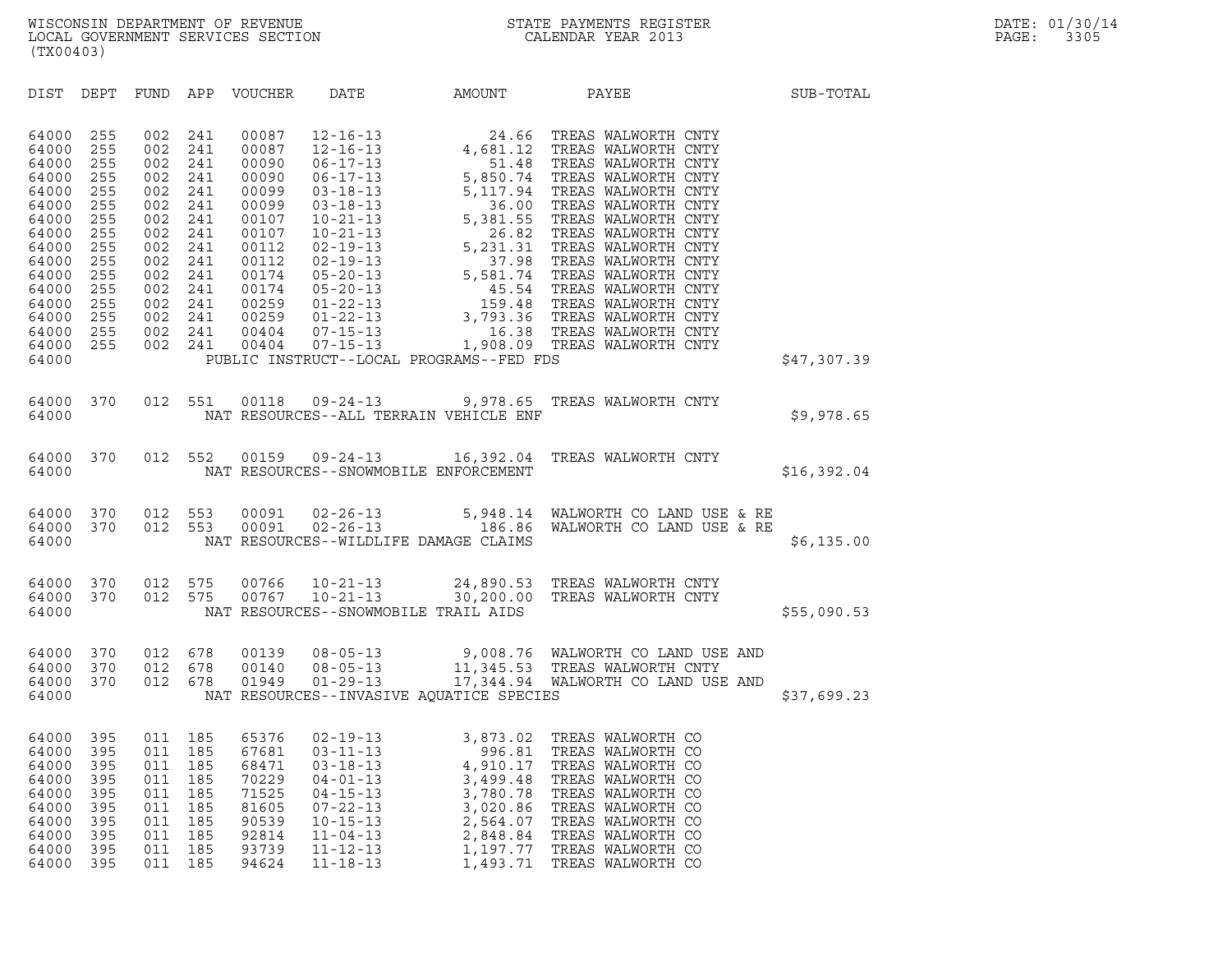| (TX00403)                                                                                                                                             |                                                                                                              |                                                                                                              |                                                                                                              |                                                                                                                                              |                                                                                                                                                                                                                                                                                              |                                                                                                                    |                                                                                                                                                                                                                                                                                                                                                                          |             |
|-------------------------------------------------------------------------------------------------------------------------------------------------------|--------------------------------------------------------------------------------------------------------------|--------------------------------------------------------------------------------------------------------------|--------------------------------------------------------------------------------------------------------------|----------------------------------------------------------------------------------------------------------------------------------------------|----------------------------------------------------------------------------------------------------------------------------------------------------------------------------------------------------------------------------------------------------------------------------------------------|--------------------------------------------------------------------------------------------------------------------|--------------------------------------------------------------------------------------------------------------------------------------------------------------------------------------------------------------------------------------------------------------------------------------------------------------------------------------------------------------------------|-------------|
| DIST                                                                                                                                                  | DEPT                                                                                                         | FUND                                                                                                         | APP                                                                                                          | VOUCHER                                                                                                                                      | DATE                                                                                                                                                                                                                                                                                         | AMOUNT                                                                                                             | PAYEE                                                                                                                                                                                                                                                                                                                                                                    | SUB-TOTAL   |
| 64000<br>64000<br>64000<br>64000<br>64000<br>64000<br>64000<br>64000<br>64000<br>64000<br>64000<br>64000<br>64000<br>64000<br>64000<br>64000<br>64000 | 255<br>255<br>255<br>255<br>255<br>255<br>255<br>255<br>255<br>255<br>255<br>255<br>255<br>255<br>255<br>255 | 002<br>002<br>002<br>002<br>002<br>002<br>002<br>002<br>002<br>002<br>002<br>002<br>002<br>002<br>002<br>002 | 241<br>241<br>241<br>241<br>241<br>241<br>241<br>241<br>241<br>241<br>241<br>241<br>241<br>241<br>241<br>241 | 00087<br>00087<br>00090<br>00090<br>00099<br>00099<br>00107<br>00107<br>00112<br>00112<br>00174<br>00174<br>00259<br>00259<br>00404<br>00404 | $12 - 16 - 13$<br>$12 - 16 - 13$<br>$06 - 17 - 13$<br>$06 - 17 - 13$<br>$03 - 18 - 13$<br>$03 - 18 - 13$<br>$10 - 21 - 13$<br>$10 - 21 - 13$<br>$02 - 19 - 13$<br>$02 - 19 - 13$<br>$05 - 20 - 13$<br>$05 - 20 - 13$<br>$01 - 22 - 13$<br>$01 - 22 - 13$<br>$07 - 15 - 13$<br>$07 - 15 - 13$ | $\begin{array}{r} 24.66 \\ 4,681.12 \\ 51.48 \\ 5,850.74 \end{array}$<br>PUBLIC INSTRUCT--LOCAL PROGRAMS--FED FDS  | TREAS WALWORTH CNTY<br>TREAS WALWORTH CNTY<br>TREAS WALWORTH CNTY<br>TREAS WALWORTH CNTY<br>5, 850.74 TREAS WALWORTH CNTY<br>5, 117.94 TREAS WALWORTH CNTY<br>36.00 TREAS WALWORTH CNTY<br>5, 381.55 TREAS WALWORTH CNTY<br>26.82 TREAS WALWORTH CNTY<br>5, 231.31 TREAS WALWORTH CNTY<br>37.98 TREAS WALWORTH CNTY<br>5, 581.74 TREAS W<br>1,908.09 TREAS WALWORTH CNTY | \$47,307.39 |
| 64000<br>64000                                                                                                                                        | 370                                                                                                          | 012                                                                                                          | 551                                                                                                          | 00118                                                                                                                                        | $09 - 24 - 13$                                                                                                                                                                                                                                                                               | 9,978.65<br>NAT RESOURCES--ALL TERRAIN VEHICLE ENF                                                                 | TREAS WALWORTH CNTY                                                                                                                                                                                                                                                                                                                                                      | \$9,978.65  |
| 64000<br>64000                                                                                                                                        | 370                                                                                                          | 012                                                                                                          | 552                                                                                                          | 00159                                                                                                                                        | $09 - 24 - 13$                                                                                                                                                                                                                                                                               | 16,392.04<br>NAT RESOURCES--SNOWMOBILE ENFORCEMENT                                                                 | TREAS WALWORTH CNTY                                                                                                                                                                                                                                                                                                                                                      | \$16,392.04 |
| 64000<br>64000<br>64000                                                                                                                               | 370<br>370                                                                                                   | 012<br>012                                                                                                   | 553<br>553                                                                                                   | 00091<br>00091                                                                                                                               | $02 - 26 - 13$<br>$02 - 26 - 13$                                                                                                                                                                                                                                                             | NAT RESOURCES--WILDLIFE DAMAGE CLAIMS                                                                              | 5,948.14 WALWORTH CO LAND USE & RE<br>186.86 WALWORTH CO LAND USE & RE                                                                                                                                                                                                                                                                                                   | \$6,135.00  |
| 64000<br>64000<br>64000                                                                                                                               | 370<br>370                                                                                                   | 012<br>012                                                                                                   | 575<br>575                                                                                                   | 00766<br>00767                                                                                                                               | $10 - 21 - 13$<br>$10 - 21 - 13$                                                                                                                                                                                                                                                             | 30,200.00<br>NAT RESOURCES--SNOWMOBILE TRAIL AIDS                                                                  | 24,890.53 TREAS WALWORTH CNTY<br>TREAS WALWORTH CNTY                                                                                                                                                                                                                                                                                                                     | \$55,090.53 |
| 64000<br>64000<br>64000<br>64000                                                                                                                      | 370<br>370<br>370                                                                                            | 012<br>012<br>012                                                                                            | 678<br>678<br>678                                                                                            | 00139<br>00140<br>01949                                                                                                                      | $08 - 05 - 13$<br>$08 - 05 - 13$<br>$01 - 29 - 13$                                                                                                                                                                                                                                           | NAT RESOURCES--INVASIVE AQUATICE SPECIES                                                                           | 9,008.76 WALWORTH CO LAND USE AND<br>11,345.53 TREAS WALWORTH CNTY<br>17,344.94 WALWORTH CO LAND USE AND                                                                                                                                                                                                                                                                 | \$37,699.23 |
| 64000<br>64000<br>64000<br>64000<br>64000<br>64000<br>64000<br>64000<br>64000<br>64000                                                                | 395<br>395<br>395<br>395<br>395<br>395<br>395<br>395<br>395<br>395                                           | 011<br>011<br>011<br>011<br>011<br>011<br>011<br>011<br>011<br>011                                           | 185<br>185<br>185<br>185<br>185<br>185<br>185<br>185<br>185<br>185                                           | 65376<br>67681<br>68471<br>70229<br>71525<br>81605<br>90539<br>92814<br>93739<br>94624                                                       | $02 - 19 - 13$<br>$03 - 11 - 13$<br>$03 - 18 - 13$<br>$04 - 01 - 13$<br>$04 - 15 - 13$<br>$07 - 22 - 13$<br>$10 - 15 - 13$<br>$11 - 04 - 13$<br>$11 - 12 - 13$<br>$11 - 18 - 13$                                                                                                             | 3,873.02<br>996.81<br>4,910.17<br>3,499.48<br>3,780.78<br>3,020.86<br>2,564.07<br>2,848.84<br>1,197.77<br>1,493.71 | TREAS WALWORTH CO<br>TREAS WALWORTH CO<br>TREAS WALWORTH CO<br>TREAS WALWORTH CO<br>TREAS WALWORTH CO<br>TREAS WALWORTH CO<br>TREAS WALWORTH CO<br>TREAS WALWORTH CO<br>TREAS WALWORTH CO<br>TREAS WALWORTH CO                                                                                                                                                           |             |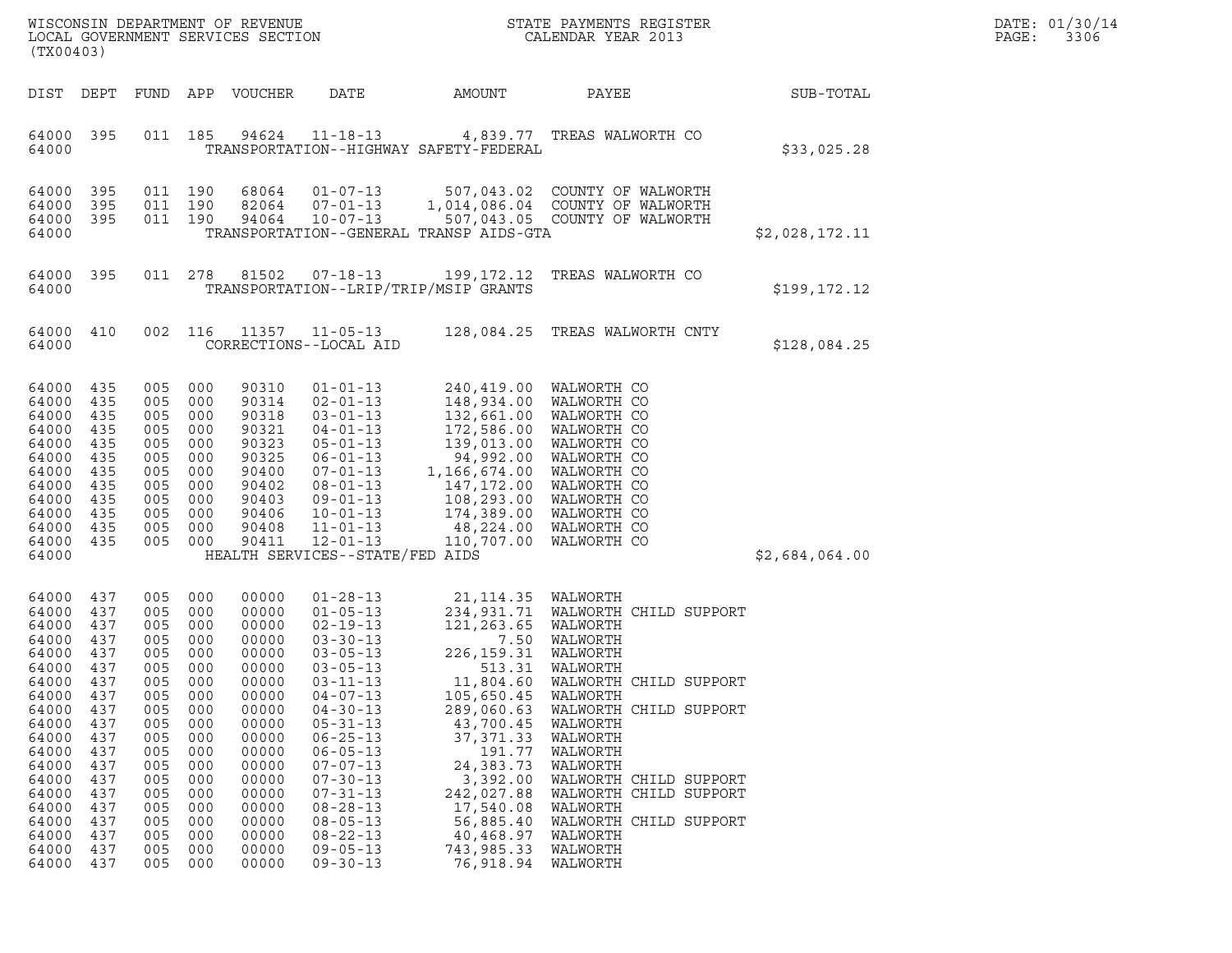| DATE: | 01/30/14 |
|-------|----------|
| PAGE: | 3306     |

| (TX00403)                                                                                                                                                                        |                                                                                                                                          |                                                                                                                                          |                                                                                                                                          | WISCONSIN DEPARTMENT OF REVENUE<br>LOCAL GOVERNMENT SERVICES SECTION                                                                                                             |                                                                                                                                                                                                                                                                                                                                                                      |                                                                                                                                                                                                                                                                           | STATE PAYMENTS REGISTER<br>CALENDAR YEAR 2013                                                                                                                                                                                                                                               |                | DATE: 01/30/14<br>PAGE:<br>3306 |
|----------------------------------------------------------------------------------------------------------------------------------------------------------------------------------|------------------------------------------------------------------------------------------------------------------------------------------|------------------------------------------------------------------------------------------------------------------------------------------|------------------------------------------------------------------------------------------------------------------------------------------|----------------------------------------------------------------------------------------------------------------------------------------------------------------------------------|----------------------------------------------------------------------------------------------------------------------------------------------------------------------------------------------------------------------------------------------------------------------------------------------------------------------------------------------------------------------|---------------------------------------------------------------------------------------------------------------------------------------------------------------------------------------------------------------------------------------------------------------------------|---------------------------------------------------------------------------------------------------------------------------------------------------------------------------------------------------------------------------------------------------------------------------------------------|----------------|---------------------------------|
| DIST DEPT                                                                                                                                                                        |                                                                                                                                          | FUND APP                                                                                                                                 |                                                                                                                                          | VOUCHER                                                                                                                                                                          | DATE                                                                                                                                                                                                                                                                                                                                                                 | AMOUNT                                                                                                                                                                                                                                                                    | PAYEE                                                                                                                                                                                                                                                                                       | SUB-TOTAL      |                                 |
| 64000 395<br>64000                                                                                                                                                               |                                                                                                                                          |                                                                                                                                          | 011 185                                                                                                                                  |                                                                                                                                                                                  | 94624 11-18-13                                                                                                                                                                                                                                                                                                                                                       | TRANSPORTATION--HIGHWAY SAFETY-FEDERAL                                                                                                                                                                                                                                    | 4,839.77 TREAS WALWORTH CO                                                                                                                                                                                                                                                                  | \$33,025.28    |                                 |
| 64000<br>64000<br>64000<br>64000                                                                                                                                                 | 395<br>395<br>395                                                                                                                        | 011 190<br>011 190<br>011 190                                                                                                            |                                                                                                                                          | 68064<br>82064<br>94064                                                                                                                                                          | $01 - 07 - 13$<br>$07 - 01 - 13$<br>$10 - 07 - 13$                                                                                                                                                                                                                                                                                                                   | TRANSPORTATION--GENERAL TRANSP AIDS-GTA                                                                                                                                                                                                                                   | 507,043.02 COUNTY OF WALWORTH<br>1,014,086.04 COUNTY OF WALWORTH<br>507,043.05 COUNTY OF WALWORTH                                                                                                                                                                                           | \$2,028,172.11 |                                 |
| 64000 395<br>64000                                                                                                                                                               |                                                                                                                                          |                                                                                                                                          | 011 278                                                                                                                                  | 81502                                                                                                                                                                            | $07 - 18 - 13$                                                                                                                                                                                                                                                                                                                                                       | 199,172.12<br>TRANSPORTATION--LRIP/TRIP/MSIP GRANTS                                                                                                                                                                                                                       | TREAS WALWORTH CO                                                                                                                                                                                                                                                                           | \$199,172.12   |                                 |
| 64000 410<br>64000                                                                                                                                                               |                                                                                                                                          |                                                                                                                                          | 002 116                                                                                                                                  | 11357                                                                                                                                                                            | $11 - 05 - 13$<br>CORRECTIONS--LOCAL AID                                                                                                                                                                                                                                                                                                                             |                                                                                                                                                                                                                                                                           | 128,084.25 TREAS WALWORTH CNTY                                                                                                                                                                                                                                                              | \$128,084.25   |                                 |
| 64000<br>64000<br>64000<br>64000<br>64000<br>64000<br>64000<br>64000<br>64000<br>64000<br>64000<br>64000<br>64000                                                                | 435<br>435<br>435<br>435<br>435<br>435<br>435<br>435<br>435<br>435<br>435<br>435                                                         | 005<br>005<br>005<br>005<br>005<br>005<br>005<br>005<br>005<br>005<br>005<br>005                                                         | 000<br>000<br>000<br>000<br>000<br>000<br>000<br>000<br>000<br>000<br>000<br>000                                                         | 90310<br>90314<br>90318<br>90321<br>90323<br>90325<br>90400<br>90402<br>90403<br>90406<br>90408<br>90411                                                                         | $01 - 01 - 13$<br>$02 - 01 - 13$<br>$03 - 01 - 13$<br>$04 - 01 - 13$<br>$05 - 01 - 13$<br>$06 - 01 - 13$<br>07-01-13<br>$08 - 01 - 13$<br>09-01-13<br>$10 - 01 - 13$<br>$11 - 01 - 13$<br>$12 - 01 - 13$<br>HEALTH SERVICES--STATE/FED AIDS                                                                                                                          | 148,934.00<br>172,586.00<br>139,013.00<br>94,992.00<br>1,166,674.00 WALWORTH CO<br>147,172.00<br>174,389.00<br>48,224.00<br>110,707.00                                                                                                                                    | 240,419.00 WALWORTH CO<br>WALWORTH CO<br>132,661.00 WALWORTH CO<br>WALWORTH CO<br>WALWORTH CO<br>WALWORTH CO<br>WALWORTH CO<br>108,293.00 WALWORTH CO<br>WALWORTH CO<br>WALWORTH CO<br>WALWORTH CO                                                                                          | \$2,684,064.00 |                                 |
| 64000<br>64000<br>64000<br>64000<br>64000<br>64000<br>64000<br>64000<br>64000<br>64000<br>64000<br>64000<br>64000<br>64000<br>64000<br>64000<br>64000<br>64000<br>64000<br>64000 | 437<br>437<br>437<br>437<br>437<br>437<br>437<br>437<br>437<br>437<br>437<br>437<br>437<br>437<br>437<br>437<br>437<br>437<br>437<br>437 | 005<br>005<br>005<br>005<br>005<br>005<br>005<br>005<br>005<br>005<br>005<br>005<br>005<br>005<br>005<br>005<br>005<br>005<br>005<br>005 | 000<br>000<br>000<br>000<br>000<br>000<br>000<br>000<br>000<br>000<br>000<br>000<br>000<br>000<br>000<br>000<br>000<br>000<br>000<br>000 | 00000<br>00000<br>00000<br>00000<br>00000<br>00000<br>00000<br>00000<br>00000<br>00000<br>00000<br>00000<br>00000<br>00000<br>00000<br>00000<br>00000<br>00000<br>00000<br>00000 | $01 - 28 - 13$<br>$01 - 05 - 13$<br>$02 - 19 - 13$<br>$03 - 30 - 13$<br>$03 - 05 - 13$<br>$03 - 05 - 13$<br>$03 - 11 - 13$<br>$04 - 07 - 13$<br>$04 - 30 - 13$<br>$05 - 31 - 13$<br>$06 - 25 - 13$<br>$06 - 05 - 13$<br>$07 - 07 - 13$<br>$07 - 30 - 13$<br>$07 - 31 - 13$<br>$08 - 28 - 13$<br>$08 - 05 - 13$<br>$08 - 22 - 13$<br>$09 - 05 - 13$<br>$09 - 30 - 13$ | 21, 114.35 WALWORTH<br>121,263.65 WALWORTH<br>226,159.31 WALWORTH<br>11,804.60<br>105,650.45<br>289,060.63<br>43,700.45 WALWORTH<br>37,371.33<br>191.77<br>24,383.73<br>3,392.00<br>242,027.88<br>17,540.08<br>56,885.40<br>40,468.97<br>743,985.33<br>76,918.94 WALWORTH | 234,931.71 WALWORTH CHILD SUPPORT<br>7.50 WALWORTH<br>513.31 WALWORTH<br>WALWORTH CHILD SUPPORT<br>WALWORTH<br>WALWORTH CHILD SUPPORT<br>WALWORTH<br>WALWORTH<br>WALWORTH<br>WALWORTH CHILD SUPPORT<br>WALWORTH CHILD SUPPORT<br>WALWORTH<br>WALWORTH CHILD SUPPORT<br>WALWORTH<br>WALWORTH |                |                                 |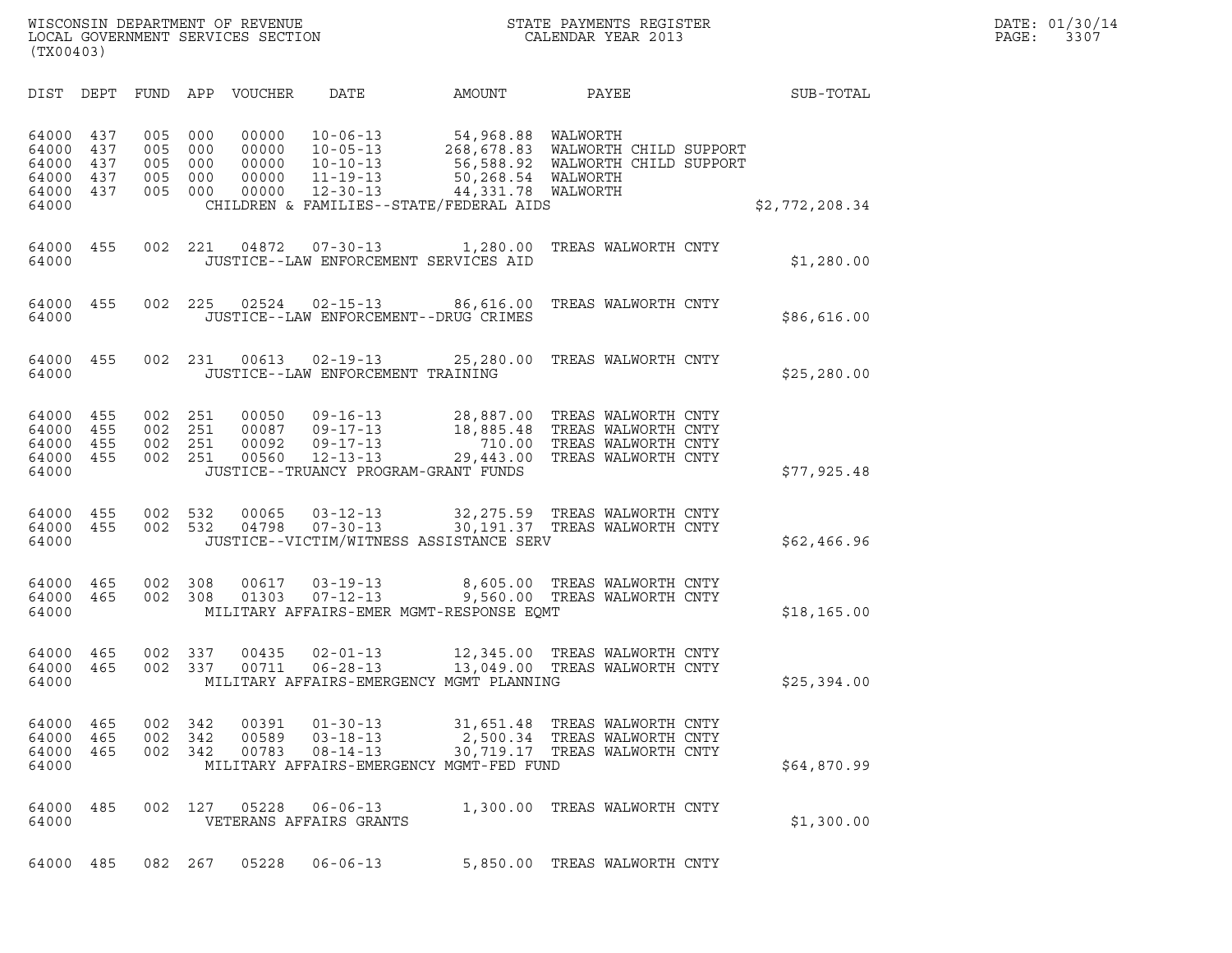| WISCONSIN DEPARTMENT OF REVENUE<br>LOCAL GOVERNMENT SERVICES SECTION | STATE PAYMENTS REGISTER<br>CALENDAR YEAR 2013 | DATE: 01/30/14<br>PAGE:<br>3307 |
|----------------------------------------------------------------------|-----------------------------------------------|---------------------------------|

|                                                                    |                   |                                                     |                   |                         |                                                    | WISCONSIN DEPARTMENT OF REVENUE<br>LOCAL GOVERNMENT SERVICES SECTION<br>(TX00403)<br>STATE PAYMENTS REGISTER<br>CALENDAR YEAR 2013                                                                                                             | D.<br>$\mathbf{P}$           |                |  |
|--------------------------------------------------------------------|-------------------|-----------------------------------------------------|-------------------|-------------------------|----------------------------------------------------|------------------------------------------------------------------------------------------------------------------------------------------------------------------------------------------------------------------------------------------------|------------------------------|----------------|--|
| DIST DEPT                                                          |                   |                                                     |                   | FUND APP VOUCHER        | DATE                                               | AMOUNT                                                                                                                                                                                                                                         | <b>PAYEE Example 2</b>       | SUB-TOTAL      |  |
| 64000 437<br>64000 437<br>64000<br>64000 437<br>64000 437<br>64000 | 437               | 005 000<br>005 000<br>005 000<br>005 000<br>005 000 |                   |                         | 00000 12-30-13                                     | 00000 10-06-13 54,968.88 WALWORTH<br>00000 10-05-13 268,678.83 WALWORTH CHILD SUPPORT<br>00000 10-10-13 56,588.92 WALWORTH CHILD SUPPORT<br>00000 11-19-13 50,268.54 WALWORTH<br>44,331.78 WALWORTH<br>CHILDREN & FAMILIES--STATE/FEDERAL AIDS |                              | \$2,772,208.34 |  |
| 64000 455<br>64000                                                 |                   |                                                     |                   |                         |                                                    | 002 221 04872 07-30-13 1,280.00 TREAS WALWORTH CNTY<br>JUSTICE--LAW ENFORCEMENT SERVICES AID                                                                                                                                                   |                              | \$1,280.00     |  |
| 64000 455<br>64000                                                 |                   |                                                     |                   | 002 225 02524           |                                                    | 02-15-13 86,616.00 TREAS WALWORTH CNTY<br>JUSTICE--LAW ENFORCEMENT--DRUG CRIMES                                                                                                                                                                |                              | \$86,616.00    |  |
| 64000 455<br>64000                                                 |                   |                                                     |                   | 002 231 00613           | JUSTICE--LAW ENFORCEMENT TRAINING                  | 02-19-13 25,280.00 TREAS WALWORTH CNTY                                                                                                                                                                                                         |                              | \$25, 280.00   |  |
| 64000 455<br>64000 455<br>64000 455<br>64000 455<br>64000          |                   | 002 251<br>002 251<br>002 251<br>002 251            |                   |                         |                                                    | 00050 09-16-13 28,887.00 TREAS WALWORTH CNTY<br>00087 09-17-13 18,885.48 TREAS WALWORTH CNTY<br>00092 09-17-13 710.00 TREAS WALWORTH CNTY<br>00560 12-13-13 29,443.00 TREAS WALWORTH CNTY<br>JUSTICE--TRUANCY PROGRAM-GRANT FUNDS              |                              | \$77,925.48    |  |
| 64000 455<br>64000 455<br>64000                                    |                   | 002 532<br>002 532                                  |                   | 00065<br>04798          | $07 - 30 - 13$                                     | 03-12-13 32, 275.59 TREAS WALWORTH CNTY<br>30,191.37 TREAS WALWORTH CNTY<br>JUSTICE--VICTIM/WITNESS ASSISTANCE SERV                                                                                                                            |                              | \$62,466.96    |  |
| 64000 465<br>64000 465<br>64000                                    |                   | 002 308<br>002 308                                  |                   | 00617<br>01303          |                                                    | 03-19-13 8,605.00 TREAS WALWORTH CNTY<br>07-12-13 9,560.00 TREAS WALWORTH CNTY<br>MILITARY AFFAIRS-EMER MGMT-RESPONSE EQMT                                                                                                                     |                              | \$18, 165.00   |  |
| 64000 465<br>64000 465<br>64000                                    |                   | 002 337                                             | 002 337           | 00435<br>00711          |                                                    | 02-01-13 12,345.00 TREAS WALWORTH CNTY<br>06-28-13 13,049.00 TREAS WALWORTH CNTY<br>MILITARY AFFAIRS-EMERGENCY MGMT PLANNING                                                                                                                   |                              | \$25,394.00    |  |
| 64000<br>64000<br>64000<br>64000                                   | 465<br>465<br>465 | 002<br>002<br>002                                   | 342<br>342<br>342 | 00391<br>00589<br>00783 | $01 - 30 - 13$<br>$03 - 18 - 13$<br>$08 - 14 - 13$ | 31,651.48<br>2,500.34 TREAS WALWORTH CNTY<br>30,719.17 TREAS WALWORTH CNTY<br>MILITARY AFFAIRS-EMERGENCY MGMT-FED FUND                                                                                                                         | TREAS WALWORTH CNTY          | \$64,870.99    |  |
| 64000<br>64000                                                     | 485               | 002                                                 | 127               | 05228                   | $06 - 06 - 13$<br>VETERANS AFFAIRS GRANTS          | 1,300.00 TREAS WALWORTH CNTY                                                                                                                                                                                                                   |                              | \$1,300.00     |  |
| 64000 485                                                          |                   | 082 267                                             |                   | 05228                   | $06 - 06 - 13$                                     |                                                                                                                                                                                                                                                | 5,850.00 TREAS WALWORTH CNTY |                |  |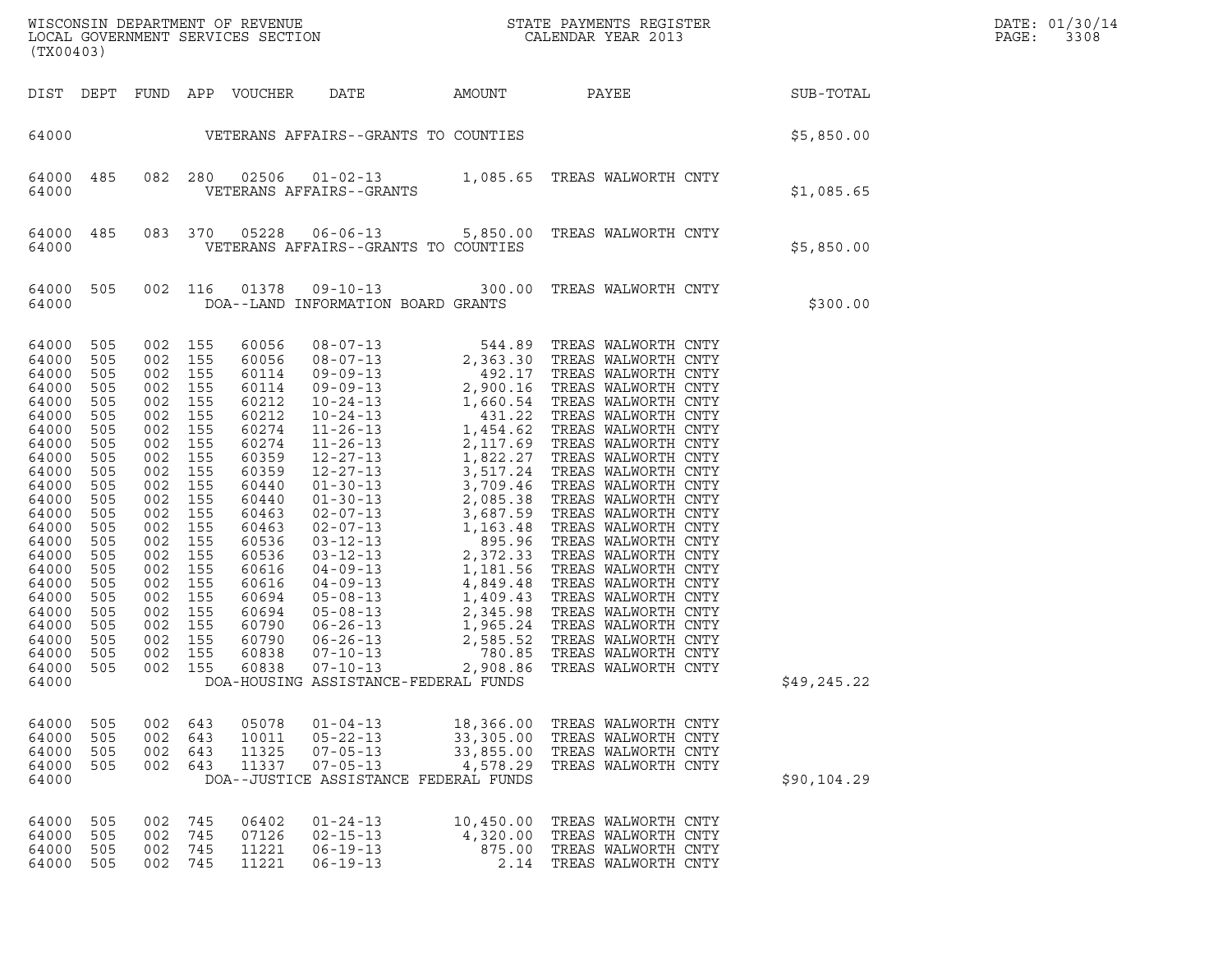| DATE: | 01/30/14 |
|-------|----------|
| PAGE: | 3308     |

| (TX00403)                                                                                                                                                                                                                     |                                                                                                                                                                      |                                                                                                                                                                                                                                                                      |                                  |                                                                                                                                                                                                                      |                                                                                                         |                             |                                                                                                                        |             | DATE: 01/30/14<br>PAGE:<br>3308 |
|-------------------------------------------------------------------------------------------------------------------------------------------------------------------------------------------------------------------------------|----------------------------------------------------------------------------------------------------------------------------------------------------------------------|----------------------------------------------------------------------------------------------------------------------------------------------------------------------------------------------------------------------------------------------------------------------|----------------------------------|----------------------------------------------------------------------------------------------------------------------------------------------------------------------------------------------------------------------|---------------------------------------------------------------------------------------------------------|-----------------------------|------------------------------------------------------------------------------------------------------------------------|-------------|---------------------------------|
|                                                                                                                                                                                                                               |                                                                                                                                                                      |                                                                                                                                                                                                                                                                      |                                  |                                                                                                                                                                                                                      | DIST DEPT FUND APP VOUCHER DATE                                                                         |                             | AMOUNT PAYEE SUB-TOTAL                                                                                                 |             |                                 |
|                                                                                                                                                                                                                               |                                                                                                                                                                      |                                                                                                                                                                                                                                                                      |                                  |                                                                                                                                                                                                                      | 64000    VETERANS AFFAIRS--GRANTS TO COUNTIES                                                           |                             | \$5,850.00                                                                                                             |             |                                 |
| 64000 485<br>64000                                                                                                                                                                                                            |                                                                                                                                                                      |                                                                                                                                                                                                                                                                      |                                  |                                                                                                                                                                                                                      | VETERANS AFFAIRS--GRANTS                                                                                |                             | 082 280 02506 01-02-13 1,085.65 TREAS WALWORTH CNTY                                                                    | \$1,085.65  |                                 |
| 64000 485<br>64000                                                                                                                                                                                                            |                                                                                                                                                                      |                                                                                                                                                                                                                                                                      | 083 370                          | 05228                                                                                                                                                                                                                | VETERANS AFFAIRS--GRANTS TO COUNTIES                                                                    |                             | 06-06-13 5,850.00 TREAS WALWORTH CNTY                                                                                  | \$5,850.00  |                                 |
| 64000 505<br>64000                                                                                                                                                                                                            |                                                                                                                                                                      |                                                                                                                                                                                                                                                                      | 002 116                          | 01378                                                                                                                                                                                                                | DOA--LAND INFORMATION BOARD GRANTS                                                                      |                             | 09-10-13 300.00 TREAS WALWORTH CNTY                                                                                    | \$300.00    |                                 |
| 64000<br>64000<br>64000<br>64000<br>64000<br>64000<br>64000<br>64000<br>64000<br>64000<br>64000<br>64000<br>64000<br>64000<br>64000<br>64000<br>64000<br>64000<br>64000<br>64000<br>64000<br>64000<br>64000<br>64000<br>64000 | 505<br>505<br>505<br>505<br>505<br>505<br>505<br>505<br>505<br>505<br>505<br>505<br>505<br>505<br>505<br>505<br>505<br>505<br>505<br>505<br>505<br>505<br>505<br>505 | 002 155<br>002 155<br>002 155<br>002 155<br>002 155<br>002 155<br>002 155<br>002 155<br>002 155<br>002 155<br>002 155<br>002 155<br>002 155<br>002 155<br>002 155<br>002 155<br>002 155<br>002 155<br>002 155<br>002 155<br>002 155<br>002 155<br>002 155<br>002 155 |                                  | 60056<br>60056<br>60114<br>60114<br>60212<br>60212<br>60274<br>60274<br>60359<br>60359<br>60440<br>60440<br>60463<br>60463<br>60536<br>60536<br>60616<br>60616<br>60694<br>60694<br>60790<br>60790<br>60838<br>60838 | DOA-HOUSING ASSISTANCE-FEDERAL FUNDS                                                                    |                             |                                                                                                                        | \$49,245.22 |                                 |
| 64000<br>64000<br>64000<br>64000<br>64000                                                                                                                                                                                     | - 505<br>505<br>505<br>505                                                                                                                                           | 002 643<br>002<br>002 643                                                                                                                                                                                                                                            | 643<br>002 643                   | 05078<br>10011<br>11325<br>11337                                                                                                                                                                                     | $01 - 04 - 13$<br>05-22-13<br>$07 - 05 - 13$<br>$07 - 05 - 13$<br>DOA--JUSTICE ASSISTANCE FEDERAL FUNDS | 4,578.29                    | 18,366.00 TREAS WALWORTH CNTY<br>33,305.00 TREAS WALWORTH CNTY<br>33,855.00 TREAS WALWORTH CNTY<br>TREAS WALWORTH CNTY | \$90,104.29 |                                 |
| 64000<br>64000<br>64000<br>64000                                                                                                                                                                                              | 505<br>505<br>505<br>505                                                                                                                                             | 002<br>002                                                                                                                                                                                                                                                           | 745<br>002 745<br>745<br>002 745 | 06402<br>07126<br>11221<br>11221                                                                                                                                                                                     | $01 - 24 - 13$<br>$02 - 15 - 13$<br>$06 - 19 - 13$<br>$06 - 19 - 13$                                    | 10,450.00<br>875.00<br>2.14 | TREAS WALWORTH CNTY<br>4,320.00 TREAS WALWORTH CNTY<br>TREAS WALWORTH CNTY<br>TREAS WALWORTH CNTY                      |             |                                 |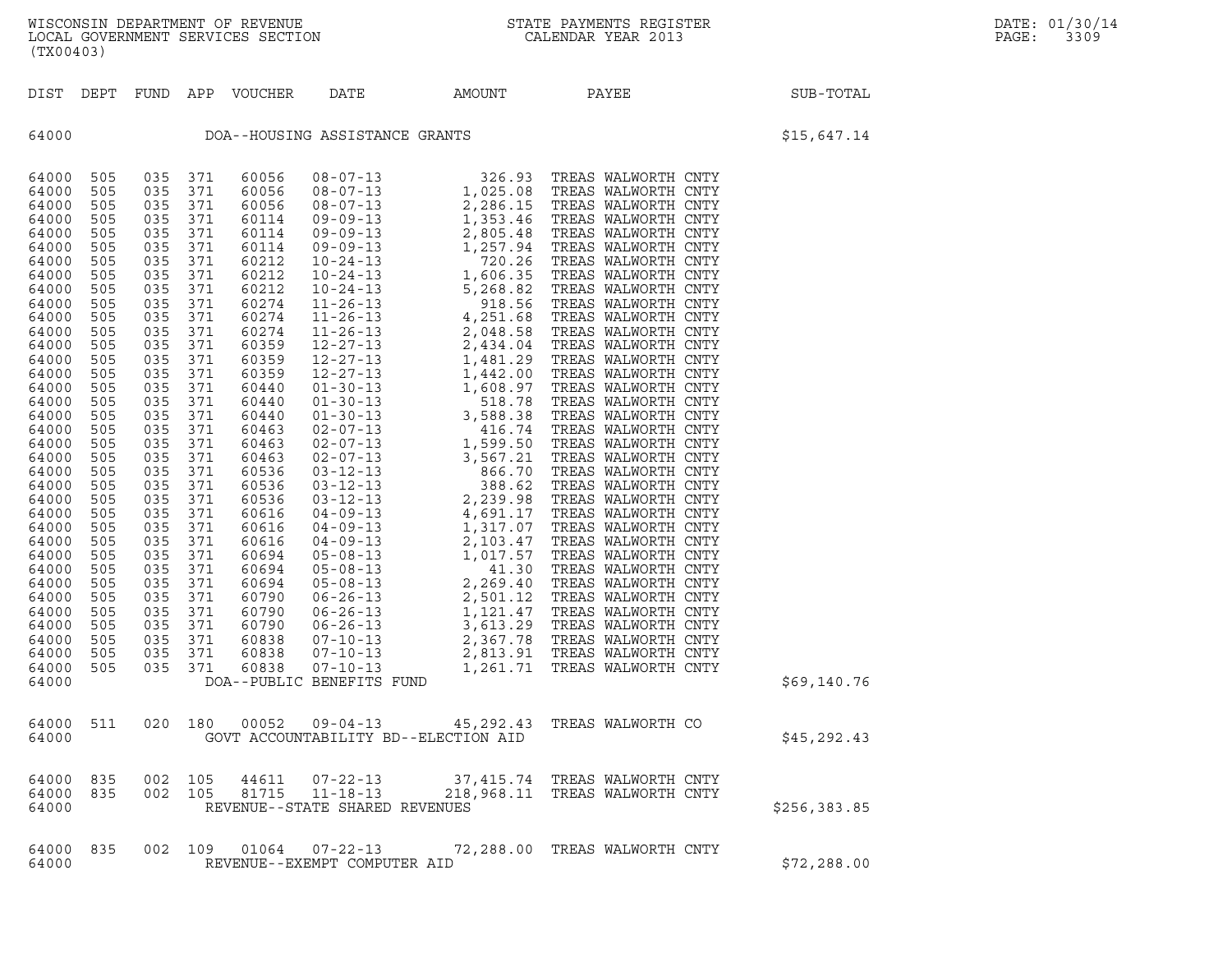| (TX00403)                                                                                                                                                                                                                                                                                                                                 |                                                                                                                                                                                                                                                          |                                                                                                                                                                                                                                                          |                                                                                                                                                                                                                                                          |                                                                                                                                                                                                                                                                                                                                  |                                                        |        |                                                                          |              |
|-------------------------------------------------------------------------------------------------------------------------------------------------------------------------------------------------------------------------------------------------------------------------------------------------------------------------------------------|----------------------------------------------------------------------------------------------------------------------------------------------------------------------------------------------------------------------------------------------------------|----------------------------------------------------------------------------------------------------------------------------------------------------------------------------------------------------------------------------------------------------------|----------------------------------------------------------------------------------------------------------------------------------------------------------------------------------------------------------------------------------------------------------|----------------------------------------------------------------------------------------------------------------------------------------------------------------------------------------------------------------------------------------------------------------------------------------------------------------------------------|--------------------------------------------------------|--------|--------------------------------------------------------------------------|--------------|
| DIST                                                                                                                                                                                                                                                                                                                                      | DEPT FUND                                                                                                                                                                                                                                                |                                                                                                                                                                                                                                                          | APP                                                                                                                                                                                                                                                      | VOUCHER                                                                                                                                                                                                                                                                                                                          | DATE                                                   | AMOUNT | PAYEE                                                                    | SUB-TOTAL    |
| 64000                                                                                                                                                                                                                                                                                                                                     |                                                                                                                                                                                                                                                          |                                                                                                                                                                                                                                                          |                                                                                                                                                                                                                                                          |                                                                                                                                                                                                                                                                                                                                  | DOA--HOUSING ASSISTANCE GRANTS                         |        |                                                                          | \$15,647.14  |
| 64000<br>64000<br>64000<br>64000<br>64000<br>64000<br>64000<br>64000<br>64000<br>64000<br>64000<br>64000<br>64000<br>64000<br>64000<br>64000<br>64000<br>64000<br>64000<br>64000<br>64000<br>64000<br>64000<br>64000<br>64000<br>64000<br>64000<br>64000<br>64000<br>64000<br>64000<br>64000<br>64000<br>64000<br>64000<br>64000<br>64000 | 505<br>505<br>505<br>505<br>505<br>505<br>505<br>505<br>505<br>505<br>505<br>505<br>505<br>505<br>505<br>505<br>505<br>505<br>505<br>505<br>505<br>505<br>505<br>505<br>505<br>505<br>505<br>505<br>505<br>505<br>505<br>505<br>505<br>505<br>505<br>505 | 035<br>035<br>035<br>035<br>035<br>035<br>035<br>035<br>035<br>035<br>035<br>035<br>035<br>035<br>035<br>035<br>035<br>035<br>035<br>035<br>035<br>035<br>035<br>035<br>035<br>035<br>035<br>035<br>035<br>035<br>035<br>035<br>035<br>035<br>035<br>035 | 371<br>371<br>371<br>371<br>371<br>371<br>371<br>371<br>371<br>371<br>371<br>371<br>371<br>371<br>371<br>371<br>371<br>371<br>371<br>371<br>371<br>371<br>371<br>371<br>371<br>371<br>371<br>371<br>371<br>371<br>371<br>371<br>371<br>371<br>371<br>371 | 60056<br>60056<br>60056<br>60114<br>60114<br>60114<br>60212<br>60212<br>60212<br>60274<br>60274<br>60274<br>60359<br>60359<br>60359<br>60440<br>60440<br>60440<br>60463<br>60463<br>60463<br>60536<br>60536<br>60536<br>60616<br>60616<br>60616<br>60694<br>60694<br>60694<br>60790<br>60790<br>60790<br>60838<br>60838<br>60838 | DOA--PUBLIC BENEFITS FUND                              |        |                                                                          | \$69,140.76  |
| 64000<br>64000                                                                                                                                                                                                                                                                                                                            | 511                                                                                                                                                                                                                                                      | 020                                                                                                                                                                                                                                                      | 180                                                                                                                                                                                                                                                      | 00052                                                                                                                                                                                                                                                                                                                            | $09 - 04 - 13$<br>GOVT ACCOUNTABILITY BD--ELECTION AID |        | 45,292.43 TREAS WALWORTH CO                                              | \$45,292.43  |
| 64000<br>64000<br>64000                                                                                                                                                                                                                                                                                                                   | 835<br>835                                                                                                                                                                                                                                               | 002<br>002                                                                                                                                                                                                                                               | 105<br>105                                                                                                                                                                                                                                               | 44611<br>81715                                                                                                                                                                                                                                                                                                                   | $11 - 18 - 13$<br>REVENUE--STATE SHARED REVENUES       |        | 07-22-13 37,415.74 TREAS WALWORTH CNTY<br>218,968.11 TREAS WALWORTH CNTY | \$256,383.85 |
| 64000<br>64000                                                                                                                                                                                                                                                                                                                            | 835                                                                                                                                                                                                                                                      | 002                                                                                                                                                                                                                                                      | 109                                                                                                                                                                                                                                                      | 01064                                                                                                                                                                                                                                                                                                                            | $07 - 22 - 13$<br>REVENUE--EXEMPT COMPUTER AID         |        | 72,288.00 TREAS WALWORTH CNTY                                            | \$72, 288.00 |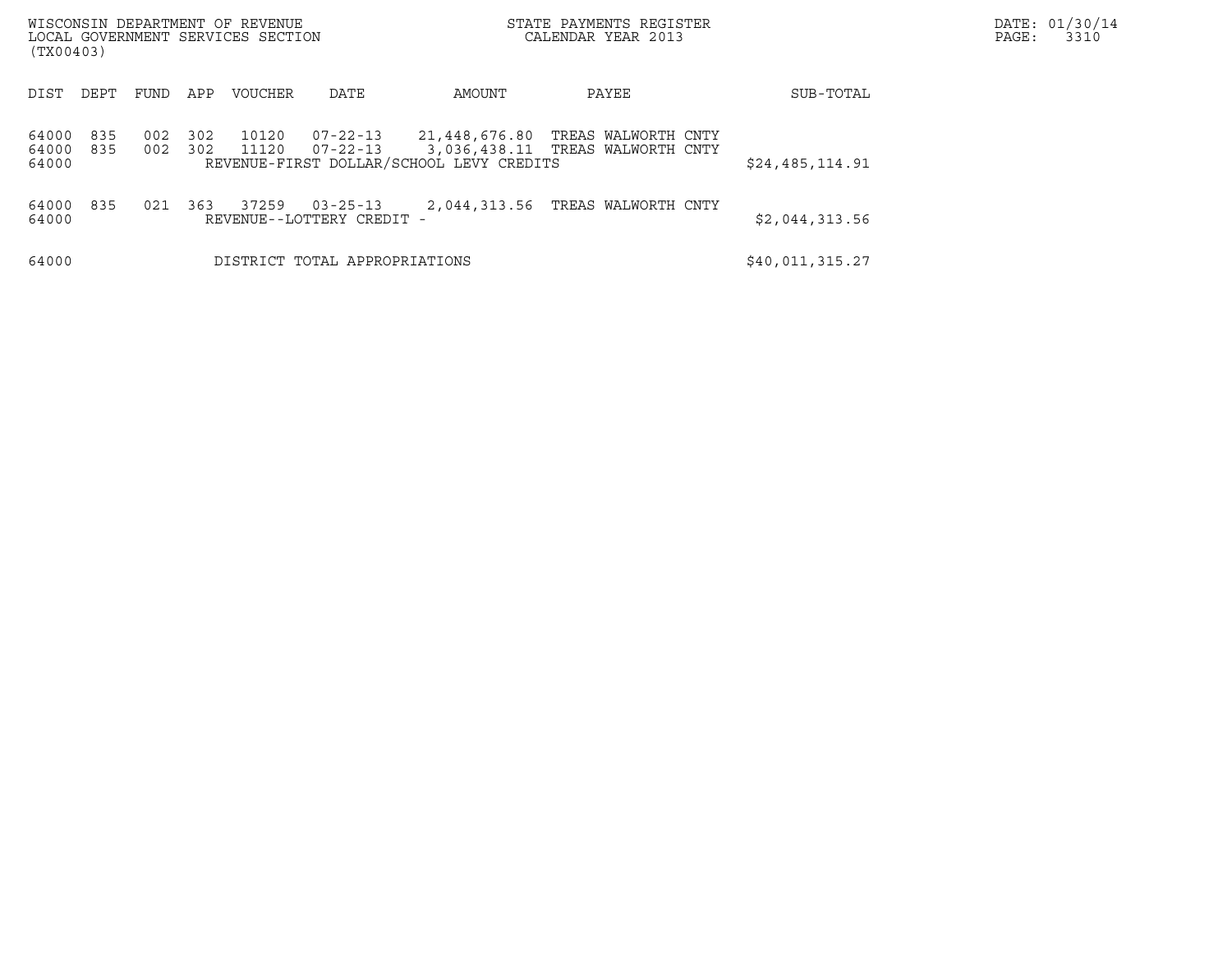| WISCONSIN DEPARTMENT OF REVENUE<br>LOCAL GOVERNMENT SERVICES SECTION<br>(TX00403) |            |            |                |                                             |                                                           | STATE PAYMENTS REGISTER<br>CALENDAR YEAR 2013           |                 | DATE: 01/30/14<br>PAGE:<br>3310 |
|-----------------------------------------------------------------------------------|------------|------------|----------------|---------------------------------------------|-----------------------------------------------------------|---------------------------------------------------------|-----------------|---------------------------------|
| DEPT<br>DIST                                                                      | FUND       | APP        | <b>VOUCHER</b> | DATE                                        | AMOUNT                                                    | PAYEE                                                   | SUB-TOTAL       |                                 |
| 835<br>64000<br>64000<br>835<br>64000                                             | 002<br>002 | 302<br>302 | 10120<br>11120 | $07 - 22 - 13$<br>$07 - 22 - 13$            | 21,448,676.80<br>REVENUE-FIRST DOLLAR/SCHOOL LEVY CREDITS | TREAS WALWORTH CNTY<br>3,036,438.11 TREAS WALWORTH CNTY | \$24,485,114.91 |                                 |
| 835<br>64000<br>64000                                                             | 021        | 363        | 37259          | $03 - 25 - 13$<br>REVENUE--LOTTERY CREDIT - |                                                           | 2,044,313.56 TREAS WALWORTH CNTY                        | \$2,044,313.56  |                                 |
| 64000                                                                             |            |            |                | DISTRICT TOTAL APPROPRIATIONS               |                                                           |                                                         | \$40,011,315.27 |                                 |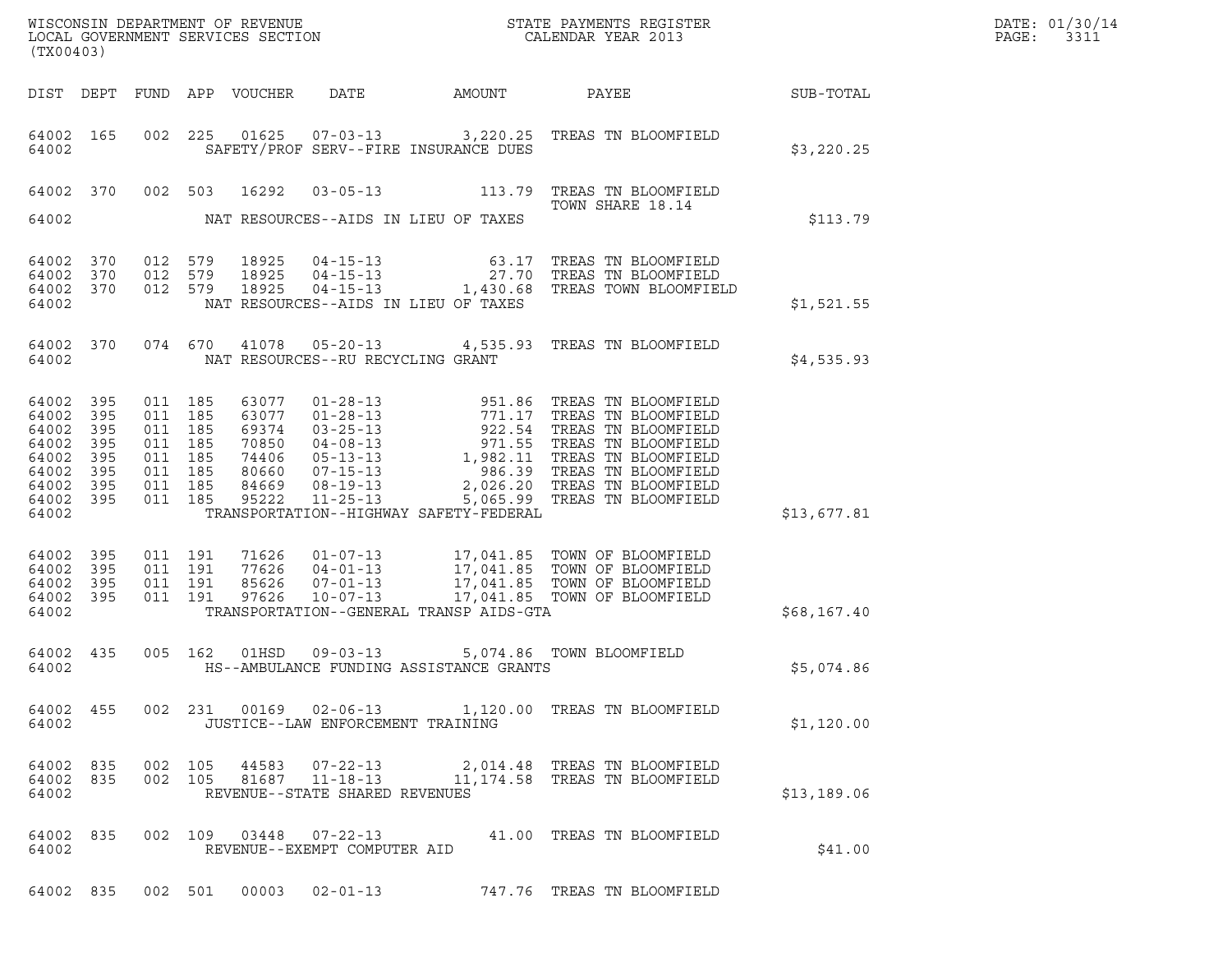| DATE: | 01/30/14 |
|-------|----------|
| PAGE: | 3311     |

| (TX00403)                                                            | ${\tt WISCOONSIM\ DEPARTMENT\ OF\ REVENUE}\qquad \qquad {\tt STATE\ PAYMENTS\ REGISTER\ LOCAL\ GOVERNMENT\ SERVICES\ SECTION\qquad \qquad {\tt CALENDAR\ YEAR\ 2013}$ |  |                                                                                      | DATE: 01/30/14<br>PAGE:<br>3311                                      |                                   |                                         |                                                                                                                                                                                                                                                                                                  |                  |  |
|----------------------------------------------------------------------|-----------------------------------------------------------------------------------------------------------------------------------------------------------------------|--|--------------------------------------------------------------------------------------|----------------------------------------------------------------------|-----------------------------------|-----------------------------------------|--------------------------------------------------------------------------------------------------------------------------------------------------------------------------------------------------------------------------------------------------------------------------------------------------|------------------|--|
|                                                                      |                                                                                                                                                                       |  |                                                                                      | DIST DEPT FUND APP VOUCHER                                           | DATE                              | <b>AMOUNT</b>                           | PAYEE                                                                                                                                                                                                                                                                                            | <b>SUB-TOTAL</b> |  |
| 64002                                                                | 64002 165                                                                                                                                                             |  |                                                                                      |                                                                      |                                   | SAFETY/PROF SERV--FIRE INSURANCE DUES   | 002 225 01625 07-03-13 3,220.25 TREAS TN BLOOMFIELD                                                                                                                                                                                                                                              | \$3,220.25       |  |
|                                                                      | 64002 370                                                                                                                                                             |  | 002 503                                                                              | 16292                                                                |                                   | NAT RESOURCES--AIDS IN LIEU OF TAXES    | 03-05-13 113.79 TREAS TN BLOOMFIELD<br>TOWN SHARE 18.14                                                                                                                                                                                                                                          |                  |  |
| 64002                                                                |                                                                                                                                                                       |  |                                                                                      |                                                                      |                                   |                                         |                                                                                                                                                                                                                                                                                                  | \$113.79         |  |
| 64002<br>64002<br>64002 370<br>64002                                 | 370<br>370                                                                                                                                                            |  | 012 579<br>012 579<br>012 579                                                        | 18925<br>18925<br>18925                                              |                                   | NAT RESOURCES--AIDS IN LIEU OF TAXES    | 04-15-13 63.17 TREAS TN BLOOMFIELD<br>04-15-13 27.70 TREAS TN BLOOMFIELD<br>04-15-13 1,430.68 TREAS TOWN BLOOMFIELD                                                                                                                                                                              | \$1,521.55       |  |
| 64002                                                                | 64002 370                                                                                                                                                             |  |                                                                                      |                                                                      | NAT RESOURCES--RU RECYCLING GRANT |                                         | 074 670 41078 05-20-13 4,535.93 TREAS TN BLOOMFIELD                                                                                                                                                                                                                                              | \$4,535.93       |  |
| 64002<br>64002<br>64002<br>64002<br>64002<br>64002<br>64002<br>64002 | 395<br>395<br>395<br>395<br>395<br>395<br>395<br>64002 395                                                                                                            |  | 011 185<br>011 185<br>011 185<br>011 185<br>011 185<br>011 185<br>011 185<br>011 185 | 63077<br>63077<br>69374<br>70850<br>74406<br>80660<br>84669<br>95222 | $08 - 19 - 13$<br>$11 - 25 - 13$  | TRANSPORTATION--HIGHWAY SAFETY-FEDERAL  | 01-28-13<br>01-28-13<br>03-25-13<br>03-25-13<br>04-08-13<br>04-08-13<br>05-13<br>05-13<br>05-13<br>07-15-13<br>086.39 TREAS TN BLOOMFIELD<br>07-15-13<br>08-19-13<br>2,026.20 TREAS TN BLOOMFIELD<br>08-19-13<br>2,026.20 TREAS TN BLOOMFIELD<br>11-25-13<br>5.0<br>5,065.99 TREAS TN BLOOMFIELD | \$13,677.81      |  |
| 64002 395<br>64002<br>64002<br>64002 395<br>64002                    | 395<br>395                                                                                                                                                            |  | 011 191<br>011 191<br>011 191<br>011 191                                             | 71626<br>77626<br>85626<br>97626                                     |                                   | TRANSPORTATION--GENERAL TRANSP AIDS-GTA | 01-07-13 17,041.85 TOWN OF BLOOMFIELD<br>04-01-13 17,041.85 TOWN OF BLOOMFIELD<br>07-01-13 17,041.85 TOWN OF BLOOMFIELD<br>10-07-13 17,041.85 TOWN OF BLOOMFIELD                                                                                                                                 | \$68,167.40      |  |
| 64002                                                                | 64002 435                                                                                                                                                             |  | 005 162                                                                              | 01HSD                                                                | $09 - 03 - 13$                    | HS--AMBULANCE FUNDING ASSISTANCE GRANTS | 5,074.86 TOWN BLOOMFIELD                                                                                                                                                                                                                                                                         | \$5,074.86       |  |
| 64002                                                                |                                                                                                                                                                       |  |                                                                                      |                                                                      |                                   | JUSTICE--LAW ENFORCEMENT TRAINING       | 64002 455 002 231 00169 02-06-13 1,120.00 TREAS TN BLOOMFIELD                                                                                                                                                                                                                                    | \$1,120.00       |  |
| 64002                                                                | 64002 835<br>64002 835                                                                                                                                                |  |                                                                                      |                                                                      | REVENUE--STATE SHARED REVENUES    |                                         | 002 105 44583 07-22-13 2,014.48 TREAS TN BLOOMFIELD<br>002 105 81687 11-18-13 11,174.58 TREAS TN BLOOMFIELD                                                                                                                                                                                      | \$13,189.06      |  |
| 64002                                                                |                                                                                                                                                                       |  |                                                                                      |                                                                      | REVENUE--EXEMPT COMPUTER AID      |                                         | 64002 835 002 109 03448 07-22-13 41.00 TREAS TN BLOOMFIELD                                                                                                                                                                                                                                       | \$41.00          |  |
|                                                                      |                                                                                                                                                                       |  |                                                                                      |                                                                      |                                   |                                         | 64002 835 002 501 00003 02-01-13 747.76 TREAS TN BLOOMFIELD                                                                                                                                                                                                                                      |                  |  |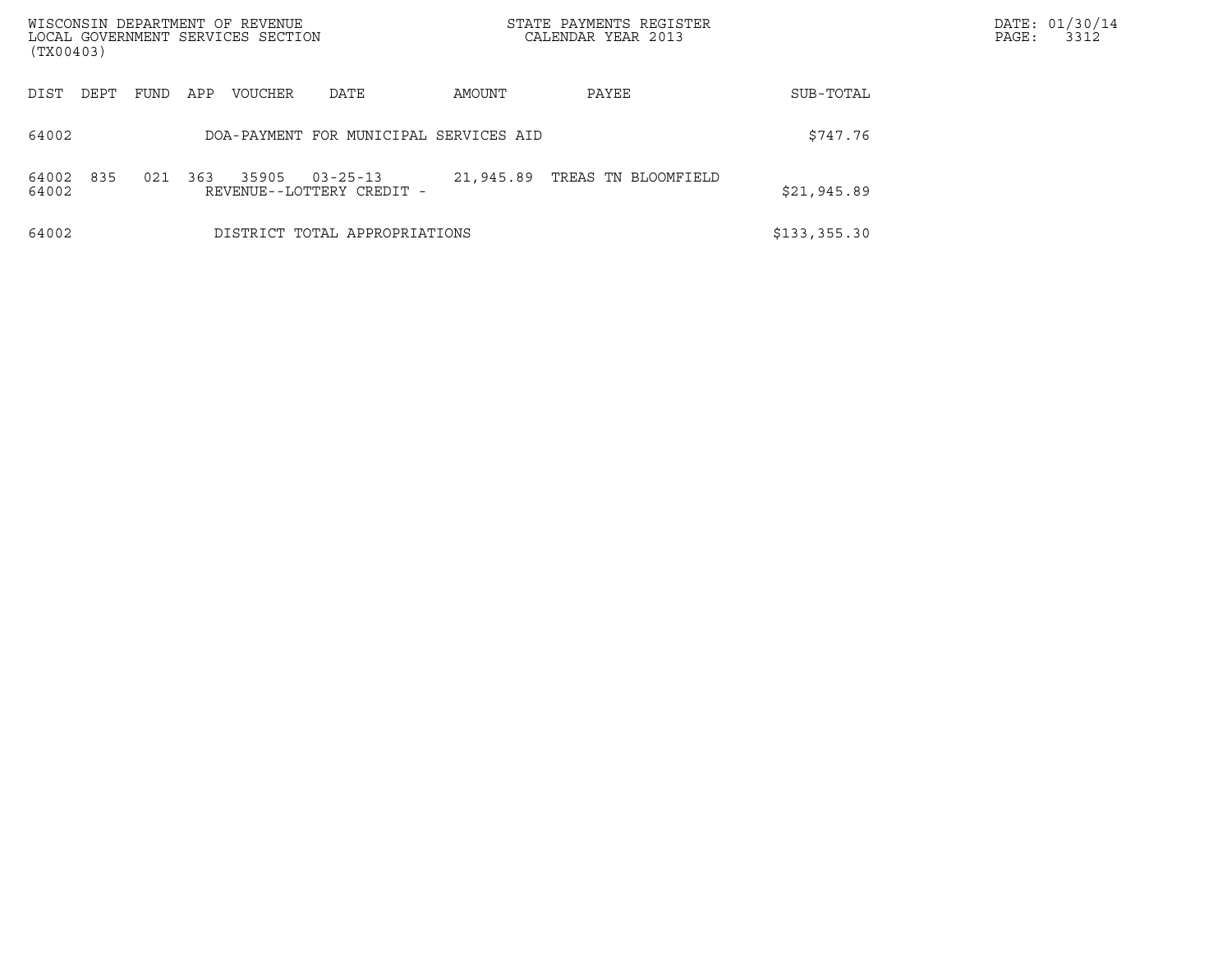| WISCONSIN DEPARTMENT OF REVENUE<br>LOCAL GOVERNMENT SERVICES SECTION<br>(TX00403) |      |      |     |                |                                             |           | STATE PAYMENTS REGISTER<br>CALENDAR YEAR 2013 |               | DATE: 01/30/14<br>3312<br>PAGE: |
|-----------------------------------------------------------------------------------|------|------|-----|----------------|---------------------------------------------|-----------|-----------------------------------------------|---------------|---------------------------------|
| DIST                                                                              | DEPT | FUND | APP | <b>VOUCHER</b> | DATE                                        | AMOUNT    | PAYEE                                         | SUB-TOTAL     |                                 |
| 64002                                                                             |      |      |     |                | DOA-PAYMENT FOR MUNICIPAL SERVICES AID      |           |                                               | \$747.76      |                                 |
| 64002<br>64002                                                                    | 835  | 021  | 363 | 35905          | $03 - 25 - 13$<br>REVENUE--LOTTERY CREDIT - | 21,945.89 | TREAS TN BLOOMFIELD                           | \$21,945.89   |                                 |
| 64002                                                                             |      |      |     |                | DISTRICT TOTAL APPROPRIATIONS               |           |                                               | \$133, 355.30 |                                 |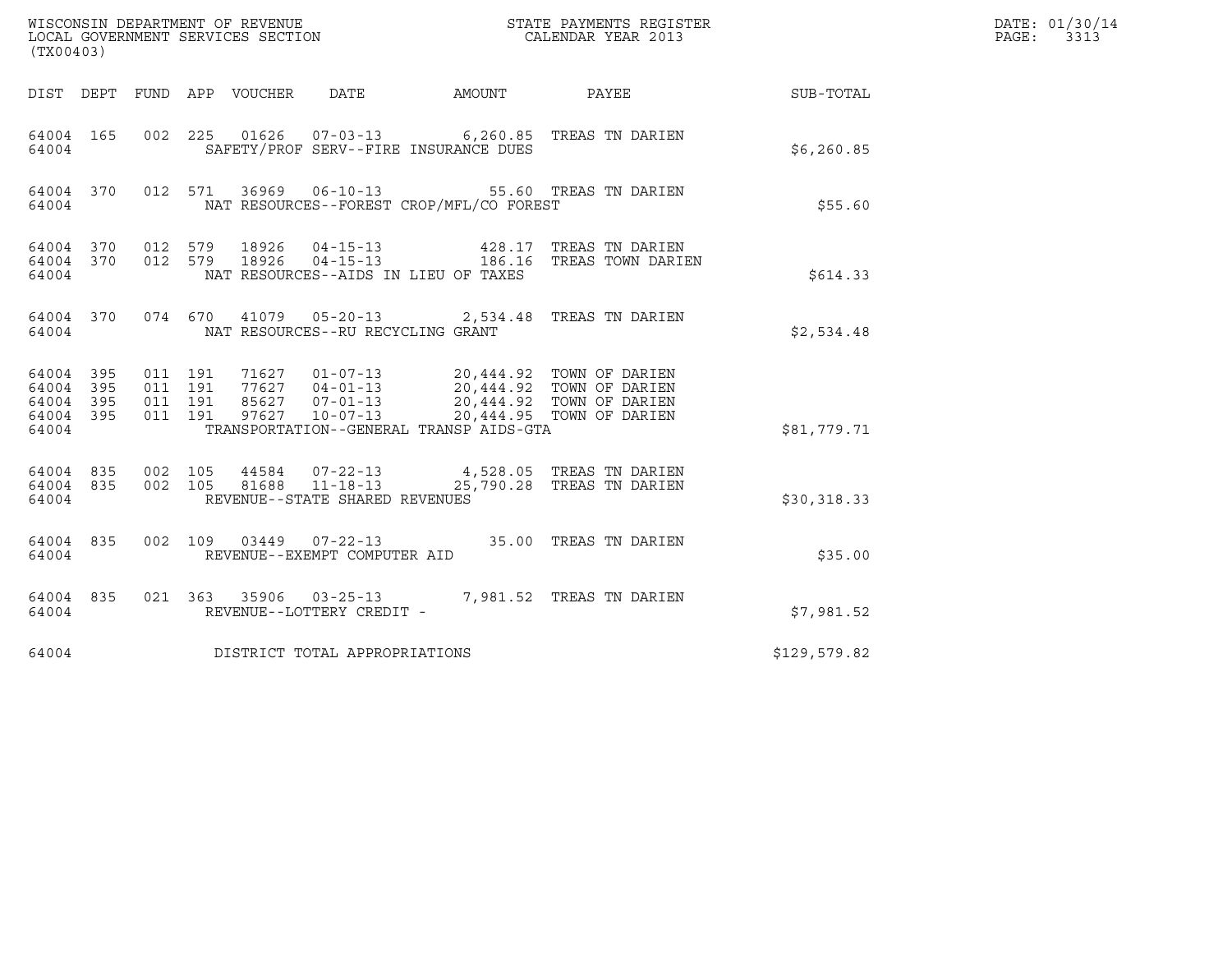| (TX00403)                                         |            |                                          |                            | ${\tt WISCONSIM\ DEPARTMENT\ OF\ REVENUE}\hbox{\tt STATE\ PAYMENTS\ REGISTER\ LOCAL\ GOVERNMENT\ SERVICES\ SECTION\thinspace\ {\tt NETATE\ PAYMENDAR\ YEAR\ 2013}$ |                                                                                                                                                                                   | DATE: 01/30/14<br>PAGE:<br>3313                                                                     |              |  |
|---------------------------------------------------|------------|------------------------------------------|----------------------------|--------------------------------------------------------------------------------------------------------------------------------------------------------------------|-----------------------------------------------------------------------------------------------------------------------------------------------------------------------------------|-----------------------------------------------------------------------------------------------------|--------------|--|
|                                                   |            |                                          | DIST DEPT FUND APP VOUCHER | DATE                                                                                                                                                               | AMOUNT PAYEE                                                                                                                                                                      |                                                                                                     | SUB-TOTAL    |  |
| 64004 165<br>64004                                |            |                                          |                            |                                                                                                                                                                    | SAFETY/PROF SERV--FIRE INSURANCE DUES                                                                                                                                             | 002 225 01626 07-03-13 6,260.85 TREAS TN DARIEN                                                     | \$6, 260.85  |  |
| 64004                                             |            |                                          |                            |                                                                                                                                                                    | NAT RESOURCES--FOREST CROP/MFL/CO FOREST                                                                                                                                          | 64004 370 012 571 36969 06-10-13 55.60 TREAS TN DARIEN                                              | \$55.60      |  |
| 64004 370<br>64004                                |            | 64004 370 012 579<br>012 579             |                            |                                                                                                                                                                    | NAT RESOURCES--AIDS IN LIEU OF TAXES                                                                                                                                              | 18926  04-15-13  428.17  TREAS TN DARIEN<br>18926  04-15-13  186.16  TREAS TOWN DARIEN              | \$614.33     |  |
| 64004 370<br>64004                                |            |                                          |                            | NAT RESOURCES--RU RECYCLING GRANT                                                                                                                                  |                                                                                                                                                                                   | 074 670 41079 05-20-13 2,534.48 TREAS TN DARIEN                                                     | \$2,534.48   |  |
| 64004 395<br>64004<br>64004<br>64004 395<br>64004 | 395<br>395 | 011 191<br>011 191<br>011 191<br>011 191 | 97627                      | $10 - 07 - 13$                                                                                                                                                     | 71627  01-07-13  20,444.92  TOWN OF DARIEN<br>77627  04-01-13  20,444.92  TOWN OF DARIEN<br>85627  07-01-13  20,444.92  TOWN OF DARIEN<br>TRANSPORTATION--GENERAL TRANSP AIDS-GTA | 20,444.95 TOWN OF DARIEN                                                                            | \$81,779.71  |  |
| 64004 835<br>64004 835<br>64004                   |            | 002 105                                  |                            | REVENUE--STATE SHARED REVENUES                                                                                                                                     |                                                                                                                                                                                   | 002 105 44584 07-22-13 4,528.05 TREAS TN DARIEN<br>002 105 81688 11-18-13 25,790.28 TREAS TN DARIEN | \$30,318.33  |  |
| 64004 835<br>64004                                |            |                                          |                            | REVENUE--EXEMPT COMPUTER AID                                                                                                                                       |                                                                                                                                                                                   | 002 109 03449 07-22-13 35.00 TREAS TN DARIEN                                                        | \$35.00      |  |
| 64004 835<br>64004                                |            |                                          |                            | REVENUE--LOTTERY CREDIT -                                                                                                                                          |                                                                                                                                                                                   | 021  363  35906  03-25-13  7,981.52  TREAS TN DARIEN                                                | \$7,981.52   |  |
| 64004                                             |            |                                          |                            | DISTRICT TOTAL APPROPRIATIONS                                                                                                                                      |                                                                                                                                                                                   |                                                                                                     | \$129,579.82 |  |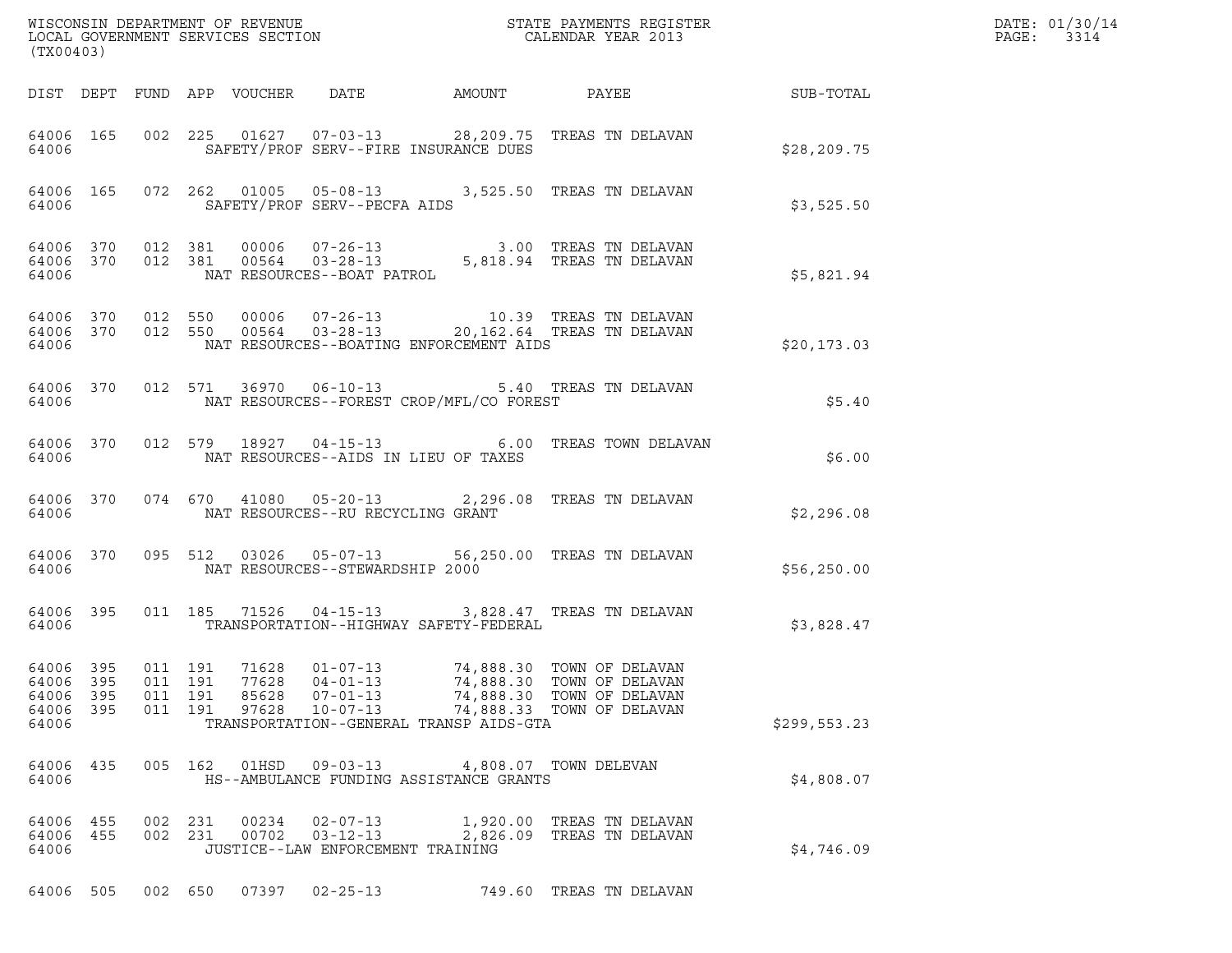| (TX00403)                                                                                                                                                                                                                                                                                                                                                                | DATE: 01/30/14<br>PAGE:<br>3314 |
|--------------------------------------------------------------------------------------------------------------------------------------------------------------------------------------------------------------------------------------------------------------------------------------------------------------------------------------------------------------------------|---------------------------------|
| DIST DEPT FUND APP VOUCHER DATE AMOUNT PAYEE TO SUB-TOTAL                                                                                                                                                                                                                                                                                                                |                                 |
| 64006 165 002 225 01627 07-03-13 28,209.75 TREAS TN DELAVAN<br>SAFETY/PROF SERV--FIRE INSURANCE DUES<br>\$28,209.75<br>64006                                                                                                                                                                                                                                             |                                 |
| 64006 165 072 262 01005 05-08-13 3,525.50 TREAS TN DELAVAN<br>SAFETY/PROF SERV--PECFA AIDS<br>64006 84006<br>\$3,525.50                                                                                                                                                                                                                                                  |                                 |
| $\begin{array}{cccccccc} 64\,00\,6 & 3\,70 & 012 & 3\,81 & 00\,00\,6 & 0\,7-2\,6-13 & & & & 3.00 & \text{TREAS TN DELAVAN} \\ 64\,00\,6 & 3\,70 & 012 & 3\,81 & 00\,564 & 03-2\,8-13 & & & 5\,6\,18\,.94 & \text{TREAS TN DELAVAN} \end{array}$<br>64006 NAT RESOURCES--BOAT PATROL<br>\$5,821.94                                                                        |                                 |
| $\begin{array}{cccccccc} 64\,00\,6 & 370 & 012 & 550 & 00006 & 07-26-13 & & & 10.39 & \text{TREAS TN DELAVAN} \\ 64\,006 & 370 & 012 & 550 & 00564 & 03-28-13 & & 20,162.64 & \text{TREAS TN DELAVAN} \end{array}$<br>NAT RESOURCES--BOATING ENFORCEMENT AIDS<br>64006<br>\$20,173.03                                                                                    |                                 |
| 64006 370 012 571 36970 06-10-13 5.40 TREAS TN DELAVAN<br>64006 MAT RESOURCES--FOREST CROP/MFL/CO FOREST<br>\$5.40                                                                                                                                                                                                                                                       |                                 |
| 64006 370 012 579 18927 04-15-13 6.00 TREAS TOWN DELAVAN<br>64006 NAT RESOURCES--AIDS IN LIEU OF TAXES<br>\$6.00                                                                                                                                                                                                                                                         |                                 |
| 64006 370 074 670 41080 05-20-13 2,296.08 TREAS TN DELAVAN<br>\$2,296.08                                                                                                                                                                                                                                                                                                 |                                 |
| 64006 370 095 512 03026 05-07-13 56,250.00 TREAS TN DELAVAN<br>64006 MAT RESOURCES--STEWARDSHIP 2000<br>\$56,250.00                                                                                                                                                                                                                                                      |                                 |
| 64006 395 011 185 71526 04-15-13 3,828.47 TREAS TN DELAVAN<br>64006 TRANSPORTATION--HIGHWAY SAFETY-FEDERAL<br>\$3,828.47                                                                                                                                                                                                                                                 |                                 |
| 64006 395 011 191 71628 01-07-13 74,888.30 TOWN OF DELAVAN<br>64006 395<br>011 191<br>77628<br>04-01-13<br>74,888.30 TOWN OF DELAVAN<br>64006 395<br>011 191<br>85628<br>$07 - 01 - 13$<br>74,888.30 TOWN OF DELAVAN<br>64006 395<br>011 191<br>$10 - 07 - 13$<br>97628<br>74,888.33 TOWN OF DELAVAN<br>64006<br>TRANSPORTATION--GENERAL TRANSP AIDS-GTA<br>\$299,553.23 |                                 |
| 64006 435<br>005 162<br>4,808.07 TOWN DELEVAN<br>64006<br>HS--AMBULANCE FUNDING ASSISTANCE GRANTS<br>\$4,808.07                                                                                                                                                                                                                                                          |                                 |
| 64006 455<br>00234<br>$02 - 07 - 13$<br>1,920.00 TREAS TN DELAVAN<br>002 231<br>64006 455<br>002 231<br>00702  03-12-13<br>2,826.09 TREAS TN DELAVAN<br>64006<br>JUSTICE--LAW ENFORCEMENT TRAINING<br>\$4,746.09                                                                                                                                                         |                                 |
| 64006 505<br>07397<br>$02 - 25 - 13$<br>749.60 TREAS TN DELAVAN<br>002 650                                                                                                                                                                                                                                                                                               |                                 |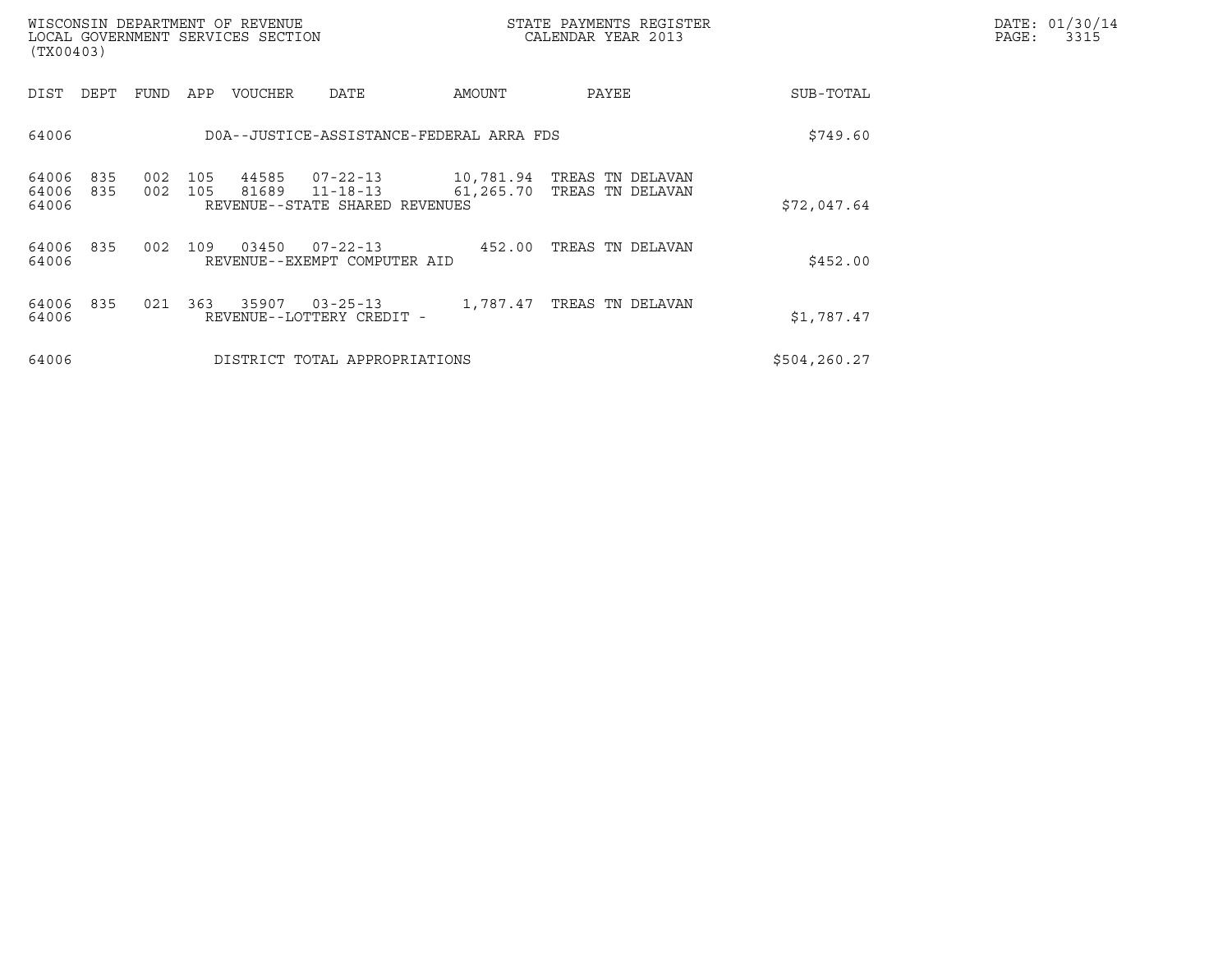| (TX00403)               |            |            |            | WISCONSIN DEPARTMENT OF REVENUE<br>LOCAL GOVERNMENT SERVICES SECTION |                                                                    |           | STATE PAYMENTS REGISTER<br>CALENDAR YEAR 2013  |              | DATE: 01/30/14<br>PAGE:<br>3315 |
|-------------------------|------------|------------|------------|----------------------------------------------------------------------|--------------------------------------------------------------------|-----------|------------------------------------------------|--------------|---------------------------------|
| DIST DEPT               |            | FUND       | APP        | VOUCHER                                                              | DATE                                                               | AMOUNT    | PAYEE                                          | SUB-TOTAL    |                                 |
| 64006                   |            |            |            |                                                                      | DOA--JUSTICE-ASSISTANCE-FEDERAL ARRA FDS                           |           |                                                | \$749.60     |                                 |
| 64006<br>64006<br>64006 | 835<br>835 | 002<br>002 | 105<br>105 | 44585<br>81689                                                       | $07 - 22 - 13$<br>$11 - 18 - 13$<br>REVENUE--STATE SHARED REVENUES | 61,265.70 | 10,781.94 TREAS TN DELAVAN<br>TREAS TN DELAVAN | \$72,047.64  |                                 |
| 64006<br>64006          | 835        | 002        | 109        | 03450                                                                | $07 - 22 - 13$<br>REVENUE--EXEMPT COMPUTER AID                     | 452.00    | TREAS TN DELAVAN                               | \$452.00     |                                 |
| 64006<br>64006          | 835        | 021        | 363        | 35907                                                                | $03 - 25 - 13$<br>REVENUE--LOTTERY CREDIT -                        |           | 1,787.47 TREAS TN DELAVAN                      | \$1,787.47   |                                 |
| 64006                   |            |            |            |                                                                      | DISTRICT TOTAL APPROPRIATIONS                                      |           |                                                | \$504,260.27 |                                 |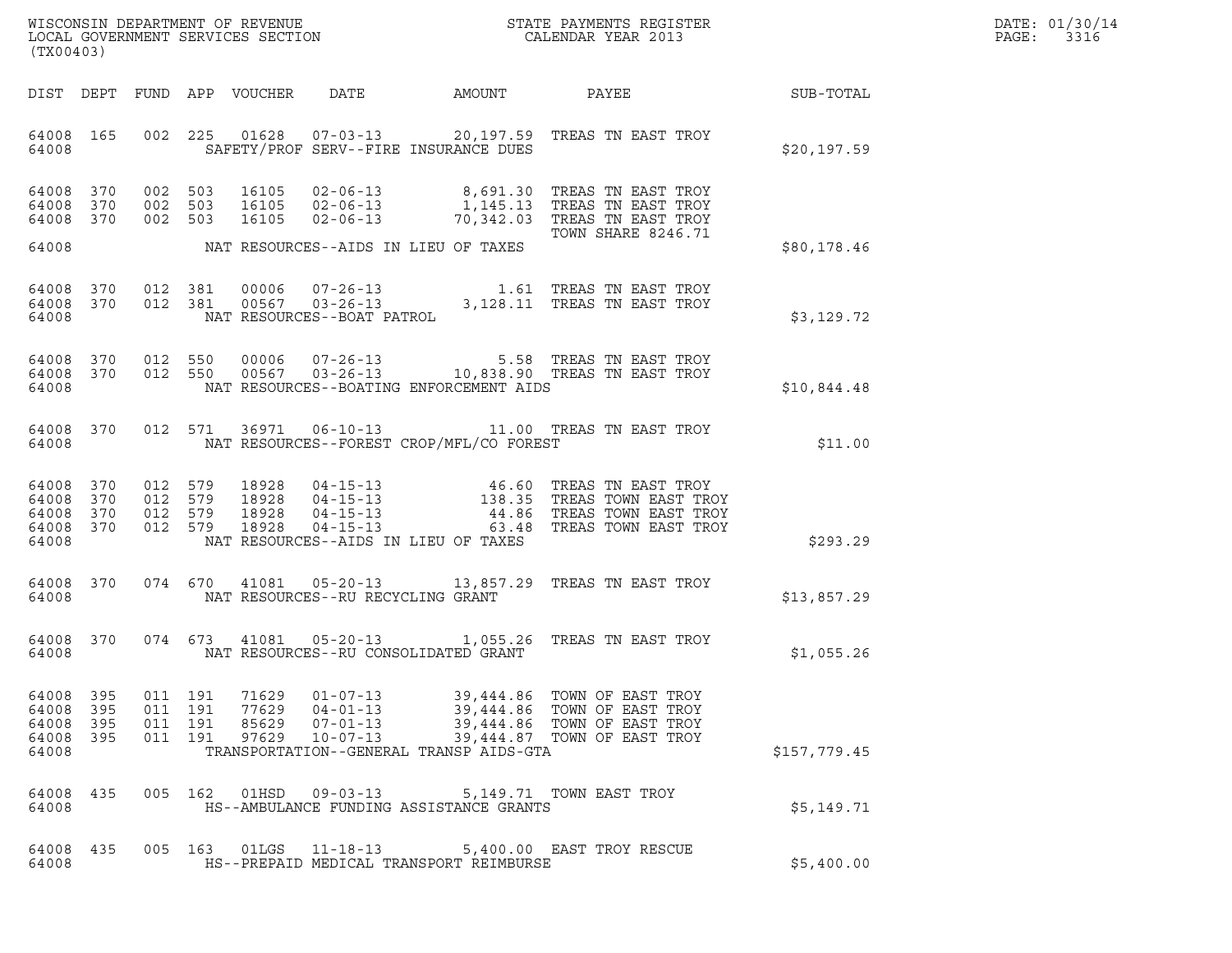| WISCONSIN DEPARTMENT OF REVENUE   | STATE PAYMENTS REGISTER | DATE: 01/30/14 |
|-----------------------------------|-------------------------|----------------|
| LOCAL GOVERNMENT SERVICES SECTION | CALENDAR YEAR 2013      | 3316<br>PAGE:  |

| (TX00403)                                                 |                          |                    |                    | WISCONSIN DEPARTMENT OF REVENUE<br>LOCAL GOVERNMENT SERVICES SECTION<br>CALENDAR YEAR 2013 | ER ET ALLENDER ET ALLENDER ET ALLENDER ET ALLENDER ET ALLENDER ET ALLENDER ET ALLENDER ET ALLENDER ET ALLENDER | DATE: 01/30/14<br>PAGE: 3316                                                   |                                                                                                                                                                                                                          |              |  |
|-----------------------------------------------------------|--------------------------|--------------------|--------------------|--------------------------------------------------------------------------------------------|----------------------------------------------------------------------------------------------------------------|--------------------------------------------------------------------------------|--------------------------------------------------------------------------------------------------------------------------------------------------------------------------------------------------------------------------|--------------|--|
|                                                           |                          |                    |                    |                                                                                            |                                                                                                                |                                                                                | DIST DEPT FUND APP VOUCHER DATE AMOUNT PAYEE SUB-TOTAL                                                                                                                                                                   |              |  |
|                                                           |                          |                    |                    |                                                                                            |                                                                                                                |                                                                                | 64008 165 002 225 01628 07-03-13 20,197.59 TREAS TN EAST TROY<br>64008 SAFETY/PROF SERV--FIRE INSURANCE DUES                                                                                                             | \$20,197.59  |  |
| 64008 370<br>64008 370<br>64008 370                       |                          |                    |                    |                                                                                            |                                                                                                                |                                                                                | 002 503 16105 02-06-13 8,691.30 TREAS TN EAST TROY<br>002 503 16105 02-06-13 1,145.13 TREAS TN EAST TROY<br>002 503 16105 02-06-13 70,342.03 TREAS TN EAST TROY<br>TOWN SHARE 8246.71                                    |              |  |
|                                                           |                          |                    |                    |                                                                                            |                                                                                                                | 64008 MAT RESOURCES--AIDS IN LIEU OF TAXES                                     |                                                                                                                                                                                                                          | \$80,178.46  |  |
| 64008                                                     |                          |                    |                    |                                                                                            | NAT RESOURCES--BOAT PATROL                                                                                     |                                                                                | $\begin{array}{cccccccc} 64008 & 370 & 012 & 381 & 00006 & 07\hbox{-}26\hbox{-}13 & & & 1.61 \\\hline 64008 & 370 & 012 & 381 & 00567 & 03\hbox{-}26\hbox{-}13 & & 3,128.11 \quad \text{TREAS TN EAST TROY} \end{array}$ | \$3,129.72   |  |
| 64008                                                     |                          |                    |                    |                                                                                            |                                                                                                                | NAT RESOURCES--BOATING ENFORCEMENT AIDS                                        | $\begin{array}{cccccc} 64008 & 370 & 012 & 550 & 00006 & 07-26-13 & & & & 5.58 & \text{TREAS TN EAST TROY} \\ 64008 & 370 & 012 & 550 & 00567 & 03-26-13 & & & 10,838.90 & \text{TREAS TN EAST TROY} \end{array}$        | \$10,844.48  |  |
| 64008                                                     |                          |                    |                    |                                                                                            |                                                                                                                | NAT RESOURCES--FOREST CROP/MFL/CO FOREST                                       | 64008 370 012 571 36971 06-10-13 11.00 TREAS TN EAST TROY                                                                                                                                                                | \$11.00      |  |
| 64008 370<br>64008 370<br>64008 370<br>64008 370<br>64008 |                          |                    |                    |                                                                                            |                                                                                                                | NAT RESOURCES--AIDS IN LIEU OF TAXES                                           | 012 579 18928 04-15-13 46.60 TREAS TN EAST TROY<br>012 579 18928 04-15-13 138.35 TREAS TOWN EAST TROY<br>012 579 18928 04-15-13 44.86 TREAS TOWN EAST TROY<br>012 579 18928 04-15-13 63.48 TREAS TOWN EAST TROY          | \$293.29     |  |
| 64008                                                     |                          |                    |                    |                                                                                            | NAT RESOURCES--RU RECYCLING GRANT                                                                              |                                                                                | 64008 370 074 670 41081 05-20-13 13,857.29 TREAS TN EAST TROY                                                                                                                                                            | \$13,857.29  |  |
| 64008                                                     |                          |                    |                    |                                                                                            |                                                                                                                | NAT RESOURCES--RU CONSOLIDATED GRANT                                           | 64008 370 074 673 41081 05-20-13 1,055.26 TREAS TN EAST TROY                                                                                                                                                             | \$1,055.26   |  |
| 64008<br>64008<br>64008<br>64008<br>64008                 | 395<br>395<br>395<br>395 | 011 191<br>011 191 | 011 191<br>011 191 | 71629<br>77629<br>85629<br>97629                                                           | $01 - 07 - 13$<br>$04 - 01 - 13$<br>$07 - 01 - 13$<br>$10 - 07 - 13$                                           | 39,444.86<br>39,444.86<br>39,444.86<br>TRANSPORTATION--GENERAL TRANSP AIDS-GTA | TOWN OF EAST TROY<br>TOWN OF EAST TROY<br>TOWN OF EAST TROY<br>39,444.87 TOWN OF EAST TROY                                                                                                                               | \$157,779.45 |  |
| 64008<br>64008                                            | 435                      |                    | 005 162            |                                                                                            |                                                                                                                | HS--AMBULANCE FUNDING ASSISTANCE GRANTS                                        | 5,149.71 TOWN EAST TROY                                                                                                                                                                                                  | \$5,149.71   |  |
| 64008<br>64008                                            | 435                      |                    | 005 163            |                                                                                            | 01LGS  11-18-13                                                                                                | HS--PREPAID MEDICAL TRANSPORT REIMBURSE                                        | 5,400.00 EAST TROY RESCUE                                                                                                                                                                                                | \$5,400.00   |  |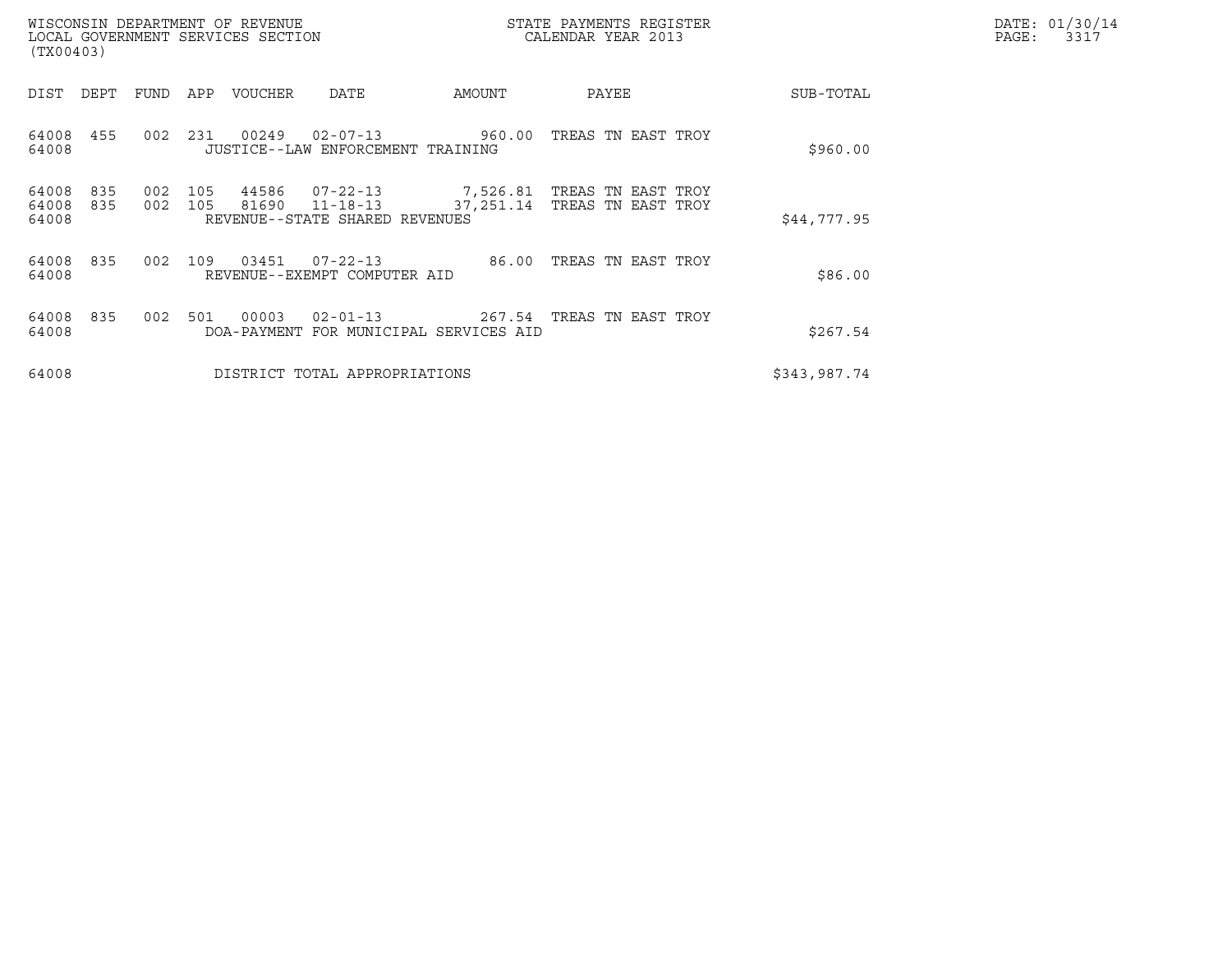| (TX00403)               |            |                  |            | WISCONSIN DEPARTMENT OF REVENUE<br>LOCAL GOVERNMENT SERVICES SECTION |                                                                    |        | STATE PAYMENTS REGISTER<br>CALENDAR YEAR 2013                     |              | DATE: 01/30/14<br>PAGE:<br>3317 |
|-------------------------|------------|------------------|------------|----------------------------------------------------------------------|--------------------------------------------------------------------|--------|-------------------------------------------------------------------|--------------|---------------------------------|
| DIST                    | DEPT       | FUND             | APP        | VOUCHER                                                              | DATE                                                               | AMOUNT | PAYEE                                                             | SUB-TOTAL    |                                 |
| 64008<br>64008          | 455        | 0 <sub>0</sub> 2 | 231        | 00249                                                                | $02 - 07 - 13$ 960.00<br>JUSTICE--LAW ENFORCEMENT TRAINING         |        | TREAS TN EAST TROY                                                | \$960.00     |                                 |
| 64008<br>64008<br>64008 | 835<br>835 | 002<br>002       | 105<br>105 | 44586<br>81690                                                       | $07 - 22 - 13$<br>$11 - 18 - 13$<br>REVENUE--STATE SHARED REVENUES |        | 7,526.81   TREAS  TN  EAST   TROY<br>37,251.14 TREAS TN EAST TROY | \$44,777.95  |                                 |
| 64008<br>64008          | 835        | 002              | 109        | 03451                                                                | $07 - 22 - 13$<br>REVENUE--EXEMPT COMPUTER AID                     | 86.00  | TREAS TN EAST TROY                                                | \$86.00      |                                 |
| 64008<br>64008          | 835        | 002              | 501        | 00003                                                                | $02 - 01 - 13$<br>DOA-PAYMENT FOR MUNICIPAL SERVICES AID           |        | 267.54 TREAS TN EAST TROY                                         | \$267.54     |                                 |
| 64008                   |            |                  |            |                                                                      | DISTRICT TOTAL APPROPRIATIONS                                      |        |                                                                   | \$343,987.74 |                                 |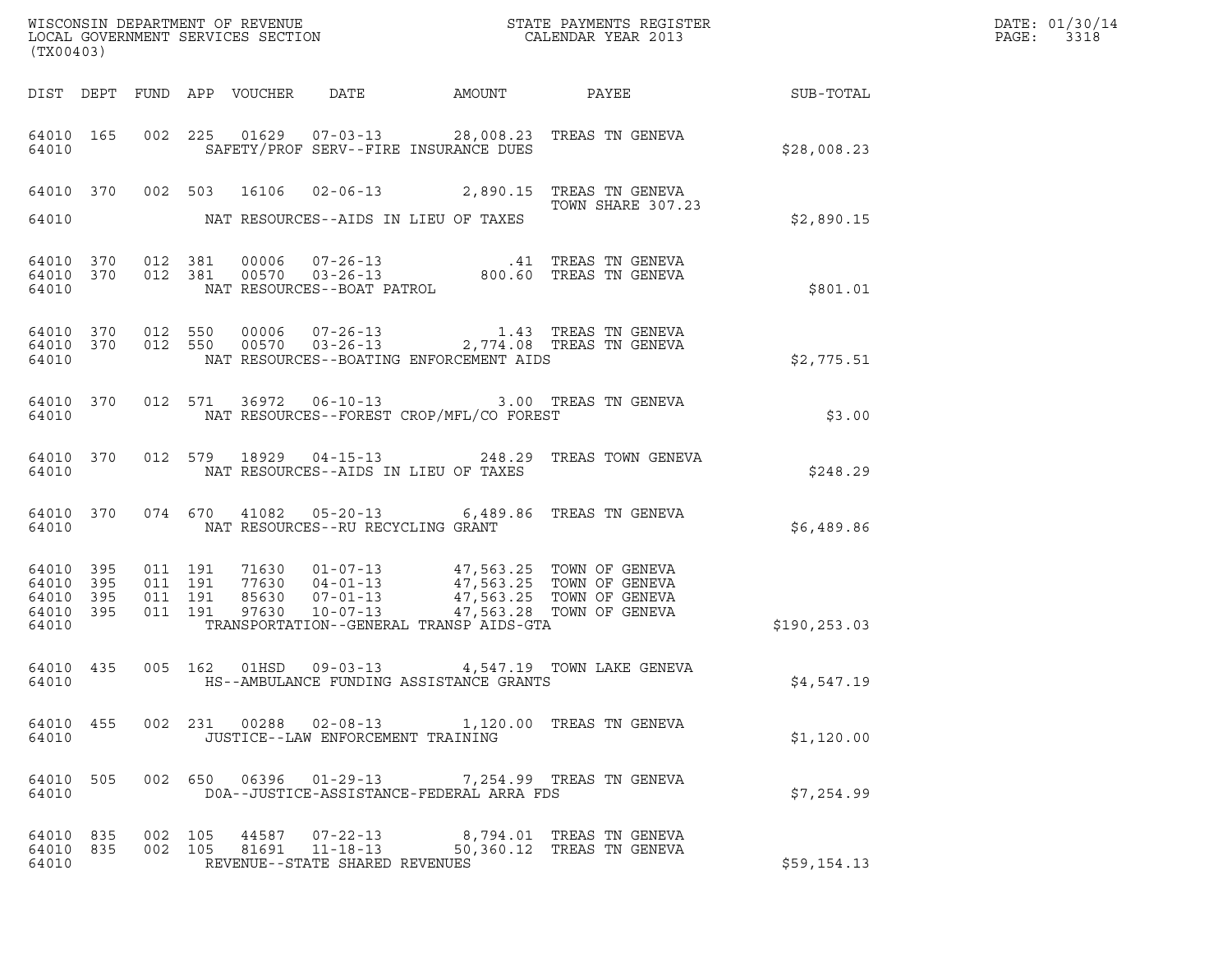| (TX00403)                                                 |           |                                          |                                      |                                      |                                          | DATE: 01/30/14<br>PAGE:<br>3318                                                                                                                                                                                                                                                                                           |               |  |
|-----------------------------------------------------------|-----------|------------------------------------------|--------------------------------------|--------------------------------------|------------------------------------------|---------------------------------------------------------------------------------------------------------------------------------------------------------------------------------------------------------------------------------------------------------------------------------------------------------------------------|---------------|--|
|                                                           |           |                                          | DIST DEPT FUND APP VOUCHER           | DATE                                 |                                          |                                                                                                                                                                                                                                                                                                                           |               |  |
| 64010                                                     | 64010 165 |                                          |                                      |                                      | SAFETY/PROF SERV--FIRE INSURANCE DUES    | 002 225 01629 07-03-13 28,008.23 TREAS TN GENEVA                                                                                                                                                                                                                                                                          | \$28,008.23   |  |
|                                                           |           |                                          |                                      |                                      |                                          | 64010 370 002 503 16106 02-06-13 2,890.15 TREAS TN GENEVA<br>TOWN SHARE 307.23                                                                                                                                                                                                                                            |               |  |
| 64010                                                     |           |                                          | NAT RESOURCES--AIDS IN LIEU OF TAXES |                                      |                                          |                                                                                                                                                                                                                                                                                                                           | \$2,890.15    |  |
| 64010 370<br>64010                                        | 64010 370 | 012 381                                  | 012 381                              | NAT RESOURCES--BOAT PATROL           |                                          | $00006$ $07-26-13$ .41 TREAS TN GENEVA<br>00570 03-26-13 800.60 TREAS TN GENEVA<br>RESOURCES--BOAT PATROL                                                                                                                                                                                                                 | \$801.01      |  |
| 64010 370<br>64010                                        |           | 64010 370 012 550<br>012 550             |                                      |                                      | NAT RESOURCES--BOATING ENFORCEMENT AIDS  | $\begin{array}{cccc} 0\,0\,0\,06 & 0\,7-2\,6-1\,3 & \qquad & 1.4\,3 & \textrm{TREAS} & \textrm{TN} & \textrm{GENEVA} \\ 0\,0\,5\,7\,0 & 0\,3-2\,6-1\,3 & 2\,,7\,74\,.\,0\,8 & \textrm{TREAS} & \textrm{TN} & \textrm{GENEVA} \end{array}$                                                                                 | \$2,775.51    |  |
| 64010                                                     | 64010 370 |                                          | 012 571                              |                                      | NAT RESOURCES--FOREST CROP/MFL/CO FOREST | 36972   06-10-13   3.00   TREAS TN GENEVA                                                                                                                                                                                                                                                                                 | \$3.00        |  |
| 64010                                                     | 64010 370 |                                          |                                      | NAT RESOURCES--AIDS IN LIEU OF TAXES |                                          | 012 579 18929 04-15-13 248.29 TREAS TOWN GENEVA                                                                                                                                                                                                                                                                           | \$248.29      |  |
| 64010                                                     | 64010 370 |                                          |                                      | NAT RESOURCES--RU RECYCLING GRANT    |                                          | 074 670 41082 05-20-13 6,489.86 TREAS TN GENEVA                                                                                                                                                                                                                                                                           | \$6,489.86    |  |
| 64010 395<br>64010 395<br>64010 395<br>64010 395<br>64010 |           | 011 191<br>011 191<br>011 191<br>011 191 |                                      |                                      | TRANSPORTATION--GENERAL TRANSP AIDS-GTA  | $\begin{array}{cccc} 71630 & 01\hbox{-}07\hbox{-}13 & 47,563.25 & \text{TOWN OF GENEVA} \\ 77630 & 04\hbox{-}01\hbox{-}13 & 47,563.25 & \text{TOWN OF GENEVA} \\ 85630 & 07\hbox{-}01\hbox{-}13 & 47,563.25 & \text{TOWN OF GENEVA} \\ 97630 & 10\hbox{-}07\hbox{-}13 & 47,563.28 & \text{TOWN OF GENEVA} \\ \end{array}$ | \$190, 253.03 |  |
| 64010 435<br>64010                                        |           |                                          | 005 162                              | 01HSD 09-03-13                       | HS--AMBULANCE FUNDING ASSISTANCE GRANTS  | 4,547.19 TOWN LAKE GENEVA                                                                                                                                                                                                                                                                                                 | \$4,547.19    |  |
| 64010                                                     |           |                                          |                                      | JUSTICE--LAW ENFORCEMENT TRAINING    |                                          | 64010 455 002 231 00288 02-08-13 1,120.00 TREAS TN GENEVA                                                                                                                                                                                                                                                                 | \$1,120.00    |  |
| 64010                                                     | 64010 505 |                                          |                                      |                                      | DOA--JUSTICE-ASSISTANCE-FEDERAL ARRA FDS | 002 650 06396 01-29-13 7,254.99 TREAS TN GENEVA                                                                                                                                                                                                                                                                           | \$7,254.99    |  |
| 64010                                                     | 64010 835 | 64010 835 002 105<br>002 105             |                                      | REVENUE--STATE SHARED REVENUES       |                                          | 44587  07-22-13  8,794.01 TREAS TN GENEVA<br>81691  11-18-13  50,360.12  TREAS TN GENEVA                                                                                                                                                                                                                                  | \$59,154.13   |  |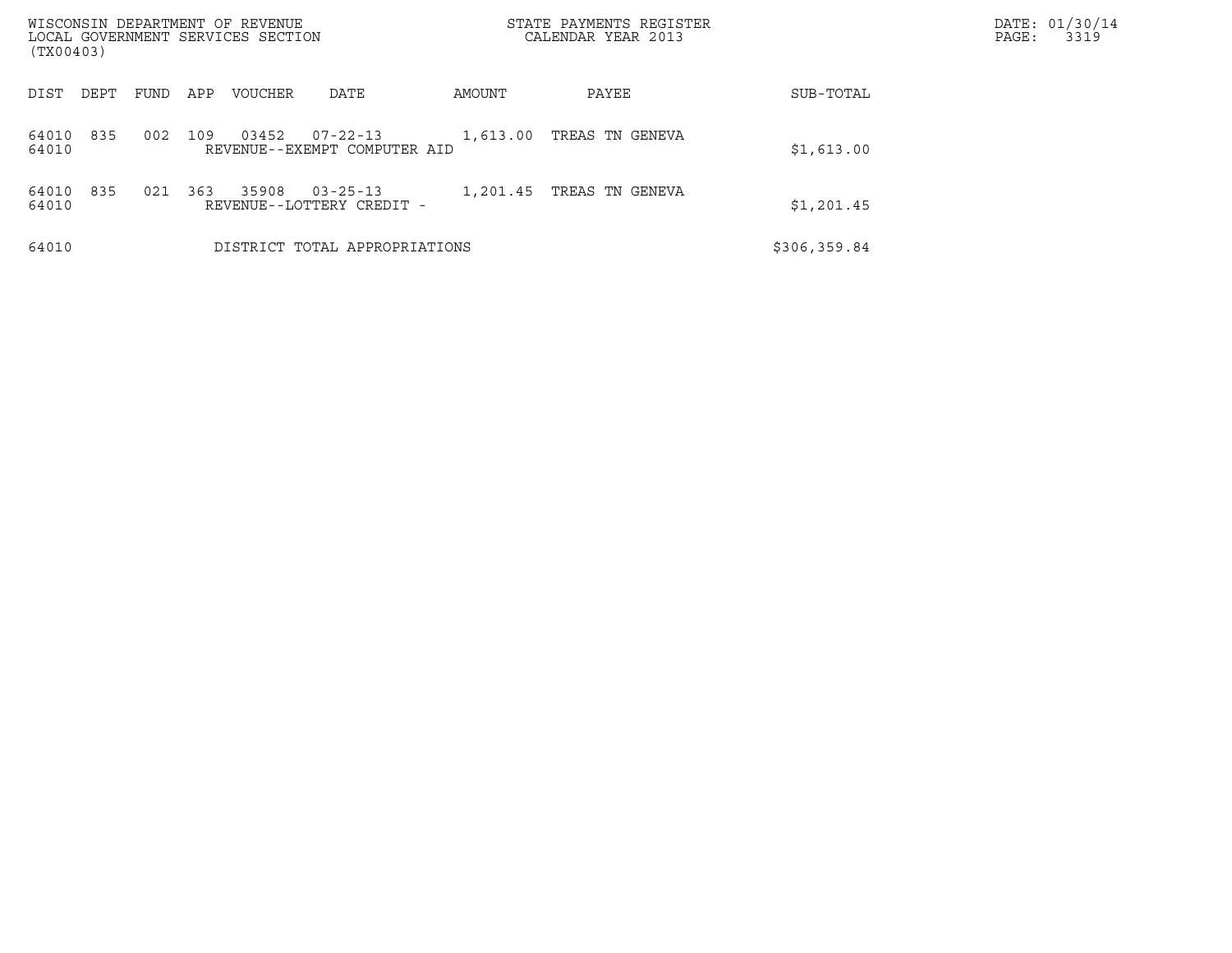| WISCONSIN DEPARTMENT OF REVENUE<br>LOCAL GOVERNMENT SERVICES SECTION<br>(TX00403) |      |     |                |                                                |          | STATE PAYMENTS REGISTER<br>CALENDAR YEAR 2013 |              | DATE: 01/30/14<br>PAGE:<br>3319 |
|-----------------------------------------------------------------------------------|------|-----|----------------|------------------------------------------------|----------|-----------------------------------------------|--------------|---------------------------------|
| DIST<br>DEPT                                                                      | FUND | APP | <b>VOUCHER</b> | DATE                                           | AMOUNT   | PAYEE                                         | SUB-TOTAL    |                                 |
| 835<br>64010<br>64010                                                             | 002  | 109 | 03452          | $07 - 22 - 13$<br>REVENUE--EXEMPT COMPUTER AID | 1,613.00 | TREAS TN GENEVA                               | \$1,613.00   |                                 |
| 835<br>64010<br>64010                                                             | 021  | 363 | 35908          | $03 - 25 - 13$<br>REVENUE--LOTTERY CREDIT -    | 1,201.45 | TREAS TN GENEVA                               | \$1,201.45   |                                 |
| 64010                                                                             |      |     |                | DISTRICT TOTAL APPROPRIATIONS                  |          |                                               | \$306,359.84 |                                 |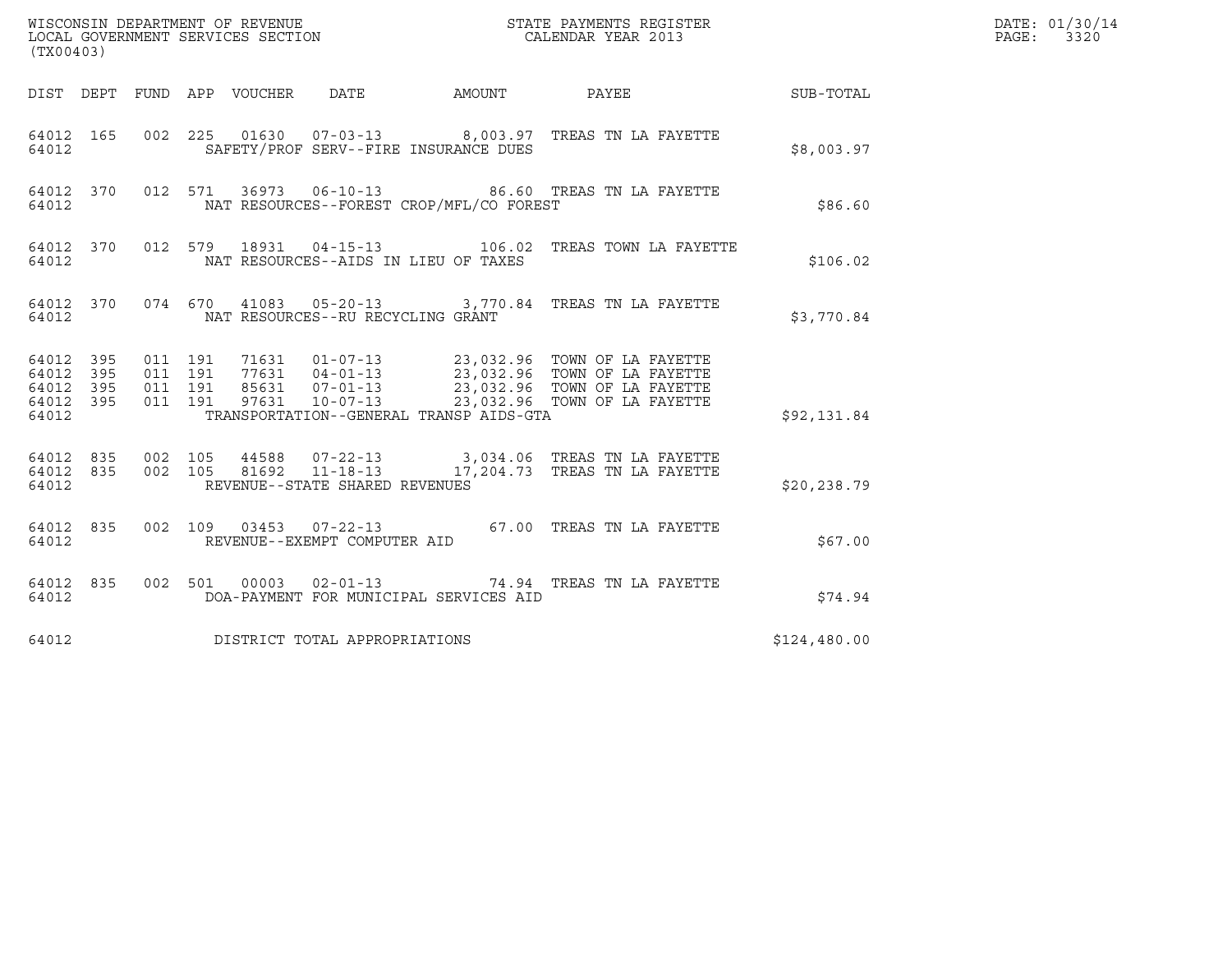| (TX00403)                                         |            |                                          |                                 |  |                                   | DATE: 01/30/14<br>$\mathtt{PAGE:}$<br>3320 |                                                                                                                                                                                                  |              |  |
|---------------------------------------------------|------------|------------------------------------------|---------------------------------|--|-----------------------------------|--------------------------------------------|--------------------------------------------------------------------------------------------------------------------------------------------------------------------------------------------------|--------------|--|
|                                                   |            |                                          | DIST DEPT FUND APP VOUCHER DATE |  |                                   |                                            | AMOUNT PAYEE SUB-TOTAL                                                                                                                                                                           |              |  |
| 64012 165<br>64012                                |            |                                          |                                 |  |                                   | SAFETY/PROF SERV--FIRE INSURANCE DUES      | 002 225 01630 07-03-13 8,003.97 TREAS TN LA FAYETTE                                                                                                                                              | \$8,003.97   |  |
| 64012 370<br>64012                                |            |                                          |                                 |  |                                   | NAT RESOURCES--FOREST CROP/MFL/CO FOREST   | 012 571 36973 06-10-13 86.60 TREAS TN LA FAYETTE                                                                                                                                                 | \$86.60      |  |
| 64012 370<br>64012                                |            |                                          |                                 |  |                                   | NAT RESOURCES--AIDS IN LIEU OF TAXES       | 012 579 18931 04-15-13 106.02 TREAS TOWN LA FAYETTE                                                                                                                                              | \$106.02     |  |
| 64012                                             |            |                                          |                                 |  | NAT RESOURCES--RU RECYCLING GRANT |                                            | 64012 370 074 670 41083 05-20-13 3,770.84 TREAS TN LA FAYETTE                                                                                                                                    | \$3,770.84   |  |
| 64012 395<br>64012<br>64012<br>64012 395<br>64012 | 395<br>395 | 011 191<br>011 191<br>011 191<br>011 191 |                                 |  |                                   | TRANSPORTATION--GENERAL TRANSP AIDS-GTA    | 71631  01-07-13  23,032.96 TOWN OF LA FAYETTE<br>77631  04-01-13  23,032.96 TOWN OF LA FAYETTE<br>85631  07-01-13  23,032.96 TOWN OF LA FAYETTE<br>97631  10-07-13  23,032.96 TOWN OF LA FAYETTE | \$92,131.84  |  |
| 64012 835 002 105<br>64012 835<br>64012           |            |                                          |                                 |  | REVENUE--STATE SHARED REVENUES    |                                            | 002 105 44588 07-22-13 3,034.06 TREAS TN LA FAYETTE<br>002 105 81692 11-18-13 17,204.73 TREAS TN LA FAYETTE                                                                                      | \$20,238.79  |  |
| 64012 835<br>64012                                |            |                                          |                                 |  | REVENUE--EXEMPT COMPUTER AID      |                                            | 002 109 03453 07-22-13 67.00 TREAS TN LA FAYETTE                                                                                                                                                 | \$67.00      |  |
| 64012 835<br>64012                                |            |                                          |                                 |  |                                   | DOA-PAYMENT FOR MUNICIPAL SERVICES AID     | 002 501 00003 02-01-13 74.94 TREAS TN LA FAYETTE                                                                                                                                                 | \$74.94      |  |
| 64012                                             |            |                                          |                                 |  | DISTRICT TOTAL APPROPRIATIONS     |                                            |                                                                                                                                                                                                  | \$124,480.00 |  |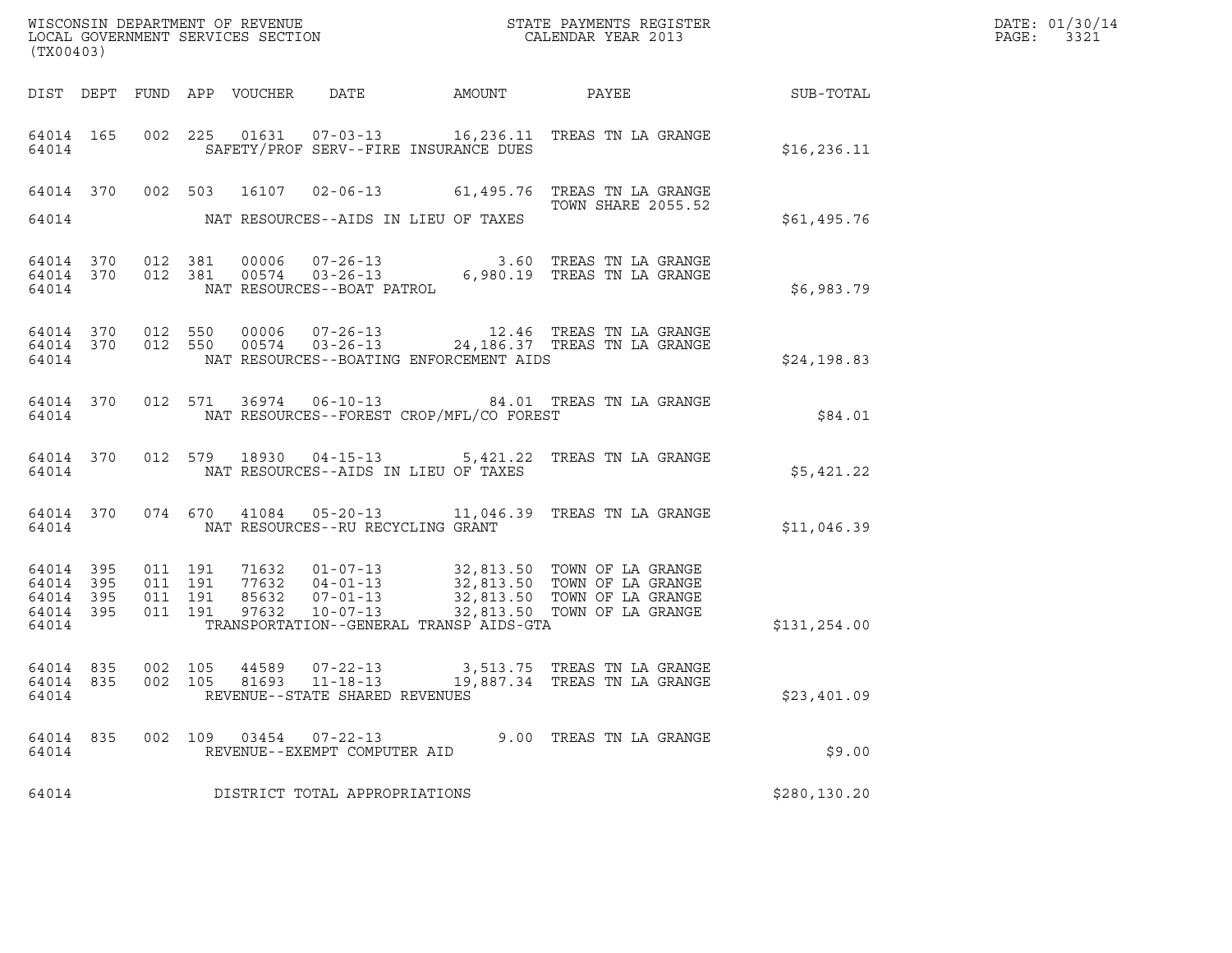| (TX00403)                                             |           |                                          |                    | LOCAL GOVERNMENT SERVICES SECTION |                                                                             |              |                                                                                                                                                     |                  | DATE: 01/30/14<br>PAGE:<br>3321 |
|-------------------------------------------------------|-----------|------------------------------------------|--------------------|-----------------------------------|-----------------------------------------------------------------------------|--------------|-----------------------------------------------------------------------------------------------------------------------------------------------------|------------------|---------------------------------|
|                                                       |           |                                          |                    | DIST DEPT FUND APP VOUCHER DATE   |                                                                             | AMOUNT PAYEE |                                                                                                                                                     | <b>SUB-TOTAL</b> |                                 |
| 64014 165<br>64014                                    |           |                                          |                    |                                   | SAFETY/PROF SERV--FIRE INSURANCE DUES                                       |              | 002 225 01631 07-03-13 16, 236.11 TREAS TN LA GRANGE                                                                                                | \$16, 236.11     |                                 |
| 64014                                                 |           |                                          |                    |                                   | NAT RESOURCES--AIDS IN LIEU OF TAXES                                        |              | 64014 370 002 503 16107 02-06-13 61,495.76 TREAS TN LA GRANGE<br>TOWN SHARE 2055.52                                                                 | \$61,495.76      |                                 |
| 64014 370<br>64014 370<br>64014                       |           | 012 381                                  | 012 381            |                                   |                                                                             |              | 81  00006  07-26-13   3.60 TREAS TN LA GRANGE<br>81  00574  03-26-13   6,980.19 TREAS TN LA GRANGE<br>NAT RESOURCES--BOAT PATROL                    | \$6,983.79       |                                 |
| 64014 370<br>64014                                    | 64014 370 | 012 550                                  | 012 550            | 00006<br>00574                    | $07 - 26 - 13$<br>NAT RESOURCES--BOATING ENFORCEMENT AIDS                   |              | 12.46 TREAS TN LA GRANGE<br>03-26-13 24,186.37 TREAS TN LA GRANGE                                                                                   | \$24,198.83      |                                 |
| 64014                                                 | 64014 370 |                                          |                    |                                   | NAT RESOURCES--FOREST CROP/MFL/CO FOREST                                    |              | 012 571 36974 06-10-13 84.01 TREAS TN LA GRANGE                                                                                                     | \$84.01          |                                 |
| 64014                                                 | 64014 370 |                                          |                    |                                   | NAT RESOURCES--AIDS IN LIEU OF TAXES                                        |              | 012 579 18930 04-15-13 5,421.22 TREAS TN LA GRANGE                                                                                                  | \$5,421.22       |                                 |
| 64014                                                 | 64014 370 |                                          |                    |                                   | NAT RESOURCES--RU RECYCLING GRANT                                           |              | 074 670 41084 05-20-13 11,046.39 TREAS TN LA GRANGE                                                                                                 | \$11,046.39      |                                 |
| 64014 395<br>64014 395<br>64014<br>64014 395<br>64014 | 395       | 011 191<br>011 191<br>011 191<br>011 191 |                    | 71632<br>85632<br>97632           | 77632 04-01-13<br>$10 - 07 - 13$<br>TRANSPORTATION--GENERAL TRANSP AIDS-GTA |              | 01-07-13 32,813.50 TOWN OF LA GRANGE<br>04-01-13 32,813.50 TOWN OF LA GRANGE<br>07-01-13 32,813.50 TOWN OF LA GRANGE<br>32,813.50 TOWN OF LA GRANGE | \$131,254.00     |                                 |
| 64014 835<br>64014 835<br>64014                       |           |                                          | 002 105<br>002 105 |                                   | 44589 07-22-13<br>REVENUE--STATE SHARED REVENUES                            |              | 3,513.75 TREAS TN LA GRANGE<br>81693     11-18-13          19,887.34     TREAS                               TN LA GRANGE                           | \$23,401.09      |                                 |
| 64014 835<br>64014                                    |           |                                          |                    |                                   | 002 109 03454 07-22-13<br>REVENUE--EXEMPT COMPUTER AID                      |              | 9.00 TREAS TN LA GRANGE                                                                                                                             | \$9.00           |                                 |
| 64014                                                 |           |                                          |                    |                                   | DISTRICT TOTAL APPROPRIATIONS                                               |              |                                                                                                                                                     | \$280, 130.20    |                                 |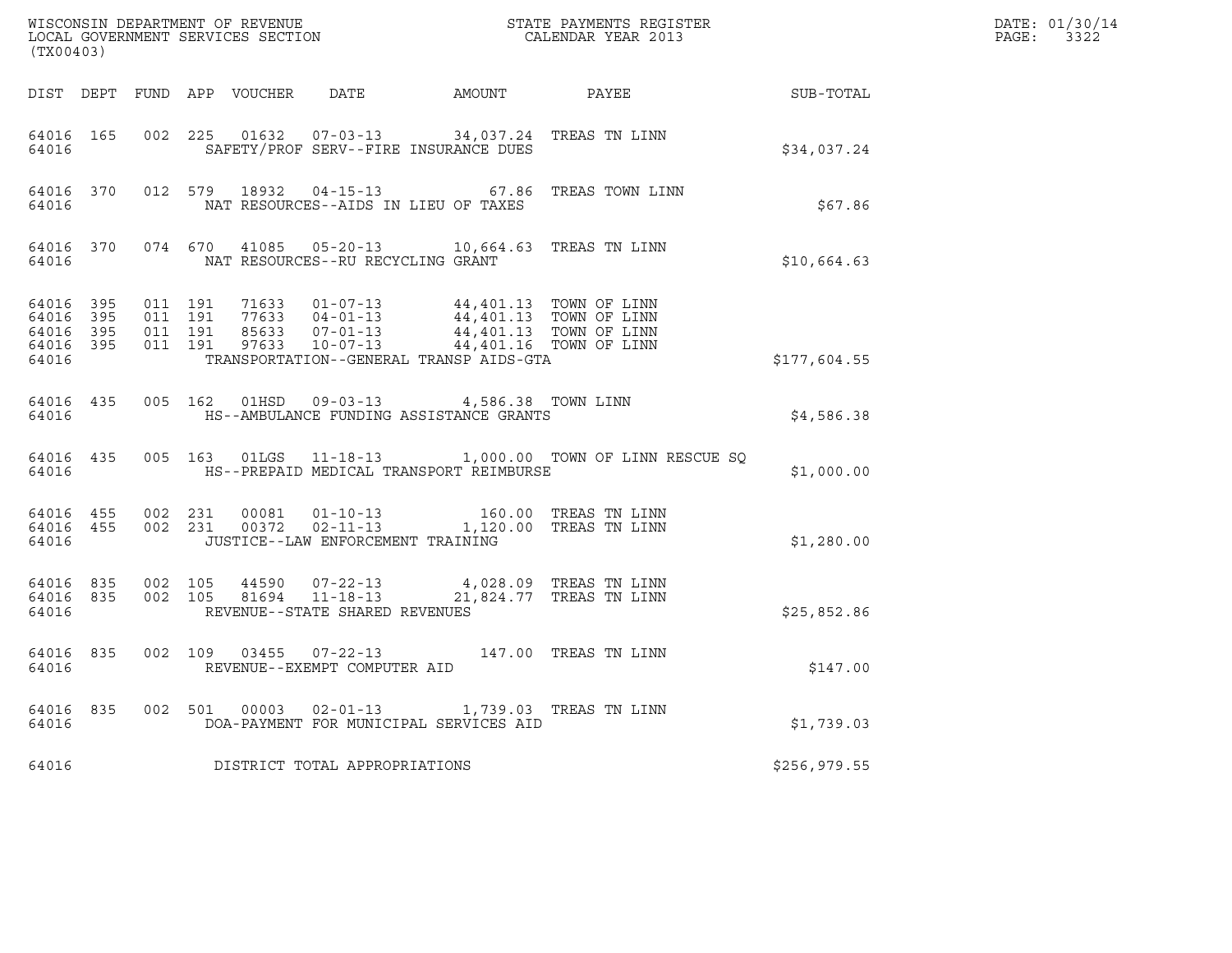| (TX00403)                       |                        |                                          |                         |                                                                                                                                                                                                                                           | ${\tt WISCONSIM\ DEPARTMENT\ OF\ REVENUE}\qquad \qquad {\tt STATE\ PAYMENTS\ REGISTER\ LOCAL\ GOVERNMENT\ SERVICES\ SECTION\qquad \qquad {\tt CALENDAR\ YEAR\ 2013}}$ |              | DATE: 01/30/14<br>PAGE: 3322 |
|---------------------------------|------------------------|------------------------------------------|-------------------------|-------------------------------------------------------------------------------------------------------------------------------------------------------------------------------------------------------------------------------------------|-----------------------------------------------------------------------------------------------------------------------------------------------------------------------|--------------|------------------------------|
|                                 |                        |                                          |                         |                                                                                                                                                                                                                                           | DIST DEPT FUND APP VOUCHER DATE AMOUNT PAYEE SUB-TOTAL                                                                                                                |              |                              |
| 64016                           | 64016 165              |                                          |                         | 002 225 01632 07-03-13 34,037.24 TREAS TN LINN<br>SAFETY/PROF SERV--FIRE INSURANCE DUES                                                                                                                                                   |                                                                                                                                                                       | \$34,037.24  |                              |
| 64016                           |                        |                                          | 64016 370 012 579 18932 | NAT RESOURCES--AIDS IN LIEU OF TAXES                                                                                                                                                                                                      | 04-15-13 67.86 TREAS TOWN LINN                                                                                                                                        | \$67.86      |                              |
|                                 | 64016                  |                                          |                         | 64016 370 074 670 41085 05-20-13 10,664.63 TREAS TN LINN<br>NAT RESOURCES--RU RECYCLING GRANT                                                                                                                                             |                                                                                                                                                                       | \$10,664.63  |                              |
| 64016 395<br>64016 395<br>64016 | 64016 395<br>64016 395 | 011 191<br>011 191<br>011 191<br>011 191 |                         | 71633  01-07-13  44,401.13  TOWN OF LINN<br>77633  04-01-13  44,401.13  TOWN OF LINN<br>85633  07-01-13  44,401.13  TOWN OF LINN<br>97633  10-07-13  44,401.16  TOWN OF LINN<br>TRANSPORTATION--GENERAL TRANSP AIDS-GTA                   |                                                                                                                                                                       | \$177,604.55 |                              |
| 64016                           | 64016 435              |                                          |                         | 005 162 01HSD 09-03-13 4,586.38 TOWN LINN<br>HS--AMBULANCE FUNDING ASSISTANCE GRANTS                                                                                                                                                      |                                                                                                                                                                       | \$4,586.38   |                              |
| 64016                           |                        |                                          |                         | HS--PREPAID MEDICAL TRANSPORT REIMBURSE                                                                                                                                                                                                   | 64016 435 005 163 01LGS 11-18-13 1,000.00 TOWN OF LINN RESCUE SQ                                                                                                      | \$1,000.00   |                              |
| 64016                           |                        |                                          |                         | $\begin{array}{cccccc} 64\,016 & 455 & 002 & 231 & 00081 & 01-10-13 & & 160.00 & \text{TREAS TN LIN} \\ 64\,016 & 455 & 002 & 231 & 00372 & 02-11-13 & & 1,120.00 & \text{TREAS TN LIN} \end{array}$<br>JUSTICE--LAW ENFORCEMENT TRAINING |                                                                                                                                                                       | \$1,280.00   |                              |
| 64016 835<br>64016              | 64016 835 002 105      | 002 105                                  |                         | REVENUE--STATE SHARED REVENUES                                                                                                                                                                                                            |                                                                                                                                                                       | \$25,852.86  |                              |
|                                 | 64016 835<br>64016     |                                          |                         | 002 109 03455 07-22-13 147.00 TREAS TN LINN<br>REVENUE--EXEMPT COMPUTER AID                                                                                                                                                               |                                                                                                                                                                       | \$147.00     |                              |
|                                 | 64016 7                |                                          |                         | 64016 835 002 501 00003 02-01-13 1,739.03 TREAS TN LINN<br>DOA-PAYMENT FOR MUNICIPAL SERVICES AID                                                                                                                                         |                                                                                                                                                                       | \$1,739.03   |                              |
| 64016                           |                        |                                          |                         | DISTRICT TOTAL APPROPRIATIONS                                                                                                                                                                                                             |                                                                                                                                                                       | \$256,979.55 |                              |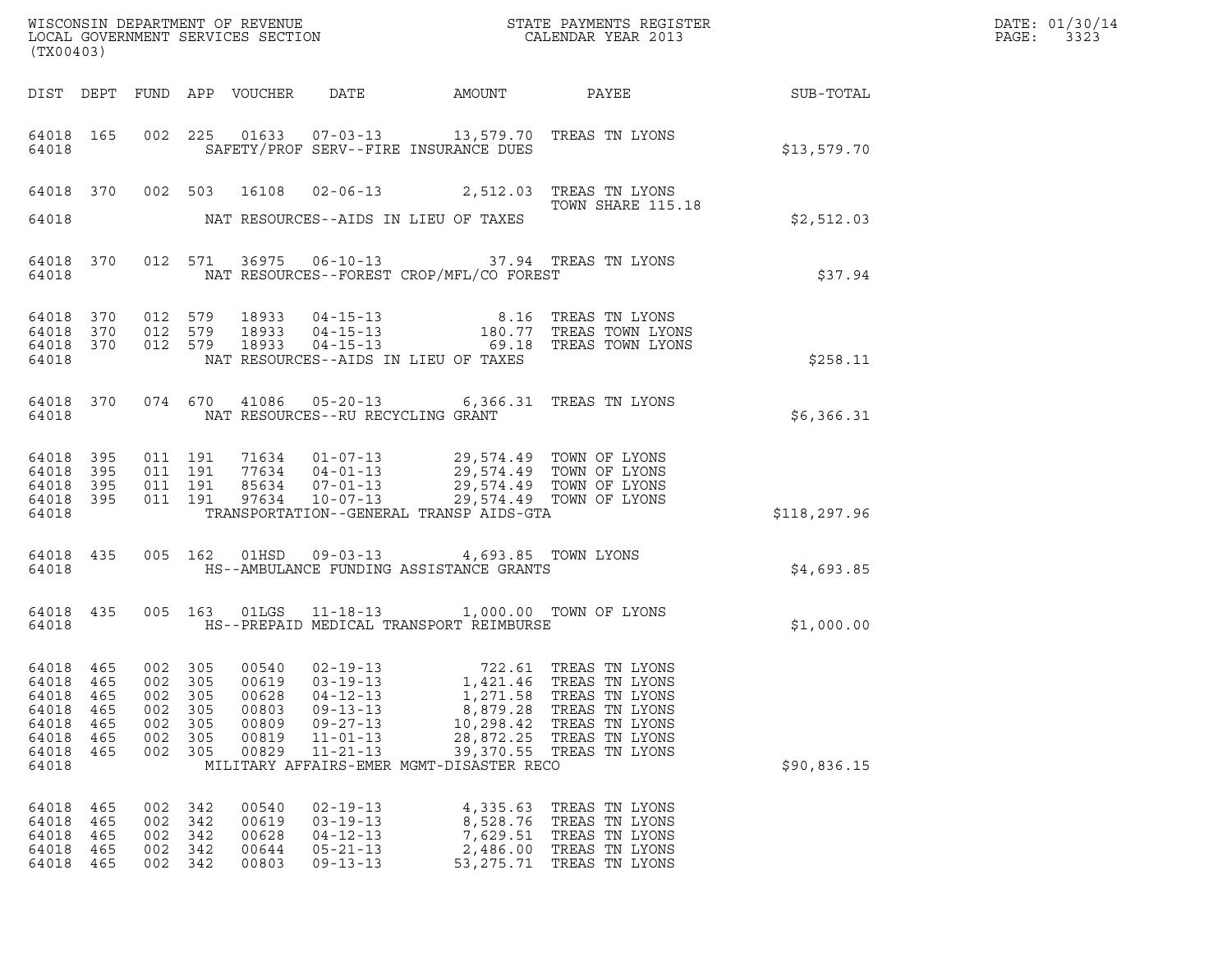| ${\tt WISCONSIM\ DEPARTMENT\ OF\ REVENUE}\hbox{\tt STATE\ PAYMENTS\ REGISTER\ LOCAL\ GOVERNMENT\ SERVICES\ SECTION\thinspace\ {\tt SCTION}\hbox{\tt CALENDAR\ YEAR\ 2013}}$<br>(TX00403) |                                        |                                                   |                                        |                                                    |                                                                                                          |                                                                                                                     |                                                                                                                                                       |              | DATE: 01/30/14<br>PAGE:<br>3323 |
|------------------------------------------------------------------------------------------------------------------------------------------------------------------------------------------|----------------------------------------|---------------------------------------------------|----------------------------------------|----------------------------------------------------|----------------------------------------------------------------------------------------------------------|---------------------------------------------------------------------------------------------------------------------|-------------------------------------------------------------------------------------------------------------------------------------------------------|--------------|---------------------------------|
|                                                                                                                                                                                          |                                        |                                                   |                                        | DIST DEPT FUND APP VOUCHER                         | DATE                                                                                                     |                                                                                                                     |                                                                                                                                                       |              |                                 |
| 64018                                                                                                                                                                                    | 64018 165                              |                                                   |                                        |                                                    |                                                                                                          | SAFETY/PROF SERV--FIRE INSURANCE DUES                                                                               | 002 225 01633 07-03-13 13,579.70 TREAS TN LYONS                                                                                                       | \$13,579.70  |                                 |
|                                                                                                                                                                                          |                                        |                                                   |                                        |                                                    |                                                                                                          |                                                                                                                     | 64018 370 002 503 16108 02-06-13 2,512.03 TREAS TN LYONS<br>TOWN SHARE 115.18                                                                         |              |                                 |
| 64018                                                                                                                                                                                    |                                        |                                                   |                                        |                                                    | NAT RESOURCES--AIDS IN LIEU OF TAXES                                                                     |                                                                                                                     |                                                                                                                                                       | \$2,512.03   |                                 |
| 64018                                                                                                                                                                                    | 64018 370                              |                                                   | 012 571                                |                                                    |                                                                                                          | NAT RESOURCES--FOREST CROP/MFL/CO FOREST                                                                            | 36975  06-10-13  37.94  TREAS TN LYONS                                                                                                                | \$37.94      |                                 |
| 64018<br>64018 370<br>64018 370<br>64018                                                                                                                                                 | 370                                    | 012 579<br>012 579<br>012 579                     |                                        |                                                    | NAT RESOURCES--AIDS IN LIEU OF TAXES                                                                     |                                                                                                                     | 18933  04-15-13   8.16  TREAS TN LYONS<br>18933  04-15-13   180.77  TREAS TOWN LYONS<br>18933  04-15-13   69.18  TREAS TOWN LYONS                     | \$258.11     |                                 |
| 64018                                                                                                                                                                                    | 64018 370                              |                                                   |                                        |                                                    | NAT RESOURCES--RU RECYCLING GRANT                                                                        |                                                                                                                     | 074 670 41086 05-20-13 6,366.31 TREAS TN LYONS                                                                                                        | \$6,366.31   |                                 |
| 64018<br>64018<br>64018<br>64018 395<br>64018                                                                                                                                            | 395<br>395<br>395                      | 011 191<br>011 191<br>011 191<br>011 191          |                                        | 97634                                              | $10 - 07 - 13$                                                                                           | TRANSPORTATION--GENERAL TRANSP AIDS-GTA                                                                             | 71634 01-07-13 29,574.49 TOWN OF LYONS<br>77634 04-01-13 29,574.49 TOWN OF LYONS<br>85634 07-01-13 29,574.49 TOWN OF LYONS<br>29,574.49 TOWN OF LYONS | \$118,297.96 |                                 |
| 64018                                                                                                                                                                                    | 64018 435                              |                                                   |                                        |                                                    |                                                                                                          | 005 162 01HSD 09-03-13 4,693.85 TOWN LYONS<br>HS--AMBULANCE FUNDING ASSISTANCE GRANTS                               |                                                                                                                                                       | \$4,693.85   |                                 |
| 64018                                                                                                                                                                                    | 64018 435                              |                                                   |                                        |                                                    |                                                                                                          | HS--PREPAID MEDICAL TRANSPORT REIMBURSE                                                                             | 005 163 01LGS 11-18-13 1,000.00 TOWN OF LYONS                                                                                                         | \$1,000.00   |                                 |
| 64018 465<br>64018<br>64018<br>64018<br>64018<br>64018<br>64018<br>64018                                                                                                                 | 465<br>465<br>465<br>465<br>465<br>465 | 002 305<br>002<br>002<br>002<br>002<br>002<br>002 | 305<br>305<br>305<br>305<br>305<br>305 | 00619<br>00628<br>00803<br>00809<br>00819<br>00829 | $03 - 19 - 13$<br>$04 - 12 - 13$<br>$09 - 13 - 13$<br>$09 - 27 - 13$<br>$11 - 01 - 13$<br>$11 - 21 - 13$ | 1,421.46<br>1,271.58<br>8,879.28<br>10,298.42<br>28,872.25<br>39,370.55<br>MILITARY AFFAIRS-EMER MGMT-DISASTER RECO | 00540  02-19-13  722.61  TREAS TN LYONS<br>TREAS TN LYONS<br>TREAS TN LYONS<br>TREAS TN LYONS<br>TREAS TN LYONS<br>TREAS TN LYONS<br>TREAS TN LYONS   | \$90,836.15  |                                 |
| 64018<br>64018<br>64018<br>64018<br>64018                                                                                                                                                | 465<br>465<br>465<br>465<br>465        | 002<br>002<br>002<br>002<br>002                   | 342<br>342<br>342<br>342<br>342        | 00540<br>00619<br>00628<br>00644<br>00803          | $02 - 19 - 13$<br>$03 - 19 - 13$<br>$04 - 12 - 13$<br>$05 - 21 - 13$<br>$09 - 13 - 13$                   | 4,335.63<br>8,528.76<br>7,629.51<br>2,486.00<br>53, 275. 71                                                         | TREAS TN LYONS<br>TREAS TN LYONS<br>TREAS TN LYONS<br>TREAS TN LYONS<br>TREAS TN LYONS                                                                |              |                                 |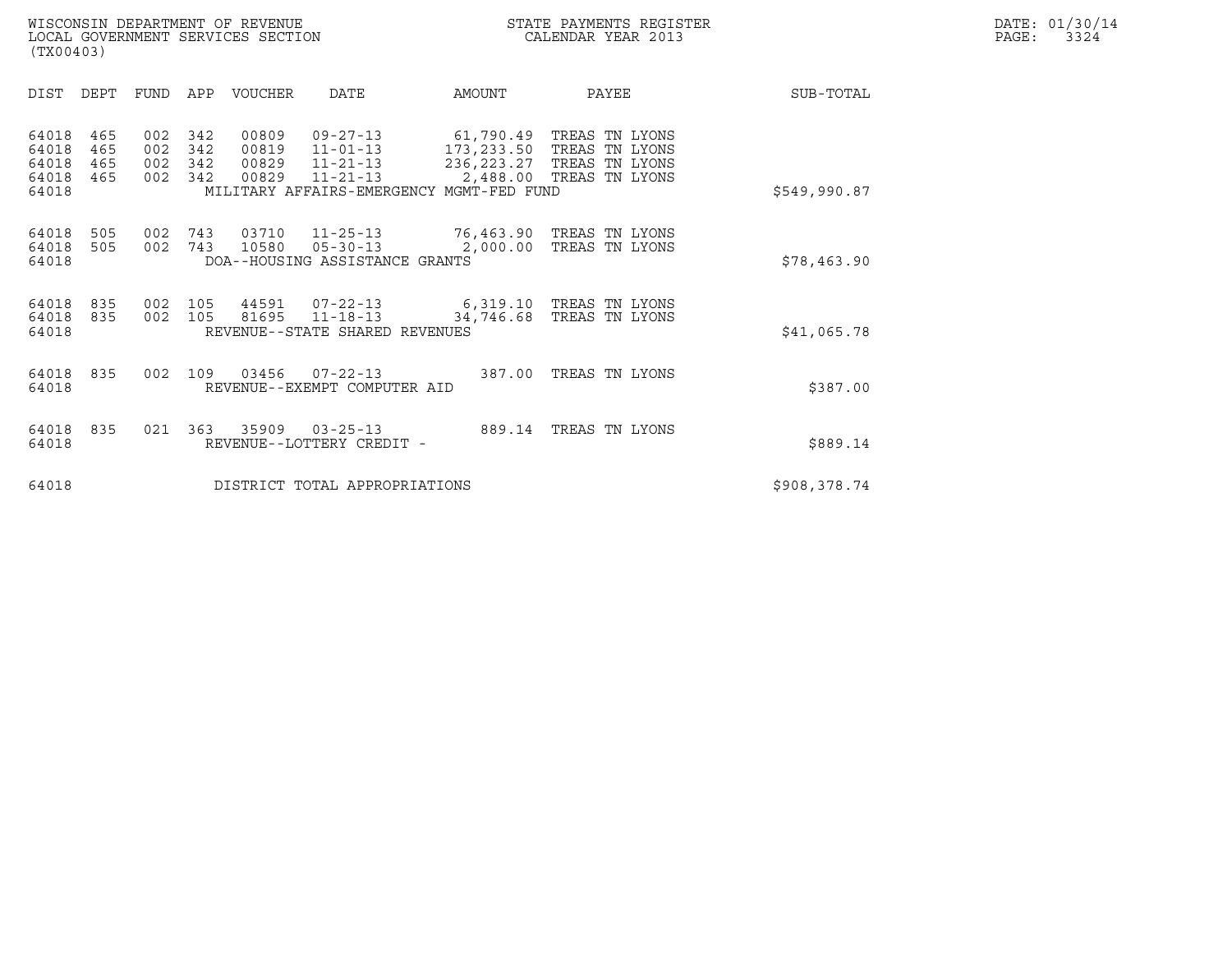|       | DATE: 01/30/14 |
|-------|----------------|
| PAGE: | 3324           |

| WISCONSIN DEPARTMENT OF REVENUE<br>LOCAL GOVERNMENT SERVICES SECTION<br>(TX00403) | STATE PAYMENTS REGISTER<br>CALENDAR YEAR 2013 | DATE: 01/30/14<br>PAGE:<br>3324 |
|-----------------------------------------------------------------------------------|-----------------------------------------------|---------------------------------|

| (TX00403)                                 |                          |                          |                          |                                  |                                                                    |                                                       |                                                                                                       |              |  |
|-------------------------------------------|--------------------------|--------------------------|--------------------------|----------------------------------|--------------------------------------------------------------------|-------------------------------------------------------|-------------------------------------------------------------------------------------------------------|--------------|--|
| DIST                                      | DEPT                     | <b>FUND</b>              | APP                      | VOUCHER                          | DATE                                                               | AMOUNT                                                | PAYEE                                                                                                 | SUB-TOTAL    |  |
| 64018<br>64018<br>64018<br>64018<br>64018 | 465<br>465<br>465<br>465 | 002<br>002<br>002<br>002 | 342<br>342<br>342<br>342 | 00809<br>00819<br>00829<br>00829 | 09-27-13<br>$11 - 01 - 13$<br>$11 - 21 - 13$<br>11-21-13           | 61,790.49<br>MILITARY AFFAIRS-EMERGENCY MGMT-FED FUND | TREAS TN LYONS<br>173, 233.50 TREAS TN LYONS<br>236, 223.27 TREAS TN LYONS<br>2,488.00 TREAS TN LYONS | \$549,990.87 |  |
| 64018<br>64018<br>64018                   | 505<br>505               | 002<br>002               | 743<br>743               | 03710<br>10580                   | $05 - 30 - 13$<br>DOA--HOUSING ASSISTANCE GRANTS                   |                                                       | 11-25-13 76,463.90 TREAS TN LYONS<br>2,000.00 TREAS TN LYONS                                          | \$78,463.90  |  |
| 64018<br>64018<br>64018                   | 835<br>835               | 002<br>002               | 105<br>105               | 44591<br>81695                   | $07 - 22 - 13$<br>$11 - 18 - 13$<br>REVENUE--STATE SHARED REVENUES | 34,746.68                                             | 6,319.10 TREAS TN LYONS<br>TREAS TN LYONS                                                             | \$41,065.78  |  |
| 64018<br>64018                            | 835                      | 002                      | 109                      | 03456                            | $07 - 22 - 13$<br>REVENUE--EXEMPT COMPUTER AID                     |                                                       | 387.00 TREAS TN LYONS                                                                                 | \$387.00     |  |
| 64018<br>64018                            | 835                      | 021                      | 363                      | 35909                            | $03 - 25 - 13$<br>REVENUE--LOTTERY CREDIT -                        |                                                       | 889.14 TREAS TN LYONS                                                                                 | \$889.14     |  |
| 64018                                     |                          |                          |                          |                                  | DISTRICT TOTAL APPROPRIATIONS                                      |                                                       |                                                                                                       | \$908,378.74 |  |
|                                           |                          |                          |                          |                                  |                                                                    |                                                       |                                                                                                       |              |  |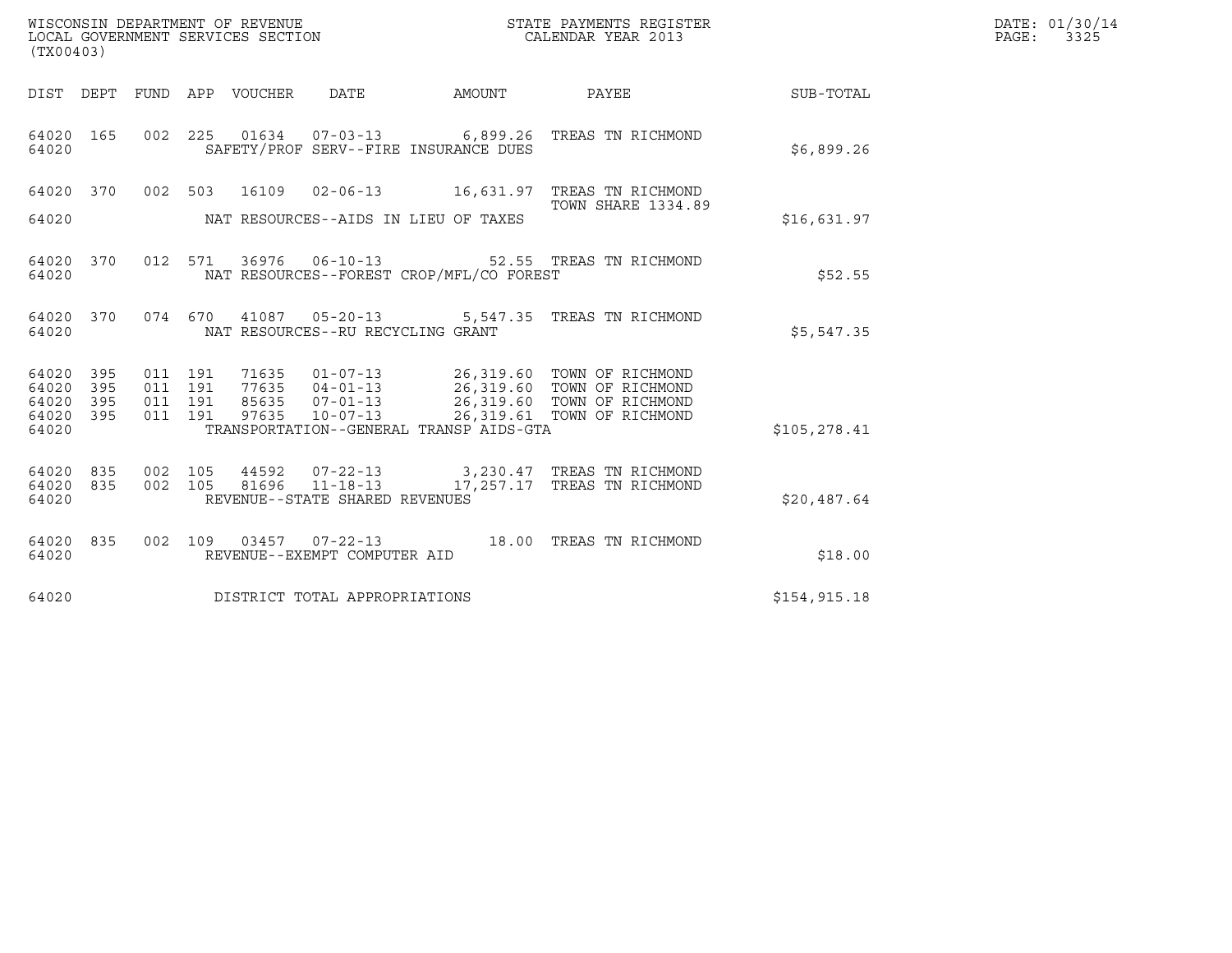| WISCONSIN DEPARTMENT OF REVENUE<br>LOCAL GOVERNMENT SERVICES SECTION<br>(TX00403)                                 |                                                                                                                                                                                                                    | STATE PAYMENTS REGISTER<br>CALENDAR YEAR 2013             |               | DATE: 01/30/14<br>PAGE:<br>3325 |
|-------------------------------------------------------------------------------------------------------------------|--------------------------------------------------------------------------------------------------------------------------------------------------------------------------------------------------------------------|-----------------------------------------------------------|---------------|---------------------------------|
| DIST DEPT FUND APP VOUCHER DATE                                                                                   | AMOUNT                                                                                                                                                                                                             | <b>PAYEE</b>                                              | SUB-TOTAL     |                                 |
| 64020 165<br>64020                                                                                                | 002 225 01634 07-03-13 6,899.26 TREAS TN RICHMOND<br>SAFETY/PROF SERV--FIRE INSURANCE DUES                                                                                                                         |                                                           | \$6,899.26    |                                 |
| 64020 370<br>64020                                                                                                | 002 503 16109 02-06-13 16,631.97 TREAS TN RICHMOND<br>NAT RESOURCES--AIDS IN LIEU OF TAXES                                                                                                                         | <b>TOWN SHARE 1334.89</b>                                 | \$16,631.97   |                                 |
| 012 571<br>64020 370<br>64020                                                                                     | 36976  06-10-13  52.55  TREAS TN RICHMOND<br>NAT RESOURCES--FOREST CROP/MFL/CO FOREST                                                                                                                              |                                                           | \$52.55       |                                 |
| 64020 370<br>64020                                                                                                | 074  670  41087  05-20-13  5,547.35  TREAS TN RICHMOND<br>NAT RESOURCES--RU RECYCLING GRANT                                                                                                                        |                                                           | \$5,547.35    |                                 |
| 011 191<br>64020<br>395<br>011 191<br>395<br>64020<br>395<br>011 191<br>64020<br>011 191<br>395<br>64020<br>64020 | 01-07-13 26,319.60 TOWN OF RICHMOND<br>71635<br>77635  04-01-13  26,319.60  TOWN OF RICHMOND<br>85635  07-01-13  26,319.60  TOWN OF RICHMOND<br>97635<br>$10 - 07 - 13$<br>TRANSPORTATION--GENERAL TRANSP AIDS-GTA | 26,319.61 TOWN OF RICHMOND                                | \$105,278.41  |                                 |
| 64020 835<br>002 105<br>002 105<br>64020<br>835<br>64020                                                          | 44592<br>$07 - 22 - 13$<br>81696<br>$11 - 18 - 13$<br>REVENUE--STATE SHARED REVENUES                                                                                                                               | 3,230.47 TREAS TN RICHMOND<br>17,257.17 TREAS TN RICHMOND | \$20,487.64   |                                 |
| 64020 835<br>64020                                                                                                | 002  109  03457  07-22-13  18.00 TREAS TN RICHMOND<br>REVENUE--EXEMPT COMPUTER AID                                                                                                                                 |                                                           | \$18.00       |                                 |
| 64020                                                                                                             | DISTRICT TOTAL APPROPRIATIONS                                                                                                                                                                                      |                                                           | \$154, 915.18 |                                 |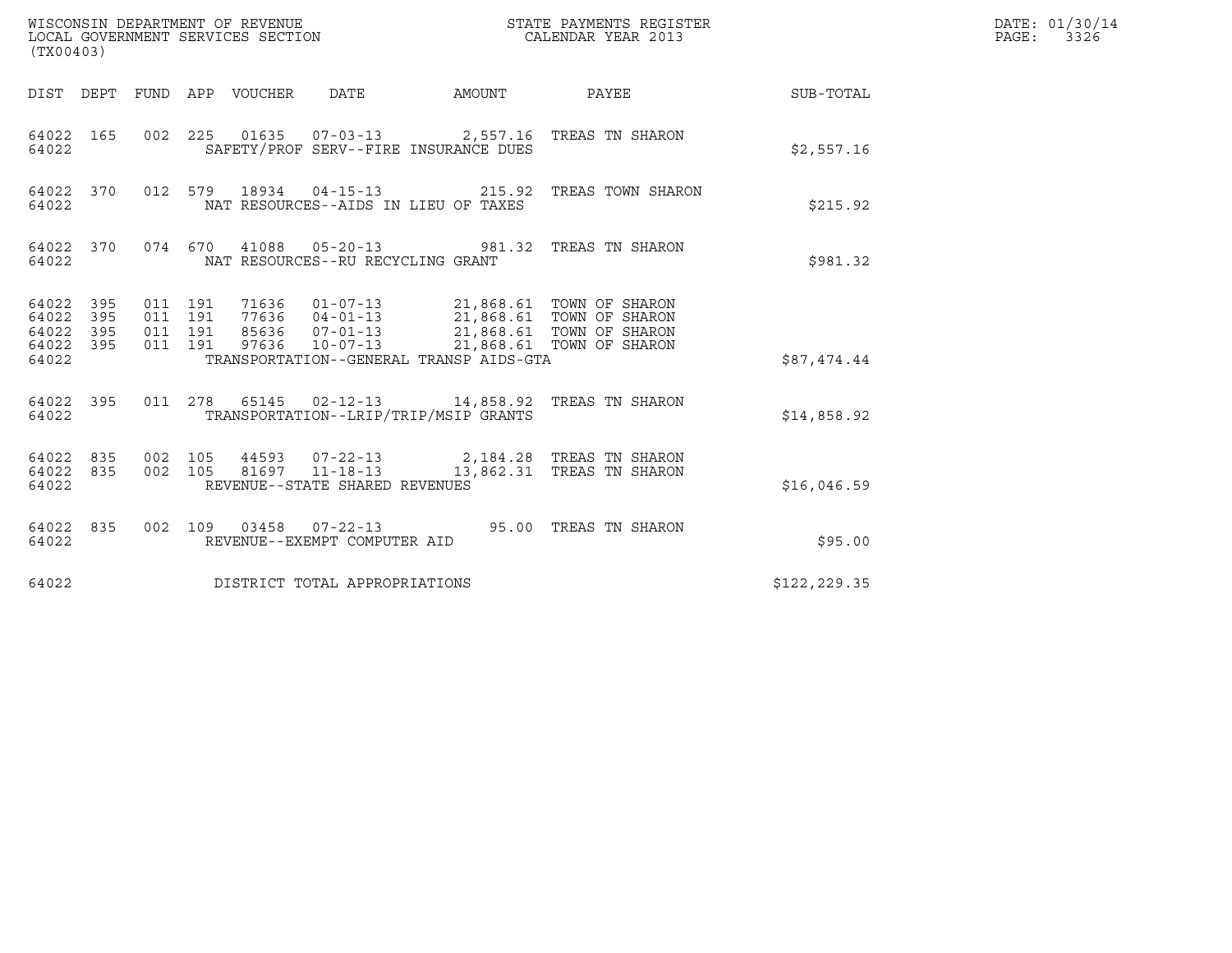| WISCONSIN DEPARTMENT OF REVENUE<br>LOCAL GOVERNMENT SERVICES SECTION<br>(TX00403) |                   |                               |         |                       |                                                                                                                                                                                                                           |        | STATE PAYMENTS REGISTER<br>CALENDAR YEAR 2013                        |               | DATE: 01/30/14<br>PAGE: 3326 |
|-----------------------------------------------------------------------------------|-------------------|-------------------------------|---------|-----------------------|---------------------------------------------------------------------------------------------------------------------------------------------------------------------------------------------------------------------------|--------|----------------------------------------------------------------------|---------------|------------------------------|
|                                                                                   | DIST DEPT         |                               |         | FUND APP VOUCHER DATE |                                                                                                                                                                                                                           | AMOUNT | PAYEE                                                                | SUB-TOTAL     |                              |
| 64022 165<br>64022                                                                |                   |                               |         |                       | SAFETY/PROF SERV--FIRE INSURANCE DUES                                                                                                                                                                                     |        | 002 225 01635 07-03-13 2,557.16 TREAS TN SHARON                      | \$2,557.16    |                              |
| 64022                                                                             | 64022 370         |                               |         |                       | 012 579 18934 04-15-13<br>NAT RESOURCES--AIDS IN LIEU OF TAXES                                                                                                                                                            |        | 215.92 TREAS TOWN SHARON                                             | \$215.92      |                              |
| 64022 370<br>64022                                                                |                   |                               |         |                       | NAT RESOURCES--RU RECYCLING GRANT                                                                                                                                                                                         |        | 074 670 41088 05-20-13 981.32 TREAS TN SHARON                        | \$981.32      |                              |
| 64022<br>64022<br>64022<br>64022 395<br>64022                                     | 395<br>395<br>395 | 011 191<br>011 191<br>011 191 | 011 191 |                       | 71636  01-07-13  21,868.61  TOWN OF SHARON<br>77636  04-01-13  21,868.61  TOWN OF SHARON<br>85636 07-01-13 21,868.61 TOWN OF SHARON<br>97636 10-07-13 21,868.61 TOWN OF SHARON<br>TRANSPORTATION--GENERAL TRANSP AIDS-GTA |        |                                                                      | \$87,474.44   |                              |
| 64022                                                                             | 64022 395         |                               |         |                       | TRANSPORTATION--LRIP/TRIP/MSIP GRANTS                                                                                                                                                                                     |        | 011 278 65145 02-12-13 14,858.92 TREAS TN SHARON                     | \$14,858.92   |                              |
| 64022 835<br>64022<br>64022                                                       | 835               | 002 105<br>002 105            |         |                       | 81697 11-18-13<br>REVENUE--STATE SHARED REVENUES                                                                                                                                                                          |        | 44593 07-22-13 2,184.28 TREAS TN SHARON<br>13,862.31 TREAS TN SHARON | \$16,046.59   |                              |
| 64022 835<br>64022                                                                |                   |                               |         |                       | REVENUE--EXEMPT COMPUTER AID                                                                                                                                                                                              |        | 002 109 03458 07-22-13 95.00 TREAS TN SHARON                         | \$95.00       |                              |
| 64022                                                                             |                   |                               |         |                       | DISTRICT TOTAL APPROPRIATIONS                                                                                                                                                                                             |        |                                                                      | \$122, 229.35 |                              |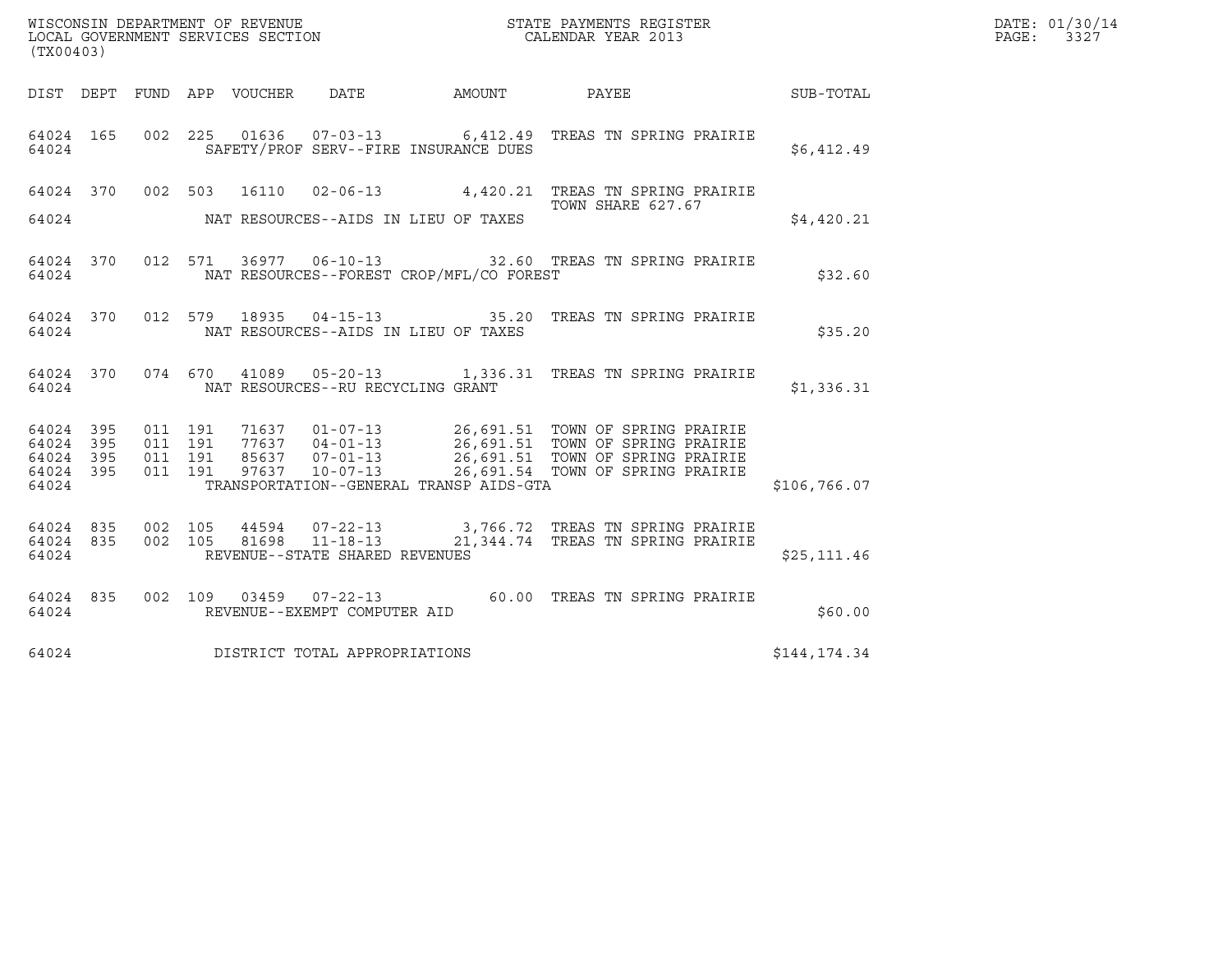| (TX00403)                                     |                   |         |                                 |                                   |                                          |                                                                                                                                                                                                                                      |              | DATE: 01/30/14<br>PAGE:<br>3327 |
|-----------------------------------------------|-------------------|---------|---------------------------------|-----------------------------------|------------------------------------------|--------------------------------------------------------------------------------------------------------------------------------------------------------------------------------------------------------------------------------------|--------------|---------------------------------|
|                                               |                   |         | DIST DEPT FUND APP VOUCHER DATE |                                   | AMOUNT PAYEE                             |                                                                                                                                                                                                                                      | SUB-TOTAL    |                                 |
| 64024 165<br>64024                            |                   |         |                                 |                                   | SAFETY/PROF SERV--FIRE INSURANCE DUES    | 002  225  01636  07-03-13  6,412.49  TREAS TN SPRING PRAIRIE                                                                                                                                                                         | \$6,412.49   |                                 |
| 64024                                         |                   |         |                                 |                                   | NAT RESOURCES--AIDS IN LIEU OF TAXES     | 64024 370 002 503 16110 02-06-13 4,420.21 TREAS TN SPRING PRAIRIE<br>TOWN SHARE 627.67                                                                                                                                               | \$4.420.21   |                                 |
| 64024                                         | 64024 370         |         |                                 |                                   | NAT RESOURCES--FOREST CROP/MFL/CO FOREST | 012 571 36977 06-10-13 32.60 TREAS TN SPRING PRAIRIE                                                                                                                                                                                 | \$32.60      |                                 |
| 64024                                         |                   |         |                                 |                                   | NAT RESOURCES--AIDS IN LIEU OF TAXES     | 64024 370 012 579 18935 04-15-13 35.20 TREAS TN SPRING PRAIRIE                                                                                                                                                                       | \$35.20      |                                 |
| 64024                                         |                   |         |                                 | NAT RESOURCES--RU RECYCLING GRANT |                                          | 64024 370 074 670 41089 05-20-13 1,336.31 TREAS TN SPRING PRAIRIE                                                                                                                                                                    | \$1,336.31   |                                 |
| 64024 395<br>64024<br>64024<br>64024<br>64024 | 395<br>395<br>395 | 011 191 |                                 |                                   | TRANSPORTATION--GENERAL TRANSP AIDS-GTA  | 011 191 71637 01-07-13 26,691.51 TOWN OF SPRING PRAIRIE<br>011 191 77637 04-01-13 26,691.51 TOWN OF SPRING PRAIRIE<br>011 191 85637 07-01-13 26,691.51 TOWN OF SPRING PRAIRIE<br>011 191 97637 10-07-13 26,691.54 TOWN OF SPRING PRA | \$106,766.07 |                                 |
| 64024 835<br>64024 835<br>64024               |                   |         |                                 | REVENUE--STATE SHARED REVENUES    |                                          | 002 105 44594 07-22-13 3,766.72 TREAS TN SPRING PRAIRIE<br>002 105 81698 11-18-13 21,344.74 TREAS TN SPRING PRAIRIE                                                                                                                  | \$25, 111.46 |                                 |
| 64024                                         | 64024 835         |         |                                 | REVENUE--EXEMPT COMPUTER AID      |                                          | 002  109  03459  07-22-13  60.00  TREAS TN SPRING PRAIRIE                                                                                                                                                                            | \$60.00      |                                 |
| 64024                                         |                   |         |                                 | DISTRICT TOTAL APPROPRIATIONS     |                                          |                                                                                                                                                                                                                                      | \$144,174.34 |                                 |
|                                               |                   |         |                                 |                                   |                                          |                                                                                                                                                                                                                                      |              |                                 |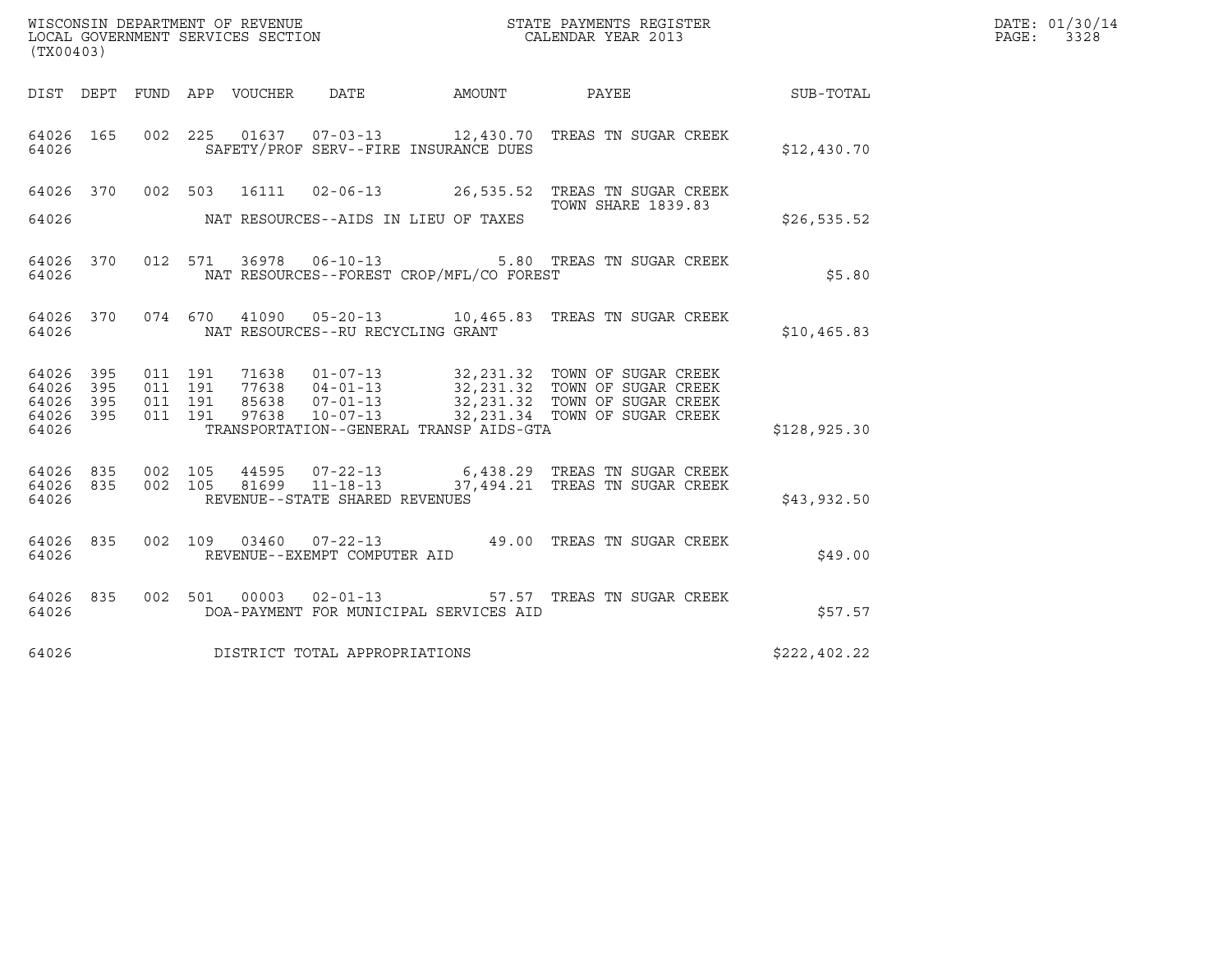| DATE: | 01/30/14 |
|-------|----------|
| PAGE: | 3328     |

| (TX00403)                                                    | WISCONSIN DEPARTMENT OF REVENUE<br>LOCAL GOVERNMENT SERVICES SECTION<br>CALENDAR YEAR 2013                                                                                                                                                                                                                                                               |                           | DATE: 01/30/14<br>PAGE: 3328 |  |
|--------------------------------------------------------------|----------------------------------------------------------------------------------------------------------------------------------------------------------------------------------------------------------------------------------------------------------------------------------------------------------------------------------------------------------|---------------------------|------------------------------|--|
|                                                              | DIST DEPT FUND APP VOUCHER DATE                                                                                                                                                                                                                                                                                                                          |                           |                              |  |
| 64026                                                        | 64026 165 002 225 01637 07-03-13 12,430.70 TREAS TN SUGAR CREEK<br>SAFETY/PROF SERV--FIRE INSURANCE DUES                                                                                                                                                                                                                                                 |                           | \$12,430.70                  |  |
|                                                              | 64026 370 002 503 16111 02-06-13 26,535.52 TREAS TN SUGAR CREEK                                                                                                                                                                                                                                                                                          | <b>TOWN SHARE 1839.83</b> |                              |  |
|                                                              |                                                                                                                                                                                                                                                                                                                                                          |                           | \$26.535.52                  |  |
| 64026                                                        | 64026 370 012 571 36978 06-10-13 5.80 TREAS TN SUGAR CREEK<br>NAT RESOURCES--FOREST CROP/MFL/CO FOREST                                                                                                                                                                                                                                                   |                           | \$5.80                       |  |
| 64026                                                        | 64026 370 074 670 41090 05-20-13 10,465.83 TREAS TN SUGAR CREEK<br>NAT RESOURCES--RU RECYCLING GRANT                                                                                                                                                                                                                                                     |                           | \$10,465.83                  |  |
| 64026 395<br>395<br>64026<br>64026 395<br>64026 395<br>64026 | $\begin{tabular}{cccc} 71638 & 01-07-13 & 32, 231.32 & TOWN OF SUGAR CREEK \\ 77638 & 04-01-13 & 32, 231.32 & TOWN OF SUGAR CREEK \\ 85638 & 07-01-13 & 32, 231.32 & TOWN OF SUGAR CREEK \\ 97638 & 10-07-13 & 32, 231.34 & TOWN OF SUGAR CREEK \\ \end{tabular}$<br>011 191<br>011 191<br>011 191<br>011 191<br>TRANSPORTATION--GENERAL TRANSP AIDS-GTA |                           | \$128,925.30                 |  |
| 64026                                                        | $\begin{array}{cccccc} 64026 & 835 & 002 & 105 & 44595 & 07-22-13 & & & 6,438.29 & \text{TREAS TN SUGAR CREEK} \\ 64026 & 835 & 002 & 105 & 81699 & 11-18-13 & & & 37,494.21 & \text{TREAS TN SUGAR CREEK} \end{array}$<br>REVENUE--STATE SHARED REVENUES                                                                                                |                           | \$43,932.50                  |  |
| 64026 7                                                      | 64026 835 002 109 03460 07-22-13 49.00 TREAS TN SUGAR CREEK<br>REVENUE--EXEMPT COMPUTER AID                                                                                                                                                                                                                                                              |                           | \$49.00                      |  |
| 64026                                                        | 64026 835 002 501 00003 02-01-13 57.57 TREAS TN SUGAR CREEK<br>DOA-PAYMENT FOR MUNICIPAL SERVICES AID                                                                                                                                                                                                                                                    |                           | \$57.57                      |  |
| 64026                                                        | DISTRICT TOTAL APPROPRIATIONS                                                                                                                                                                                                                                                                                                                            |                           | \$222,402.22                 |  |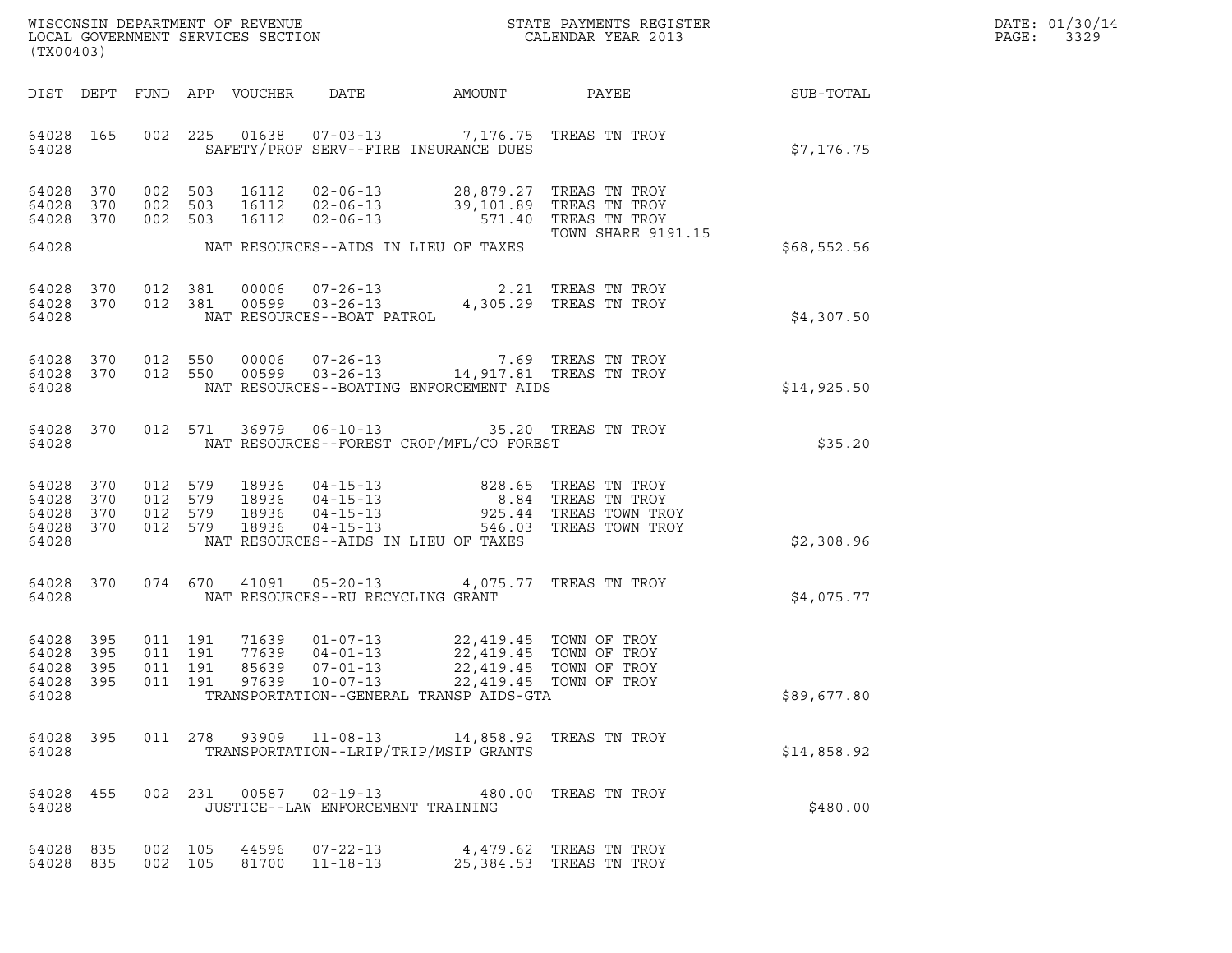| DATE: | 01/30/14 |
|-------|----------|
| PAGE: | 3329     |

| (TX00403)                                    |                        |                               |         |                                 |                                                                                                                                                                                                              |                                                                                                                                                                                                                                                                         |             | DATE: 01/30/14<br>PAGE:<br>3329 |
|----------------------------------------------|------------------------|-------------------------------|---------|---------------------------------|--------------------------------------------------------------------------------------------------------------------------------------------------------------------------------------------------------------|-------------------------------------------------------------------------------------------------------------------------------------------------------------------------------------------------------------------------------------------------------------------------|-------------|---------------------------------|
|                                              |                        |                               |         | DIST DEPT FUND APP VOUCHER DATE |                                                                                                                                                                                                              | AMOUNT PAYEE SUB-TOTAL                                                                                                                                                                                                                                                  |             |                                 |
| 64028                                        |                        |                               |         |                                 | SAFETY/PROF SERV--FIRE INSURANCE DUES                                                                                                                                                                        | 64028 165 002 225 01638 07-03-13 7,176.75 TREAS TN TROY                                                                                                                                                                                                                 | \$7,176.75  |                                 |
| 64028 370<br>64028 370                       | 64028 370              |                               |         |                                 |                                                                                                                                                                                                              | 002 503 16112 02-06-13 28,879.27 TREAS TN TROY<br>002 503 16112 02-06-13 39,101.89 TREAS TN TROY<br>002 503 16112 02-06-13 571.40 TREAS TN TROY<br><b>TOWN SHARE 9191.15</b>                                                                                            |             |                                 |
|                                              |                        |                               |         |                                 | 64028 MAT RESOURCES--AIDS IN LIEU OF TAXES                                                                                                                                                                   |                                                                                                                                                                                                                                                                         | \$68,552.56 |                                 |
| 64028                                        | 64028 370<br>64028 370 |                               |         |                                 |                                                                                                                                                                                                              | $\begin{tabular}{llllll} 012 & 381 & 00006 & 07-26-13 & 2.21 TREAS TN TROY \\ 012 & 381 & 00599 & 03-26-13 & 4,305.29 TREAS TN TROY \\ & NAT RESOURCES--BOAT PATROL & & & & & \end{tabular}$                                                                            | \$4,307.50  |                                 |
| 64028                                        |                        |                               |         |                                 | NAT RESOURCES--BOATING ENFORCEMENT AIDS                                                                                                                                                                      | $\begin{array}{cccccc} 64028 & 370 & 012 & 550 & 00006 & 07-26-13 & & & & 7.69 & \text{TREAS TN TROY} \\ 64028 & 370 & 012 & 550 & 00599 & 03-26-13 & & & 14,917.81 & \text{TREAS TN TROY} \end{array}$                                                                 | \$14,925.50 |                                 |
| 64028                                        |                        |                               |         |                                 | NAT RESOURCES--FOREST CROP/MFL/CO FOREST                                                                                                                                                                     | 64028 370 012 571 36979 06-10-13 35.20 TREAS TN TROY                                                                                                                                                                                                                    | \$35.20     |                                 |
| 64028 370<br>64028 370<br>64028 370<br>64028 | 64028 370              | 012 579<br>012 579<br>012 579 | 012 579 |                                 | NAT RESOURCES--AIDS IN LIEU OF TAXES                                                                                                                                                                         | $\begin{tabular}{lllllllllllllllllllllll} 18936 & 04-15-13 & 828.65 & \text{TREAS TN TROY} \\ 18936 & 04-15-13 & 8.84 & \text{TREAS TN TROY} \\ 18936 & 04-15-13 & 925.44 & \text{TREAS TOWN TROY} \\ 18936 & 04-15-13 & 546.03 & \text{TREAS TOWN TROY} \end{tabular}$ | \$2,308.96  |                                 |
| 64028                                        | 64028 370              |                               |         |                                 | NAT RESOURCES--RU RECYCLING GRANT                                                                                                                                                                            | 074 670 41091 05-20-13 4,075.77 TREAS TN TROY                                                                                                                                                                                                                           | \$4,075.77  |                                 |
| 64028 395<br>64028<br>64028 395<br>64028     | 395                    | 011 191<br>011 191<br>011 191 |         | 85639                           | 71639  01-07-13  22,419.45  TOWN OF TROY<br>77639  04-01-13  22,419.45  TOWN OF TROY<br>$07 - 01 - 13$<br>64028 395 011 191 97639 10-07-13 22,419.45 TOWN OF TROY<br>TRANSPORTATION--GENERAL TRANSP AIDS-GTA | 22,419.45 TOWN OF TROY                                                                                                                                                                                                                                                  | \$89,677.80 |                                 |
| 64028 395<br>64028                           |                        |                               |         |                                 | TRANSPORTATION--LRIP/TRIP/MSIP GRANTS                                                                                                                                                                        | 011  278  93909  11-08-13  14,858.92  TREAS TN TROY                                                                                                                                                                                                                     | \$14,858.92 |                                 |
| 64028 455<br>64028                           |                        |                               |         |                                 | JUSTICE--LAW ENFORCEMENT TRAINING                                                                                                                                                                            | 002 231 00587 02-19-13 480.00 TREAS TN TROY                                                                                                                                                                                                                             | \$480.00    |                                 |
| 64028 835<br>64028 835                       |                        | 002 105<br>002 105            |         |                                 | 81700 11-18-13                                                                                                                                                                                               | 44596 07-22-13 4,479.62 TREAS TN TROY<br>25,384.53 TREAS TN TROY                                                                                                                                                                                                        |             |                                 |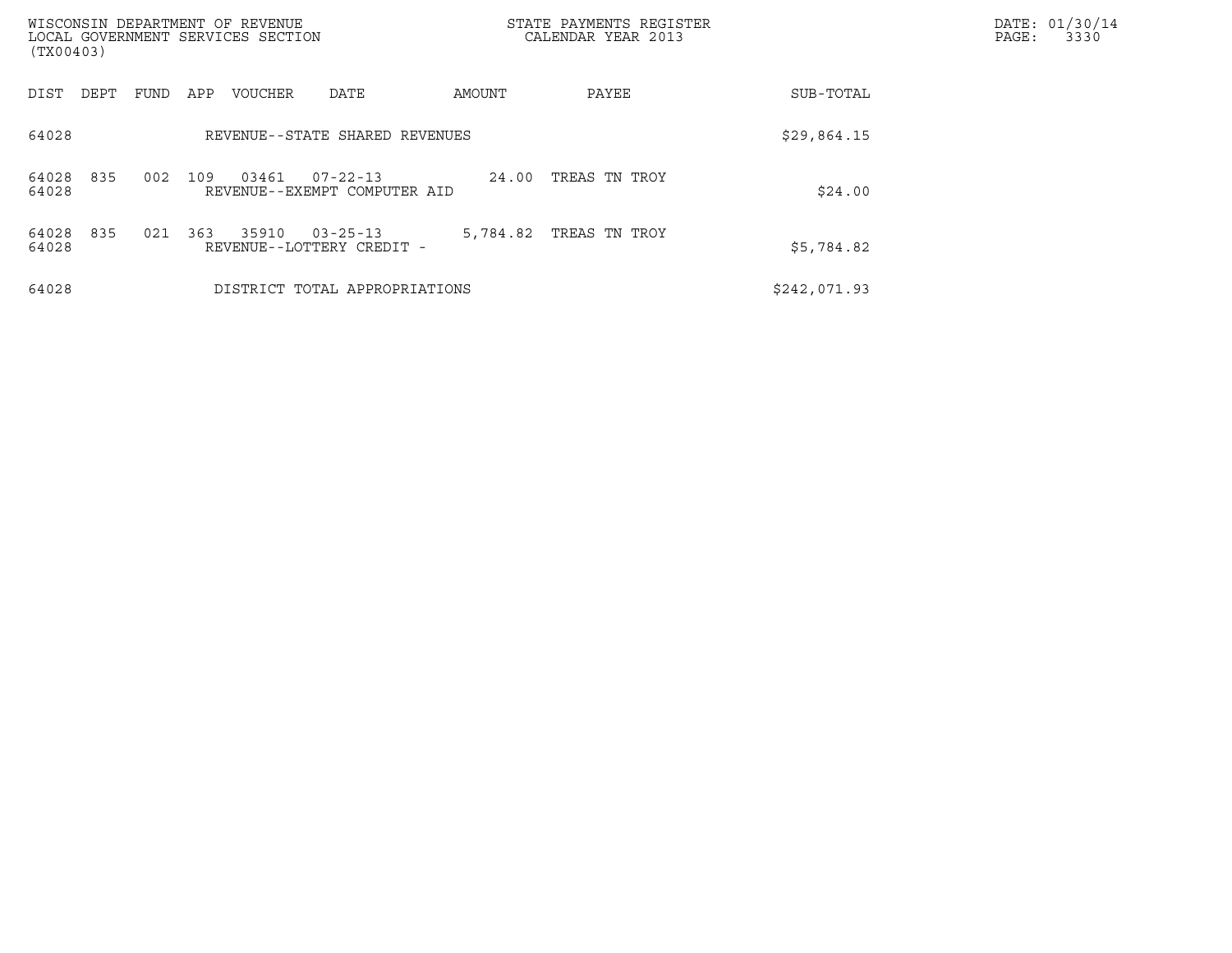| (TX00403)             | WISCONSIN DEPARTMENT OF REVENUE<br>LOCAL GOVERNMENT SERVICES SECTION |                                                |          | STATE PAYMENTS REGISTER<br>CALENDAR YEAR 2013 |              | DATE: 01/30/14<br>PAGE:<br>3330 |
|-----------------------|----------------------------------------------------------------------|------------------------------------------------|----------|-----------------------------------------------|--------------|---------------------------------|
| DIST<br>DEPT          | FUND<br>APP<br>VOUCHER                                               | DATE                                           | AMOUNT   | PAYEE                                         | SUB-TOTAL    |                                 |
| 64028                 |                                                                      | REVENUE--STATE SHARED REVENUES                 |          |                                               | \$29,864.15  |                                 |
| 835<br>64028<br>64028 | 002<br>109<br>03461                                                  | $07 - 22 - 13$<br>REVENUE--EXEMPT COMPUTER AID | 24.00    | TREAS TN TROY                                 | \$24.00      |                                 |
| 835<br>64028<br>64028 | 363<br>021<br>35910                                                  | $03 - 25 - 13$<br>REVENUE--LOTTERY CREDIT -    | 5,784.82 | TREAS TN TROY                                 | \$5,784.82   |                                 |
| 64028                 |                                                                      | DISTRICT TOTAL APPROPRIATIONS                  |          |                                               | \$242,071.93 |                                 |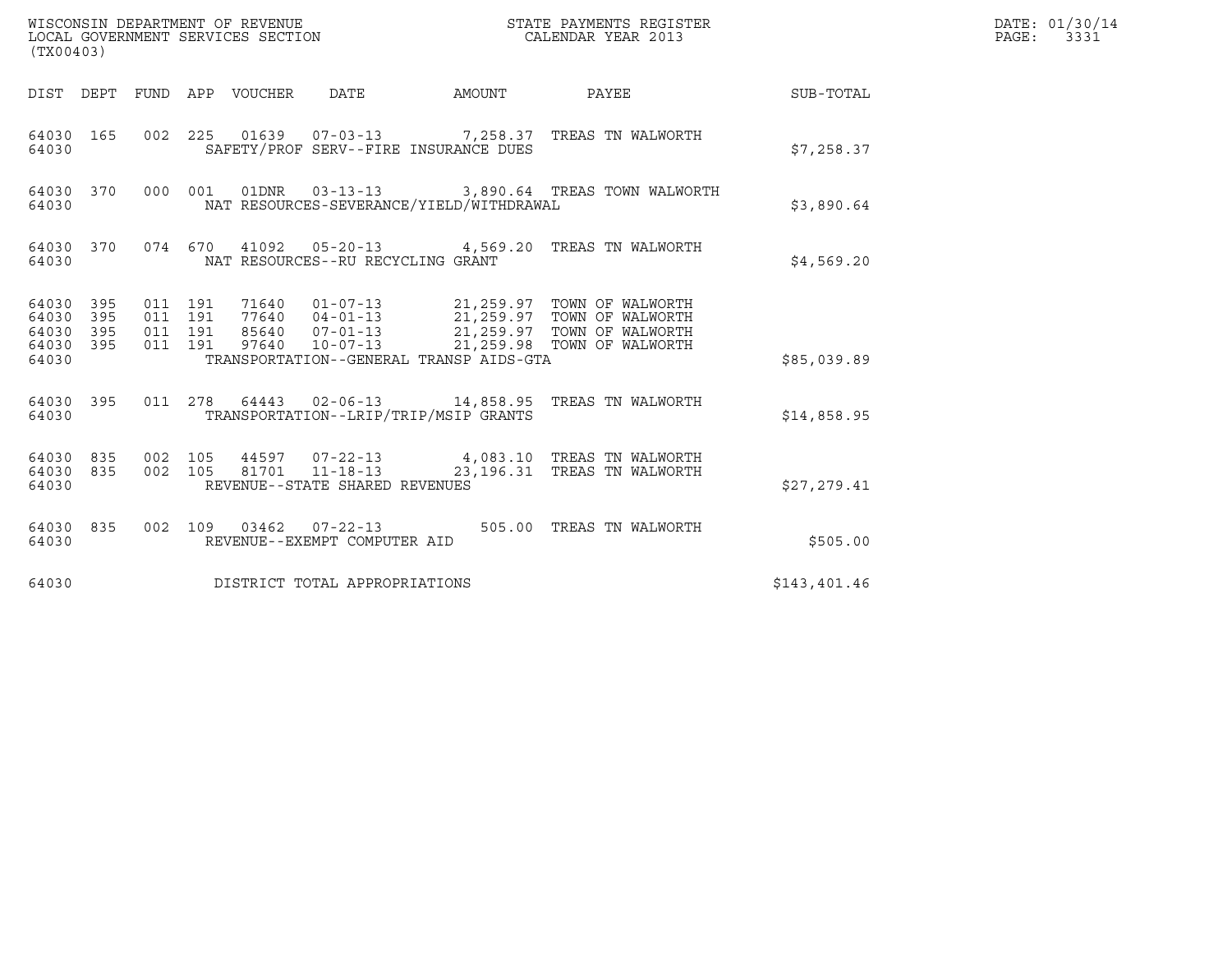| (TX00403)                                 |                          |                                          |         | WISCONSIN DEPARTMENT OF REVENUE<br>LOCAL GOVERNMENT SERVICES SECTION |                                                        |        | STATE PAYMENTS REGISTER<br>CALENDAR YEAR 2013                                                                                                                                                |              | DATE: 01/30/14<br>$\mathtt{PAGE}$ :<br>3331 |
|-------------------------------------------|--------------------------|------------------------------------------|---------|----------------------------------------------------------------------|--------------------------------------------------------|--------|----------------------------------------------------------------------------------------------------------------------------------------------------------------------------------------------|--------------|---------------------------------------------|
| DIST DEPT                                 |                          |                                          |         | FUND APP VOUCHER DATE                                                |                                                        | AMOUNT | PAYEE                                                                                                                                                                                        | SUB-TOTAL    |                                             |
| 64030 165<br>64030                        |                          |                                          |         |                                                                      | SAFETY/PROF SERV--FIRE INSURANCE DUES                  |        | 002  225  01639  07-03-13  7,258.37  TREAS TN WALWORTH                                                                                                                                       | \$7,258.37   |                                             |
| 64030 370<br>64030                        |                          |                                          | 000 001 |                                                                      | NAT RESOURCES-SEVERANCE/YIELD/WITHDRAWAL               |        | 01DNR  03-13-13  3,890.64 TREAS TOWN WALWORTH                                                                                                                                                | \$3,890.64   |                                             |
| 64030 370<br>64030                        |                          |                                          |         |                                                                      | NAT RESOURCES--RU RECYCLING GRANT                      |        | 074 670 41092 05-20-13 4,569.20 TREAS TN WALWORTH                                                                                                                                            | \$4,569.20   |                                             |
| 64030<br>64030<br>64030<br>64030<br>64030 | 395<br>395<br>395<br>395 | 011 191<br>011 191<br>011 191<br>011 191 |         |                                                                      | TRANSPORTATION--GENERAL TRANSP AIDS-GTA                |        | 71640  01-07-13  21,259.97  TOWN OF WALWORTH<br>77640  04-01-13  21,259.97  TOWN OF WALWORTH<br>85640  07-01-13  21,259.97  TOWN OF WALWORTH<br>97640  10-07-13  21,259.98  TOWN OF WALWORTH | \$85,039.89  |                                             |
| 64030 395<br>64030                        |                          |                                          |         |                                                                      | TRANSPORTATION--LRIP/TRIP/MSIP GRANTS                  |        | 011  278  64443  02-06-13  14,858.95  TREAS TN WALWORTH                                                                                                                                      | \$14,858.95  |                                             |
| 64030<br>64030<br>64030                   | 835<br>835               | 002 105<br>002 105                       |         | 81701                                                                | $11 - 18 - 13$<br>REVENUE--STATE SHARED REVENUES       |        | 44597 07-22-13 4,083.10 TREAS TN WALWORTH<br>23,196.31 TREAS TN WALWORTH                                                                                                                     | \$27,279.41  |                                             |
| 64030 835<br>64030                        |                          |                                          |         |                                                                      | 002 109 03462 07-22-13<br>REVENUE--EXEMPT COMPUTER AID |        | 505.00 TREAS TN WALWORTH                                                                                                                                                                     | \$505.00     |                                             |
| 64030                                     |                          |                                          |         |                                                                      | DISTRICT TOTAL APPROPRIATIONS                          |        |                                                                                                                                                                                              | \$143,401.46 |                                             |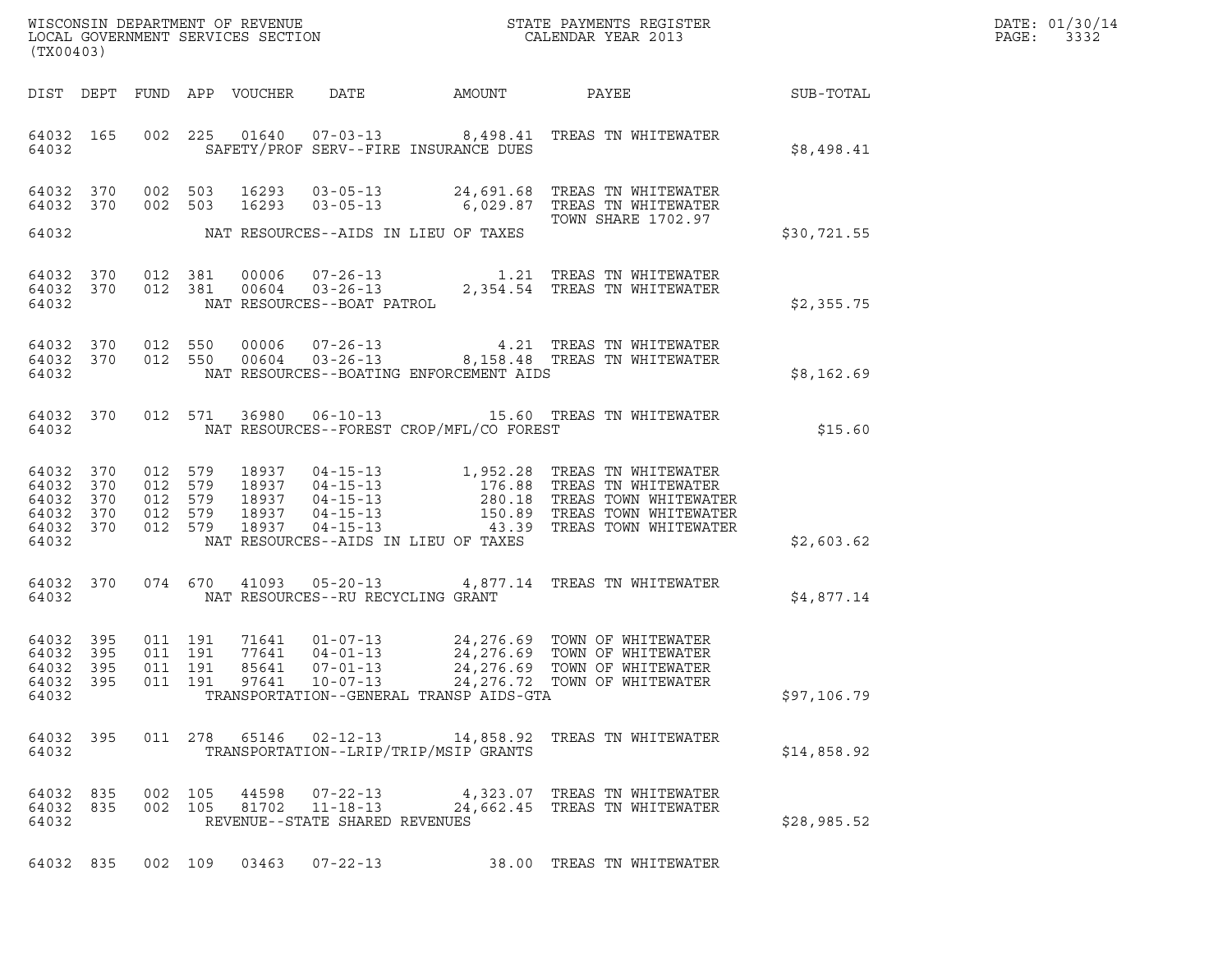| WISCONSIN DEPARTMENT OF REVENUE   | STATE PAYMENTS REGISTER | DATE: 01/30/14 |
|-----------------------------------|-------------------------|----------------|
| LOCAL GOVERNMENT SERVICES SECTION | CALENDAR YEAR 2013      | 3332<br>PAGE:  |

| (TX00403)                                    |           |                                          |  |                                         |                                             | WISCONSIN DEPARTMENT OF REVENUE<br>LOCAL GOVERNMENT SERVICES SECTION<br>CALENDAR YEAR 2013                                                                                                                                                                                                                                                                                   |             | DATE: 01/30/14<br>PAGE: 3332 |
|----------------------------------------------|-----------|------------------------------------------|--|-----------------------------------------|---------------------------------------------|------------------------------------------------------------------------------------------------------------------------------------------------------------------------------------------------------------------------------------------------------------------------------------------------------------------------------------------------------------------------------|-------------|------------------------------|
|                                              |           |                                          |  |                                         |                                             | DIST DEPT FUND APP VOUCHER DATE AMOUNT PAYEE SUB-TOTAL                                                                                                                                                                                                                                                                                                                       |             |                              |
|                                              |           |                                          |  |                                         | 64032 SAFETY/PROF SERV--FIRE INSURANCE DUES | 64032 165 002 225 01640 07-03-13 8,498.41 TREAS TN WHITEWATER                                                                                                                                                                                                                                                                                                                | \$8,498.41  |                              |
|                                              |           |                                          |  |                                         | 64032 NAT RESOURCES--AIDS IN LIEU OF TAXES  | 64032 370 002 503 16293 03-05-13 24,691.68 TREAS TN WHITEWATER<br>64032 370 002 503 16293 03-05-13 6,029.87 TREAS TN WHITEWATER<br>TOWN SHARE 1702.97                                                                                                                                                                                                                        | \$30,721.55 |                              |
|                                              |           |                                          |  |                                         |                                             |                                                                                                                                                                                                                                                                                                                                                                              |             |                              |
|                                              |           |                                          |  |                                         |                                             | $\begin{array}{cccc} 64032 & 370 & 012 & 381 & 00006 & 07-26-13 & 1.21 \end{array} \qquad \begin{array}{cccc} 1.21 & \text{TREAS TN WHITEWATER} \\ 370 & 012 & 381 & 00604 & 03-26-13 & 2,354.54 \end{array} \qquad \begin{array}{cccc} 1.21 & \text{TREAS TN WHITEWATER} \\ 2.354.54 & \text{TREAS TN WHITEWATER} \\ 64032 & \text{NAT RESOURCES--BOAT PATROL} \end{array}$ | \$2,355.75  |                              |
| 64032                                        |           |                                          |  |                                         | NAT RESOURCES--BOATING ENFORCEMENT AIDS     | $\begin{array}{cccccc} 64032 & 370 & 012 & 550 & 00006 & 07-26-13 & & 4.21 & \text{TREAS TN WHITEWATER} \\ 64032 & 370 & 012 & 550 & 00604 & 03-26-13 & & 8,158.48 & \text{TREAS TN WHITEWATER} \end{array}$                                                                                                                                                                 | \$8,162.69  |                              |
|                                              | 64032     |                                          |  |                                         | NAT RESOURCES--FOREST CROP/MFL/CO FOREST    | 64032 370 012 571 36980 06-10-13 15.60 TREAS TN WHITEWATER                                                                                                                                                                                                                                                                                                                   | \$15.60     |                              |
| 64032                                        |           |                                          |  |                                         | NAT RESOURCES--AIDS IN LIEU OF TAXES        | $\begin{array}{cccccccc} 64032 & 370 & 012 & 579 & 18937 & 04-15-13 & 1,952.28 & \text{TREAS TN WHITEWATER} \\ 64032 & 370 & 012 & 579 & 18937 & 04-15-13 & 176.88 & \text{TREAS TN WHITEWATER} \\ 64032 & 370 & 012 & 579 & 18937 & 04-15-13 & 280.18 & \text{TREAS TOWN WHITEWATER} \\ 64032 & 370 & 012 & 579 & 18937 &$                                                  | \$2,603.62  |                              |
|                                              |           |                                          |  | 64032 NAT RESOURCES--RU RECYCLING GRANT |                                             | 64032 370 074 670 41093 05-20-13 4,877.14 TREAS TN WHITEWATER                                                                                                                                                                                                                                                                                                                | \$4,877.14  |                              |
| 64032 395<br>64032 395<br>64032 395<br>64032 | 64032 395 | 011 191<br>011 191<br>011 191<br>011 191 |  |                                         | TRANSPORTATION--GENERAL TRANSP AIDS-GTA     | 71641  01-07-13  24,276.69 TOWN OF WHITEWATER<br>77641  04-01-13  24,276.69 TOWN OF WHITEWATER<br>85641  07-01-13  24,276.69 TOWN OF WHITEWATER<br>97641  10-07-13  24,276.72 TOWN OF WHITEWATER                                                                                                                                                                             | \$97,106.79 |                              |
| 64032                                        |           |                                          |  |                                         | TRANSPORTATION--LRIP/TRIP/MSIP GRANTS       | 64032 395 011 278 65146 02-12-13 14,858.92 TREAS TN WHITEWATER                                                                                                                                                                                                                                                                                                               | \$14,858.92 |                              |
| 64032                                        |           |                                          |  | REVENUE--STATE SHARED REVENUES          |                                             | $\begin{array}{cccccc} 64032 & 835 & 002 & 105 & 44598 & 07-22-13 & & 4,323.07 & \text{TREAS TN WHITEWATER} \\ 64032 & 835 & 002 & 105 & 81702 & 11-18-13 & & 24,662.45 & \text{TREAS TN WHITEWATER} \end{array}$                                                                                                                                                            | \$28,985.52 |                              |
|                                              |           |                                          |  |                                         |                                             | 64032 835 002 109 03463 07-22-13 38.00 TREAS TN WHITEWATER                                                                                                                                                                                                                                                                                                                   |             |                              |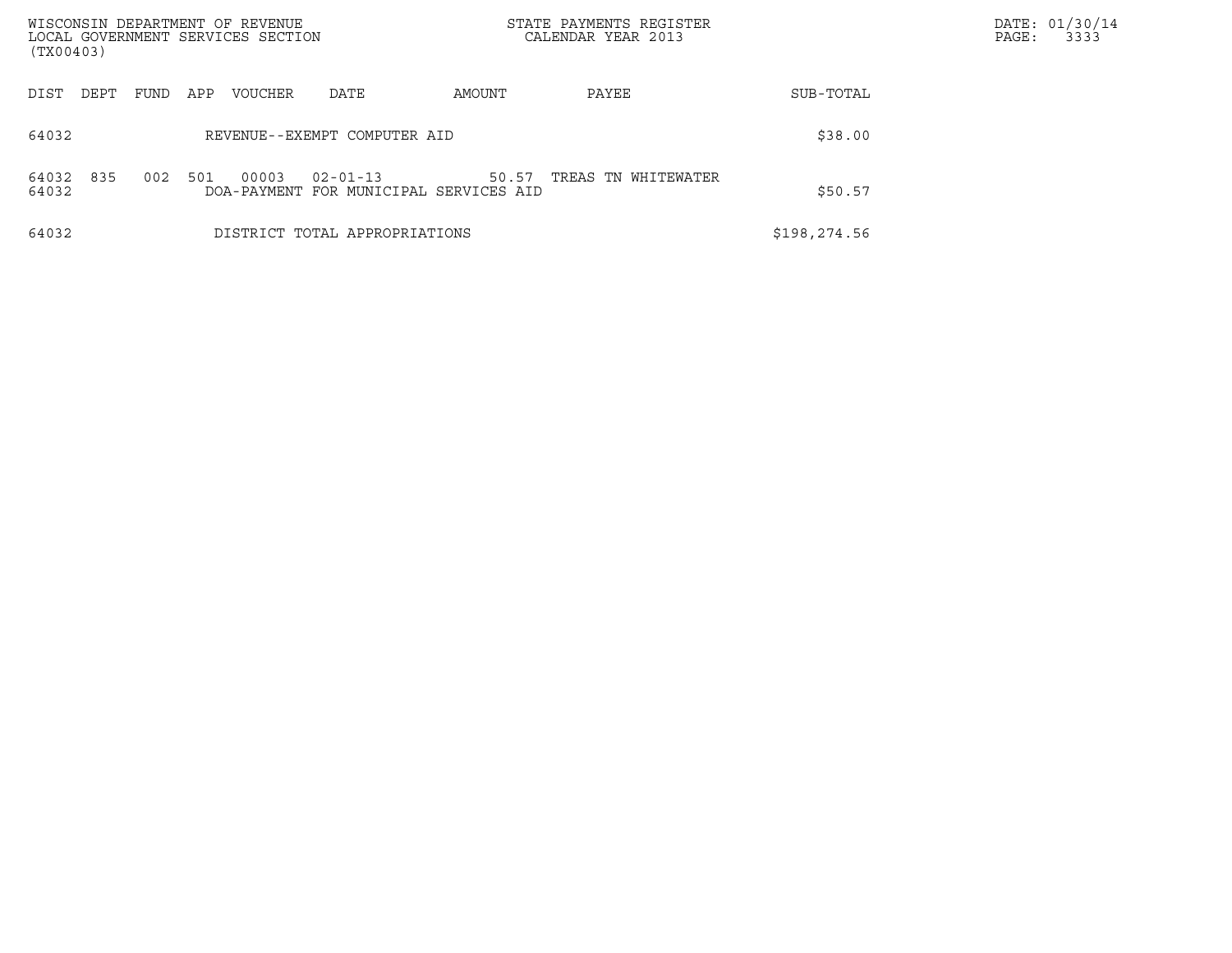| WISCONSIN DEPARTMENT OF REVENUE<br>LOCAL GOVERNMENT SERVICES SECTION<br>(TX00403) |                              |      |     |                      |                               |                                     | STATE PAYMENTS REGISTER<br>CALENDAR YEAR 2013 |              | DATE: 01/30/14<br>3333<br>PAGE: |
|-----------------------------------------------------------------------------------|------------------------------|------|-----|----------------------|-------------------------------|-------------------------------------|-----------------------------------------------|--------------|---------------------------------|
| DIST                                                                              | DEPT                         | FUND | APP | VOUCHER              | DATE                          | AMOUNT                              | PAYEE                                         | SUB-TOTAL    |                                 |
| 64032                                                                             | REVENUE--EXEMPT COMPUTER AID |      |     |                      |                               |                                     |                                               | \$38.00      |                                 |
| 64032<br>64032                                                                    | 835                          | 002  | 501 | 00003<br>DOA-PAYMENT | $02 - 01 - 13$                | 50.57<br>FOR MUNICIPAL SERVICES AID | TREAS TN WHITEWATER                           | \$50.57      |                                 |
| 64032                                                                             |                              |      |     |                      | DISTRICT TOTAL APPROPRIATIONS |                                     |                                               | \$198,274.56 |                                 |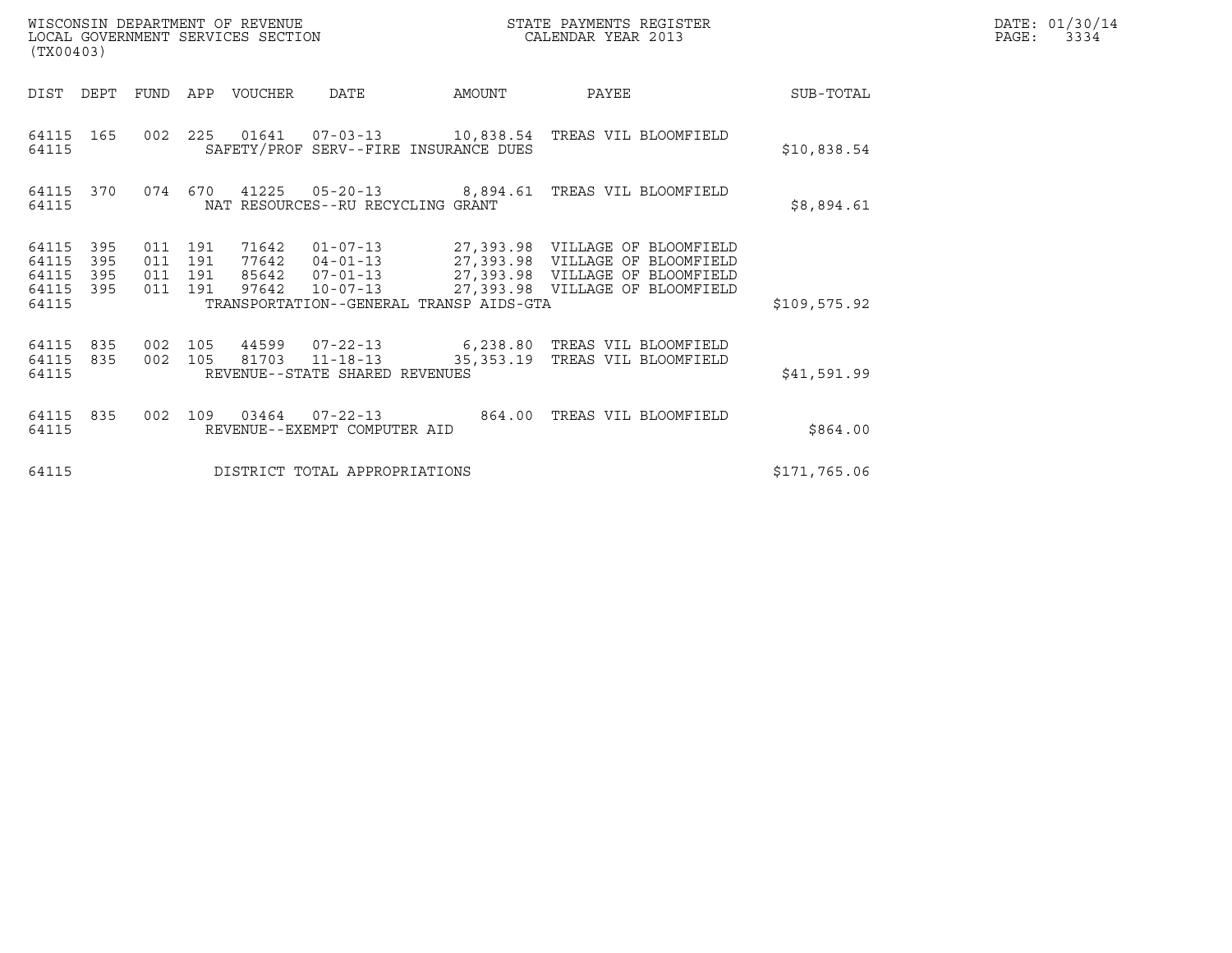| (TX00403)                                                    | WISCONSIN DEPARTMENT OF REVENUE<br>LOCAL GOVERNMENT SERVICES SECTION                                                          |        | STATE PAYMENTS REGISTER<br>CALENDAR YEAR 2013                                        |              | DATE: 01/30/14<br>PAGE: 3334 |
|--------------------------------------------------------------|-------------------------------------------------------------------------------------------------------------------------------|--------|--------------------------------------------------------------------------------------|--------------|------------------------------|
| DIST DEPT<br>FUND                                            | APP VOUCHER DATE                                                                                                              | AMOUNT | PAYEE                                                                                | SUB-TOTAL    |                              |
| 64115 165<br>64115                                           | 002  225  01641  07-03-13  10,838.54  TREAS VIL BLOOMFIELD<br>SAFETY/PROF SERV--FIRE INSURANCE DUES                           |        |                                                                                      | \$10,838.54  |                              |
| 64115 370<br>64115                                           | 074 670<br>NAT RESOURCES--RU RECYCLING GRANT                                                                                  |        |                                                                                      | \$8,894.61   |                              |
| 395<br>64115<br>64115<br>395<br>395<br>64115<br>64115<br>395 | 011 191<br>71642<br>011 191<br>77642<br>85642  07-01-13  27,393.98  VILLAGE OF BLOOMFIELD<br>011 191<br>011 191<br>97642      |        | 04-01-13 27,393.98 VILLAGE OF BLOOMFIELD<br>10-07-13 27,393.98 VILLAGE OF BLOOMFIELD |              |                              |
| 64115                                                        | TRANSPORTATION--GENERAL TRANSP AIDS-GTA                                                                                       |        |                                                                                      | \$109,575.92 |                              |
| 64115<br>835<br>64115 835<br>64115                           | 002 105<br>44599  07-22-13    6,238.80    TREAS VIL BLOOMFIELD<br>81703 11-18-13<br>002 105<br>REVENUE--STATE SHARED REVENUES |        | 35, 353.19 TREAS VIL BLOOMFIELD                                                      | \$41,591.99  |                              |
| 64115<br>002<br>835<br>64115                                 | 109<br>03464 07-22-13<br>REVENUE--EXEMPT COMPUTER AID                                                                         |        | 864.00 TREAS VIL BLOOMFIELD                                                          | \$864.00     |                              |
| 64115                                                        | DISTRICT TOTAL APPROPRIATIONS                                                                                                 |        |                                                                                      | \$171,765.06 |                              |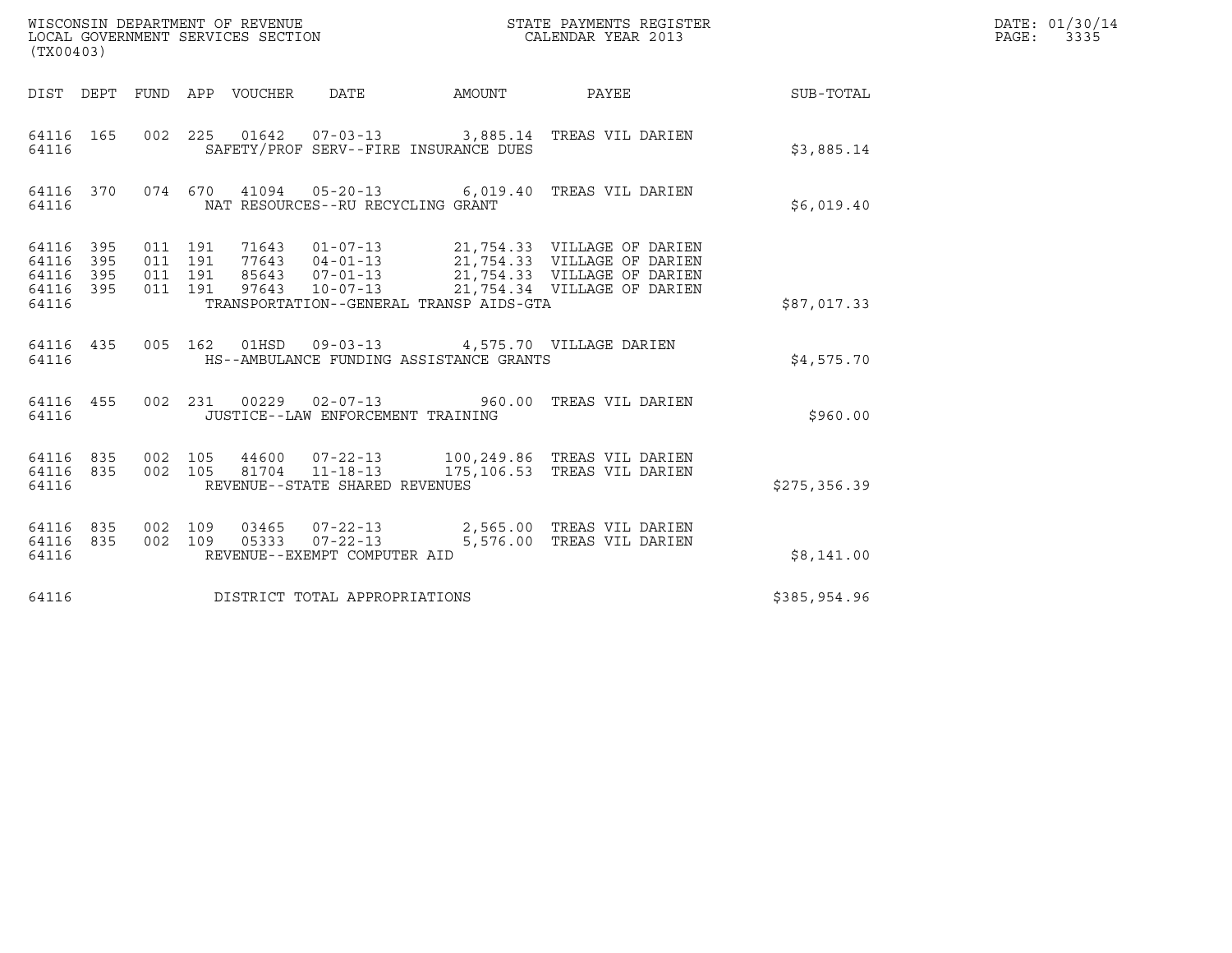| (TX00403)                                             |     |                    |                                          |                                 | WISCONSIN DEPARTMENT OF REVENUE<br>LOCAL GOVERNMENT SERVICES SECTION |        | STATE PAYMENTS REGISTER<br>CALENDAR YEAR 2013                                                                                                                                                    |                  | DATE: 01/30/14<br>PAGE: 3335 |
|-------------------------------------------------------|-----|--------------------|------------------------------------------|---------------------------------|----------------------------------------------------------------------|--------|--------------------------------------------------------------------------------------------------------------------------------------------------------------------------------------------------|------------------|------------------------------|
|                                                       |     |                    |                                          | DIST DEPT FUND APP VOUCHER DATE |                                                                      | AMOUNT | PAYEE                                                                                                                                                                                            | <b>SUB-TOTAL</b> |                              |
| 64116 165<br>64116                                    |     |                    |                                          |                                 | SAFETY/PROF SERV--FIRE INSURANCE DUES                                |        | 002 225 01642 07-03-13 3,885.14 TREAS VIL DARIEN                                                                                                                                                 | \$3,885.14       |                              |
| 64116 370<br>64116                                    |     |                    |                                          |                                 | NAT RESOURCES--RU RECYCLING GRANT                                    |        | 074 670 41094 05-20-13 6,019.40 TREAS VIL DARIEN                                                                                                                                                 | \$6,019.40       |                              |
| 64116 395<br>64116<br>64116 395<br>64116 395<br>64116 | 395 |                    | 011 191<br>011 191<br>011 191<br>011 191 |                                 | TRANSPORTATION--GENERAL TRANSP AIDS-GTA                              |        | 71643  01-07-13  21,754.33  VILLAGE OF DARIEN<br>77643  04-01-13  21,754.33  VILLAGE OF DARIEN<br>85643  07-01-13  21,754.33  VILLAGE OF DARIEN<br>97643  10-07-13  21,754.34  VILLAGE OF DARIEN | \$87,017.33      |                              |
| 64116                                                 |     |                    |                                          |                                 | HS--AMBULANCE FUNDING ASSISTANCE GRANTS                              |        | 64116 435 005 162 01HSD 09-03-13 4,575.70 VILLAGE DARIEN                                                                                                                                         | \$4,575.70       |                              |
| 64116 455<br>64116                                    |     |                    |                                          |                                 | 002 231 00229 02-07-13<br>JUSTICE--LAW ENFORCEMENT TRAINING          |        | 960.00 TREAS VIL DARIEN                                                                                                                                                                          | \$960.00         |                              |
| 64116 835<br>64116 835<br>64116                       |     | 002 105            | 002 105                                  |                                 | 81704 11-18-13<br>REVENUE--STATE SHARED REVENUES                     |        | 175,106.53 TREAS VIL DARIEN                                                                                                                                                                      | \$275, 356.39    |                              |
| 64116 835<br>64116 835<br>64116                       |     | 002 109<br>002 109 |                                          |                                 | 05333  07-22-13<br>REVENUE--EXEMPT COMPUTER AID                      |        | 03465  07-22-13  2,565.00 TREAS VIL DARIEN<br>5,576.00 TREAS VIL DARIEN                                                                                                                          | \$8,141.00       |                              |
| 64116                                                 |     |                    |                                          |                                 | DISTRICT TOTAL APPROPRIATIONS                                        |        |                                                                                                                                                                                                  | \$385,954.96     |                              |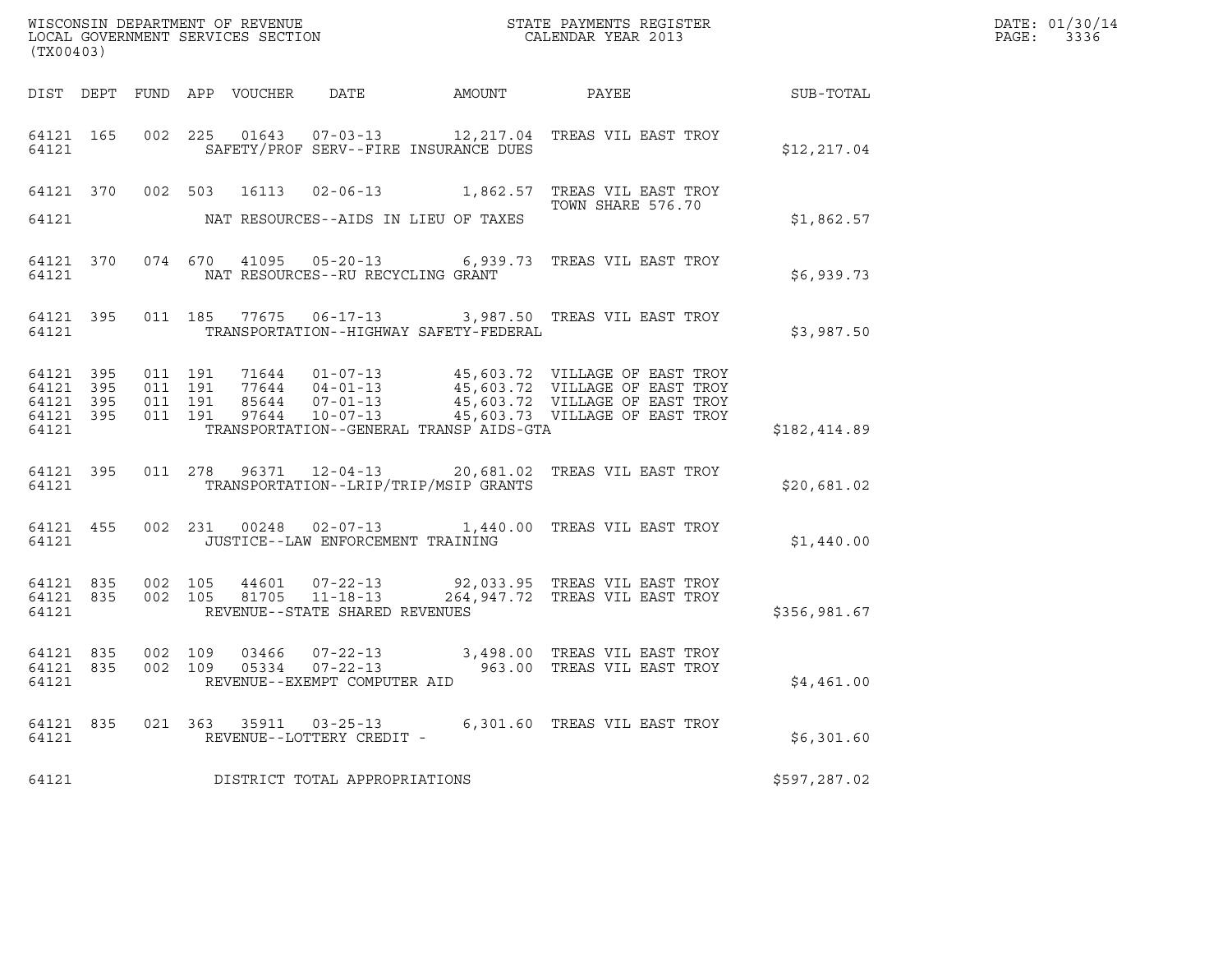| (TX00403)                                                 |           |         |         |                                                     |                                         |                                                                                                               |              | DATE: 01/30/14<br>PAGE: 3336 |
|-----------------------------------------------------------|-----------|---------|---------|-----------------------------------------------------|-----------------------------------------|---------------------------------------------------------------------------------------------------------------|--------------|------------------------------|
|                                                           |           |         |         |                                                     |                                         |                                                                                                               |              |                              |
| 64121 165<br>64121                                        |           |         |         |                                                     | SAFETY/PROF SERV--FIRE INSURANCE DUES   | 002 225 01643 07-03-13 12, 217.04 TREAS VIL EAST TROY                                                         | \$12,217.04  |                              |
|                                                           |           |         |         |                                                     |                                         | 64121 370 002 503 16113 02-06-13 1,862.57 TREAS VIL EAST TROY                                                 |              |                              |
| 64121                                                     |           |         |         |                                                     | NAT RESOURCES--AIDS IN LIEU OF TAXES    | TOWN SHARE 576.70                                                                                             | \$1,862.57   |                              |
| 64121                                                     | 64121 370 |         |         | NAT RESOURCES--RU RECYCLING GRANT                   |                                         | 074 670 41095 05-20-13 6,939.73 TREAS VIL EAST TROY                                                           | \$6,939.73   |                              |
| 64121                                                     |           |         |         |                                                     | TRANSPORTATION--HIGHWAY SAFETY-FEDERAL  | 64121 395 011 185 77675 06-17-13 3,987.50 TREAS VIL EAST TROY                                                 | \$3,987.50   |                              |
| 64121 395<br>64121 395<br>64121 395<br>64121 395<br>64121 |           |         |         |                                                     | TRANSPORTATION--GENERAL TRANSP AIDS-GTA |                                                                                                               | \$182,414.89 |                              |
| 64121 395<br>64121                                        |           |         |         |                                                     | TRANSPORTATION--LRIP/TRIP/MSIP GRANTS   | 011  278  96371  12-04-13  20,681.02  TREAS VIL EAST TROY                                                     | \$20,681.02  |                              |
|                                                           | 64121     |         |         | JUSTICE--LAW ENFORCEMENT TRAINING                   |                                         | 64121 455 002 231 00248 02-07-13 1,440.00 TREAS VIL EAST TROY                                                 | \$1,440.00   |                              |
| 64121 835 002 105<br>64121 835<br>64121                   |           |         |         | REVENUE--STATE SHARED REVENUES                      |                                         | 002 105 44601 07-22-13 92,033.95 TREAS VIL EAST TROY<br>002 105 81705 11-18-13 264,947.72 TREAS VIL EAST TROY | \$356,981.67 |                              |
| 64121 835<br>64121 835<br>64121                           |           | 002 109 | 002 109 | 05334 07-22-13<br>REVENUE--EXEMPT COMPUTER AID      |                                         | 03466  07-22-13  3,498.00 TREAS VIL EAST TROY<br>963.00 TREAS VIL EAST TROY                                   | \$4,461.00   |                              |
| 64121 835<br>64121                                        |           |         |         | 021 363 35911 03-25-13<br>REVENUE--LOTTERY CREDIT - |                                         | 6,301.60 TREAS VIL EAST TROY                                                                                  | \$6,301.60   |                              |
| 64121                                                     |           |         |         | DISTRICT TOTAL APPROPRIATIONS                       |                                         |                                                                                                               | \$597,287.02 |                              |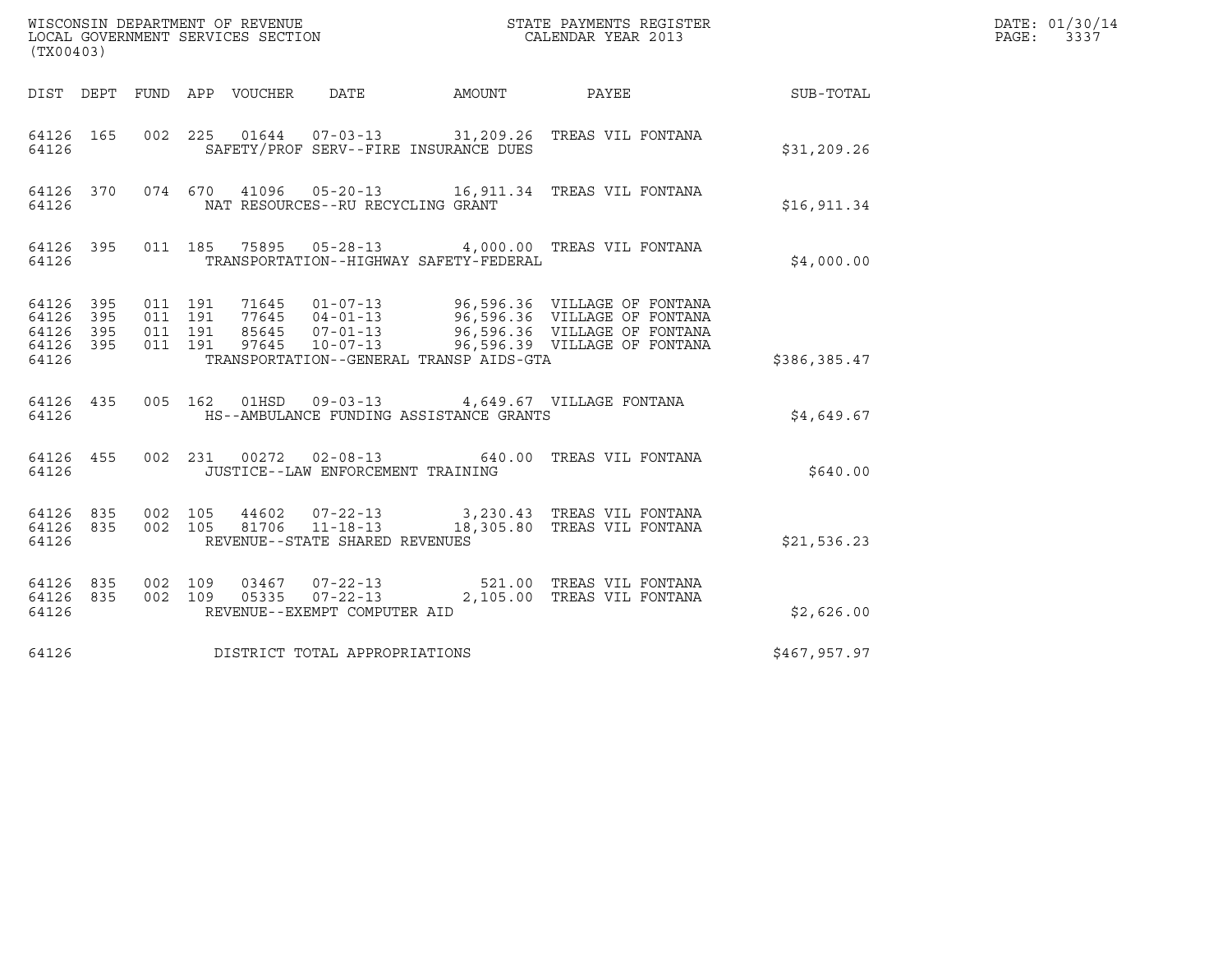| (TX00403)                                         |            |                                          |         |                                 |                                                                    |                                                                                                                                                                                                      |              | DATE: 01/30/14<br>PAGE:<br>3337 |
|---------------------------------------------------|------------|------------------------------------------|---------|---------------------------------|--------------------------------------------------------------------|------------------------------------------------------------------------------------------------------------------------------------------------------------------------------------------------------|--------------|---------------------------------|
|                                                   |            |                                          |         | DIST DEPT FUND APP VOUCHER DATE |                                                                    | AMOUNT PAYEE SUB-TOTAL                                                                                                                                                                               |              |                                 |
| 64126 165<br>64126                                |            |                                          |         |                                 | SAFETY/PROF SERV--FIRE INSURANCE DUES                              | 002 225 01644 07-03-13 31,209.26 TREAS VIL FONTANA                                                                                                                                                   | \$31, 209.26 |                                 |
| 64126                                             |            |                                          |         |                                 | NAT RESOURCES--RU RECYCLING GRANT                                  | 64126 370 074 670 41096 05-20-13 16,911.34 TREAS VIL FONTANA                                                                                                                                         | \$16,911.34  |                                 |
| 64126                                             |            |                                          |         |                                 | TRANSPORTATION--HIGHWAY SAFETY-FEDERAL                             | 64126 395 011 185 75895 05-28-13 4,000.00 TREAS VIL FONTANA                                                                                                                                          | \$4,000.00   |                                 |
| 64126 395<br>64126<br>64126<br>64126 395<br>64126 | 395<br>395 | 011 191<br>011 191<br>011 191<br>011 191 |         |                                 | TRANSPORTATION--GENERAL TRANSP AIDS-GTA                            | 71645  01-07-13  96,596.36  VILLAGE OF FONTANA<br>77645  04-01-13  96,596.36  VILLAGE OF FONTANA<br>85645  07-01-13  96,596.36  VILLAGE OF FONTANA<br>97645  10-07-13  96,596.39  VILLAGE OF FONTANA | \$386,385.47 |                                 |
| 64126 435<br>64126                                |            |                                          |         |                                 | HS--AMBULANCE FUNDING ASSISTANCE GRANTS                            | 005 162 01HSD 09-03-13 4,649.67 VILLAGE FONTANA                                                                                                                                                      | \$4,649.67   |                                 |
| 64126 455<br>64126                                |            |                                          |         |                                 | JUSTICE--LAW ENFORCEMENT TRAINING                                  | 002 231 00272 02-08-13 640.00 TREAS VIL FONTANA                                                                                                                                                      | \$640.00     |                                 |
| 64126 835<br>64126 835<br>64126                   |            | 002 105<br>002 105                       |         | 44602                           | $07 - 22 - 13$<br>81706 11-18-13<br>REVENUE--STATE SHARED REVENUES | 3,230.43 TREAS VIL FONTANA<br>18,305.80 TREAS VIL FONTANA                                                                                                                                            | \$21,536.23  |                                 |
| 64126 835<br>64126 835<br>64126                   |            | 002 109                                  | 002 109 |                                 | REVENUE--EXEMPT COMPUTER AID                                       | 03467  07-22-13  521.00  TREAS VIL FONTANA<br>05335  07-22-13  2,105.00 TREAS VIL FONTANA                                                                                                            | \$2,626.00   |                                 |
| 64126                                             |            |                                          |         |                                 | DISTRICT TOTAL APPROPRIATIONS                                      |                                                                                                                                                                                                      | \$467,957.97 |                                 |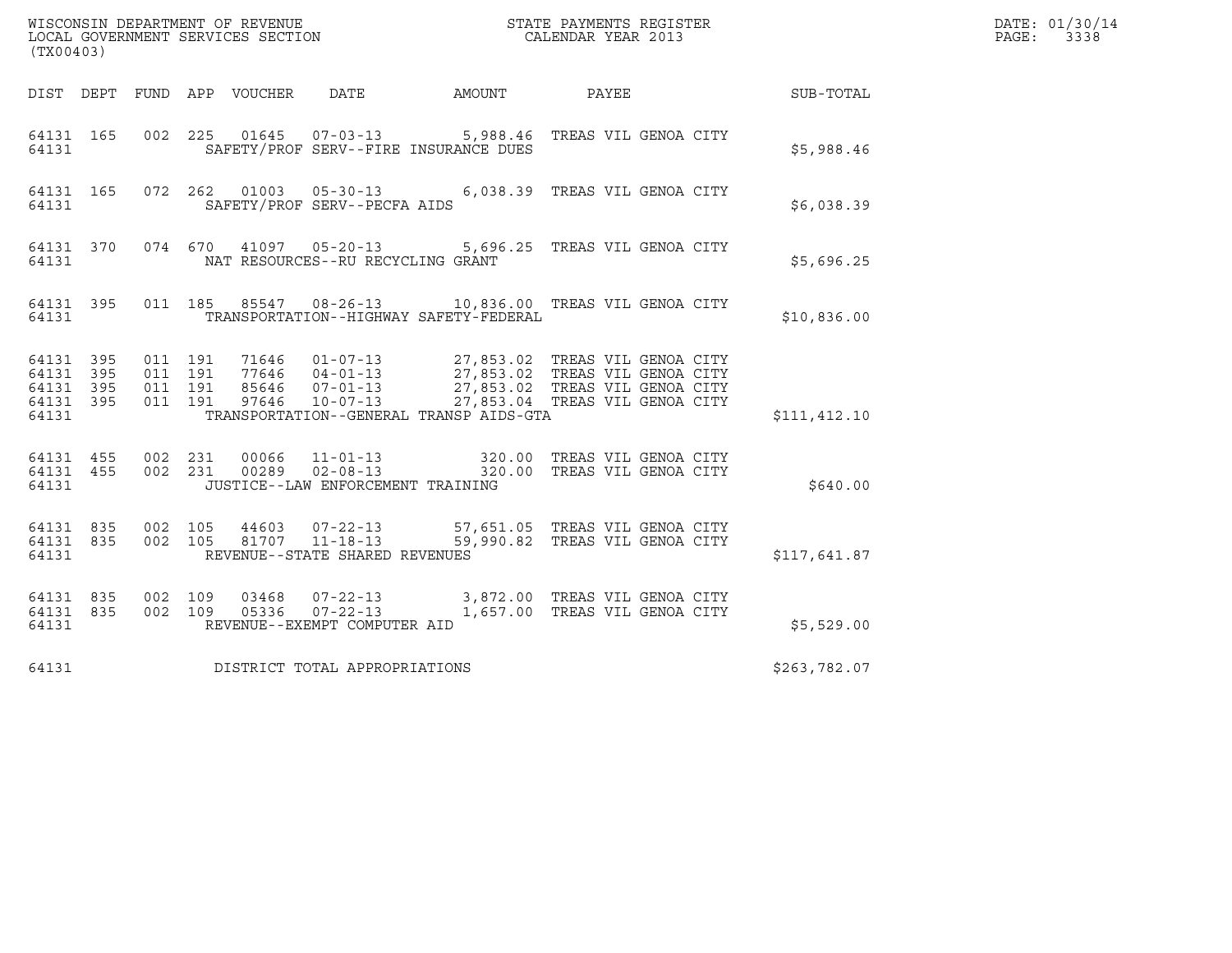| (TX00403)                                                 |                               |         |                |                                   |                                              | ${\tt WISCOONSIM\ DEPARTMENT\ OF\ REVENUE}\qquad \qquad {\tt STATE\ PAYMENTS\ REGISTER\ LOCAL\ GOVERNMENT\ SERVICES\ SECTION\qquad \qquad {\tt CALENDAR\ YEAR\ 2013}$                                        |                  | DATE: 01/30/14<br>PAGE:<br>3338 |
|-----------------------------------------------------------|-------------------------------|---------|----------------|-----------------------------------|----------------------------------------------|--------------------------------------------------------------------------------------------------------------------------------------------------------------------------------------------------------------|------------------|---------------------------------|
|                                                           |                               |         |                |                                   | DIST DEPT FUND APP VOUCHER DATE AMOUNT PAYEE |                                                                                                                                                                                                              | <b>SUB-TOTAL</b> |                                 |
| 64131 165<br>64131                                        |                               |         |                |                                   | SAFETY/PROF SERV--FIRE INSURANCE DUES        | 002 225 01645 07-03-13 5,988.46 TREAS VIL GENOA CITY                                                                                                                                                         | \$5,988.46       |                                 |
| 64131                                                     |                               |         |                | SAFETY/PROF SERV--PECFA AIDS      |                                              | 64131 165 072 262 01003 05-30-13 6,038.39 TREAS VIL GENOA CITY                                                                                                                                               | \$6,038.39       |                                 |
| 64131                                                     |                               |         |                | NAT RESOURCES--RU RECYCLING GRANT |                                              | 64131 370 074 670 41097 05-20-13 5,696.25 TREAS VIL GENOA CITY                                                                                                                                               | \$5,696.25       |                                 |
| 64131                                                     |                               |         |                |                                   | TRANSPORTATION--HIGHWAY SAFETY-FEDERAL       | 64131 395 011 185 85547 08-26-13 10,836.00 TREAS VIL GENOA CITY                                                                                                                                              | \$10,836.00      |                                 |
| 64131 395<br>64131 395<br>64131 395<br>64131 395<br>64131 | 011 191<br>011 191<br>011 191 | 011 191 |                |                                   | TRANSPORTATION--GENERAL TRANSP AIDS-GTA      | 71646  01-07-13  27,853.02  TREAS VIL GENOA CITY<br>77646  04-01-13  27,853.02  TREAS VIL GENOA CITY<br>85646  07-01-13  27,853.02  TREAS VIL GENOA CITY<br>97646  10-07-13  27,853.04  TREAS VIL GENOA CITY | \$111, 412.10    |                                 |
| 64131 455 002 231<br>64131 455<br>64131                   |                               |         |                | JUSTICE--LAW ENFORCEMENT TRAINING |                                              | 002 231 00066 11-01-13 320.00 TREAS VIL GENOA CITY<br>002 231 00289 02-08-13 320.00 TREAS VIL GENOA CITY                                                                                                     | \$640.00         |                                 |
| 64131 835<br>64131 835<br>64131                           | 002 105<br>002 105            |         |                | REVENUE--STATE SHARED REVENUES    |                                              | 44603  07-22-13  57,651.05  TREAS VIL GENOA CITY<br>81707  11-18-13  59,990.82  TREAS VIL GENOA CITY                                                                                                         | \$117,641.87     |                                 |
| 64131 835<br>64131 835<br>64131                           | 002 109<br>002 109            |         | 03468<br>05336 | REVENUE--EXEMPT COMPUTER AID      |                                              | 07-22-13 3,872.00 TREAS VIL GENOA CITY<br>07-22-13 1,657.00 TREAS VIL GENOA CITY                                                                                                                             | \$5,529.00       |                                 |
| 64131                                                     |                               |         |                | DISTRICT TOTAL APPROPRIATIONS     |                                              |                                                                                                                                                                                                              | \$263,782.07     |                                 |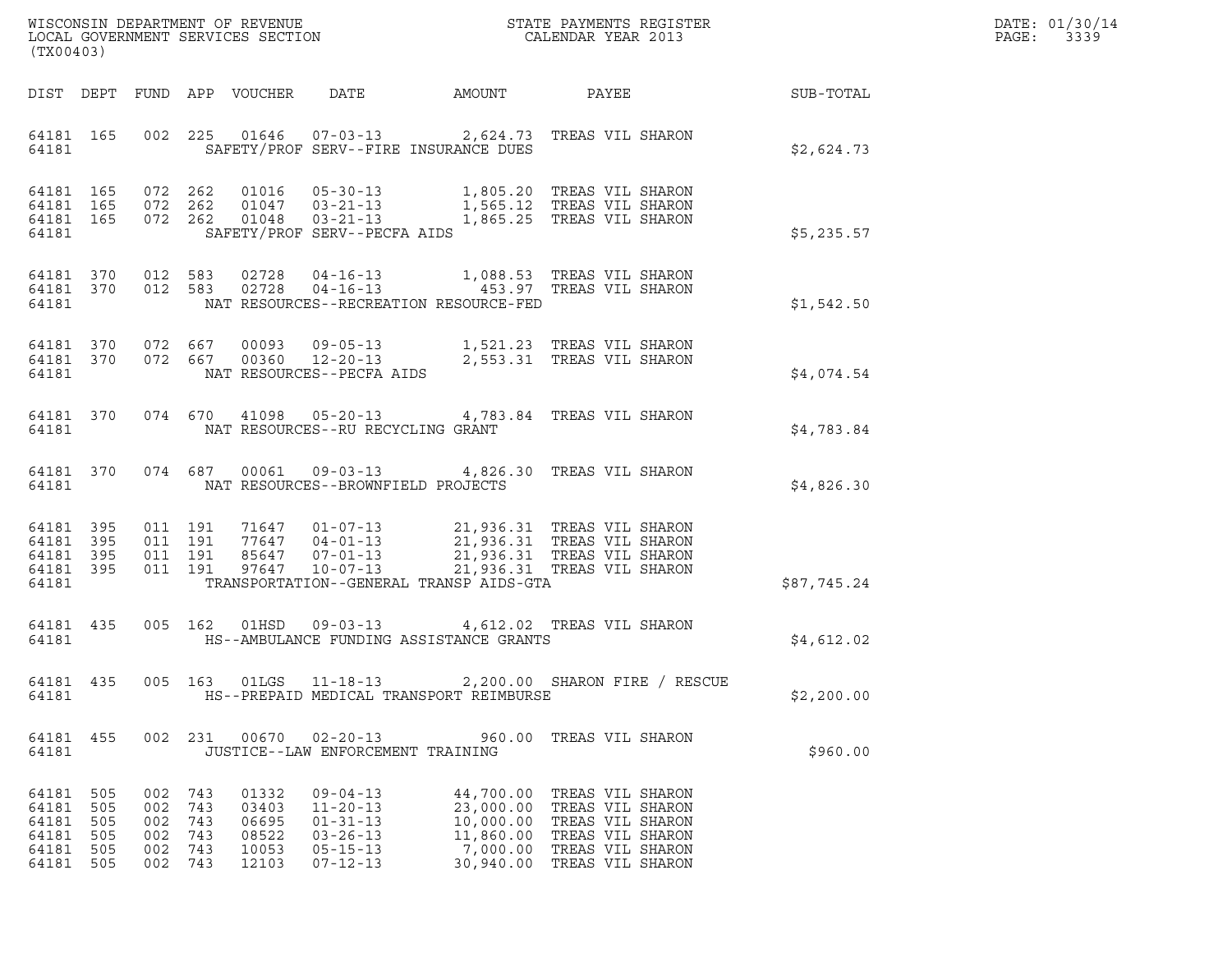| WISCONSIN DEPARTMENT OF REVENUE   | STATE PAYMENTS REGISTER | DATE: 01/30/14 |
|-----------------------------------|-------------------------|----------------|
| LOCAL GOVERNMENT SERVICES SECTION | CALENDAR YEAR 2013      | 3339<br>PAGE:  |

| (TX00403)                                          |                                        |                                                |                          |                                                    |                                                                                                          | WISCONSIN DEPARTMENT OF REVENUE<br>LOCAL GOVERNMENT SERVICES SECTION<br>CALENDAR YEAR 2013                                                                                                                                                                                                                                 |                               |             | DATE: 01/30/14<br>PAGE: 3339 |
|----------------------------------------------------|----------------------------------------|------------------------------------------------|--------------------------|----------------------------------------------------|----------------------------------------------------------------------------------------------------------|----------------------------------------------------------------------------------------------------------------------------------------------------------------------------------------------------------------------------------------------------------------------------------------------------------------------------|-------------------------------|-------------|------------------------------|
|                                                    |                                        |                                                |                          |                                                    |                                                                                                          |                                                                                                                                                                                                                                                                                                                            |                               |             |                              |
| 64181                                              |                                        |                                                |                          |                                                    |                                                                                                          | 64181 165 002 225 01646 07-03-13 2,624.73 TREAS VIL SHARON<br>SAFETY/PROF SERV--FIRE INSURANCE DUES                                                                                                                                                                                                                        |                               | \$2,624.73  |                              |
| 64181                                              |                                        |                                                |                          |                                                    | SAFETY/PROF SERV--PECFA AIDS                                                                             | $\begin{array}{cccccc} 64181 & 165 & 072 & 262 & 01016 & 05-30-13 & & 1,805.20 & \text{TREAS VII} & \text{SHARON} \\ 64181 & 165 & 072 & 262 & 01047 & 03-21-13 & & 1,565.12 & \text{TREAS VII} & \text{SHARON} \\ 64181 & 165 & 072 & 262 & 01048 & 03-21-13 & & 1,865.25 & \text{TREAS VII} & \text{SHARON} \end{array}$ |                               | \$5,235.57  |                              |
| 64181                                              |                                        |                                                |                          |                                                    |                                                                                                          | 64181 370 012 583 02728 04-16-13 1,088.53 TREAS VIL SHARON<br>64181 370 012 583 02728 04-16-13 453.97 TREAS VIL SHARON<br>NAT RESOURCES--RECREATION RESOURCE-FED                                                                                                                                                           |                               | \$1,542.50  |                              |
| 64181                                              |                                        |                                                |                          |                                                    | NAT RESOURCES--PECFA AIDS                                                                                | $\begin{array}{cccccc} 64181 & 370 & 072 & 667 & 00093 & 09\texttt{-}05\texttt{-}13 & & 1,521.23 & \texttt{TREAS} & \texttt{VIL SHARON} \\ 64181 & 370 & 072 & 667 & 00360 & 12\texttt{-}20\texttt{-}13 & & 2,553.31 & \texttt{TREAS} & \texttt{VIL SHARON} \end{array}$                                                   |                               | \$4,074.54  |                              |
| 64181                                              |                                        |                                                |                          |                                                    | NAT RESOURCES--RU RECYCLING GRANT                                                                        | 64181 370 074 670 41098 05-20-13 4,783.84 TREAS VIL SHARON                                                                                                                                                                                                                                                                 |                               | \$4,783.84  |                              |
| 64181                                              |                                        |                                                |                          |                                                    | NAT RESOURCES--BROWNFIELD PROJECTS                                                                       | 64181 370 074 687 00061 09-03-13 4,826.30 TREAS VIL SHARON                                                                                                                                                                                                                                                                 |                               | \$4,826.30  |                              |
| 64181 395<br>64181 395<br>64181<br>64181           | 395<br>64181 395                       | 011 191<br>011 191                             | 011 191<br>011 191       |                                                    |                                                                                                          | 71647  01-07-13  21,936.31 TREAS VIL SHARON<br>77647  04-01-13  21,936.31 TREAS VIL SHARON<br>85647  07-01-13  21,936.31 TREAS VIL SHARON<br>97647  10-07-13  21,936.31 TREAS VIL SHARON<br>TRANSPORTATION--GENERAL TRANSP AIDS-GTA                                                                                        |                               | \$87,745.24 |                              |
| 64181                                              |                                        |                                                |                          |                                                    |                                                                                                          | 64181 435 005 162 01HSD 09-03-13 4,612.02 TREAS VIL SHARON<br>HS--AMBULANCE FUNDING ASSISTANCE GRANTS                                                                                                                                                                                                                      |                               | \$4,612.02  |                              |
| 64181                                              |                                        |                                                |                          |                                                    | 64181  435  005  163  01LGS  11-18-13                                                                    | HS--PREPAID MEDICAL TRANSPORT REIMBURSE                                                                                                                                                                                                                                                                                    | 2,200.00 SHARON FIRE / RESCUE | \$2,200.00  |                              |
| 64181 455<br>64181                                 |                                        |                                                |                          |                                                    | JUSTICE--LAW ENFORCEMENT TRAINING                                                                        | 002 231 00670 02-20-13 960.00 TREAS VIL SHARON                                                                                                                                                                                                                                                                             |                               | \$960.00    |                              |
| 64181<br>64181<br>64181<br>64181<br>64181<br>64181 | 505<br>505<br>505<br>505<br>505<br>505 | 002 743<br>002<br>002<br>002<br>002<br>002 743 | 743<br>743<br>743<br>743 | 01332<br>03403<br>06695<br>08522<br>10053<br>12103 | $09 - 04 - 13$<br>$11 - 20 - 13$<br>$01 - 31 - 13$<br>$03 - 26 - 13$<br>$05 - 15 - 13$<br>$07 - 12 - 13$ | 44,700.00 TREAS VIL SHARON<br>23,000.00 TREAS VIL SHARON<br>10,000.00 TREAS VIL SHARON<br>11,860.00 TREAS VIL SHARON<br>7,000.00 TREAS VIL SHARON<br>30,940.00 TREAS VIL SHARON                                                                                                                                            |                               |             |                              |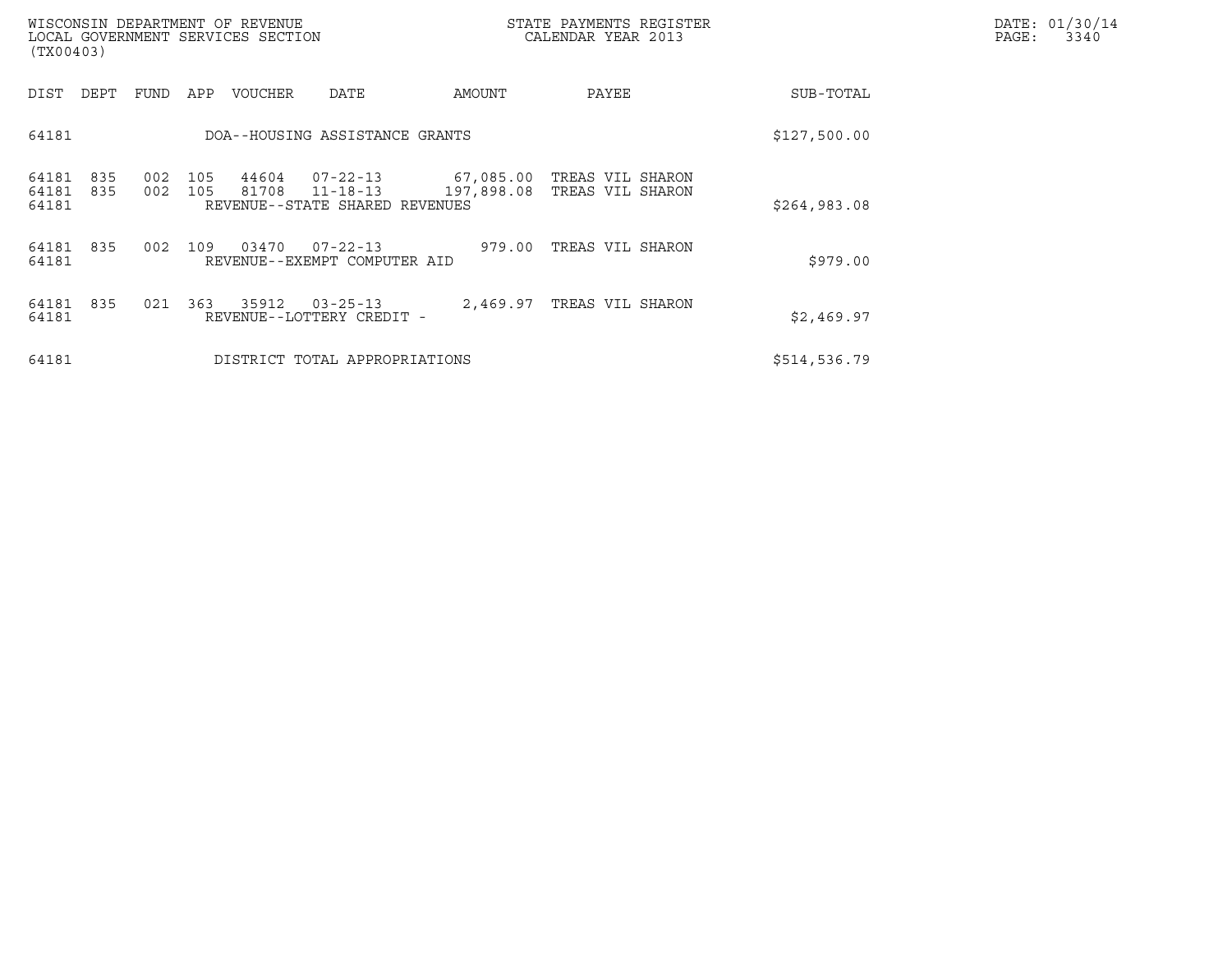| (TX00403)               |            |            |            | WISCONSIN DEPARTMENT OF REVENUE<br>LOCAL GOVERNMENT SERVICES SECTION |                                                                    |            | STATE PAYMENTS REGISTER<br>CALENDAR YEAR 2013  |              | DATE: 01/30/14<br>PAGE:<br>3340 |
|-------------------------|------------|------------|------------|----------------------------------------------------------------------|--------------------------------------------------------------------|------------|------------------------------------------------|--------------|---------------------------------|
| DIST                    | DEPT       | FUND       | APP        | VOUCHER                                                              | DATE                                                               | AMOUNT     | PAYEE                                          | SUB-TOTAL    |                                 |
| 64181                   |            |            |            |                                                                      | DOA--HOUSING ASSISTANCE GRANTS                                     |            |                                                | \$127,500.00 |                                 |
| 64181<br>64181<br>64181 | 835<br>835 | 002<br>002 | 105<br>105 | 44604<br>81708                                                       | $07 - 22 - 13$<br>$11 - 18 - 13$<br>REVENUE--STATE SHARED REVENUES | 197,898.08 | 67,085.00 TREAS VIL SHARON<br>TREAS VIL SHARON | \$264,983.08 |                                 |
| 64181<br>64181          | 835        | 002        | 109        | 03470                                                                | $07 - 22 - 13$<br>REVENUE--EXEMPT COMPUTER AID                     | 979.00     | TREAS VIL SHARON                               | \$979.00     |                                 |
| 64181<br>64181          | 835        | 021        | 363        | 35912                                                                | $03 - 25 - 13$<br>REVENUE--LOTTERY CREDIT -                        |            | 2,469.97 TREAS VIL SHARON                      | \$2,469.97   |                                 |
| 64181                   |            |            |            |                                                                      | DISTRICT TOTAL APPROPRIATIONS                                      |            |                                                | \$514,536.79 |                                 |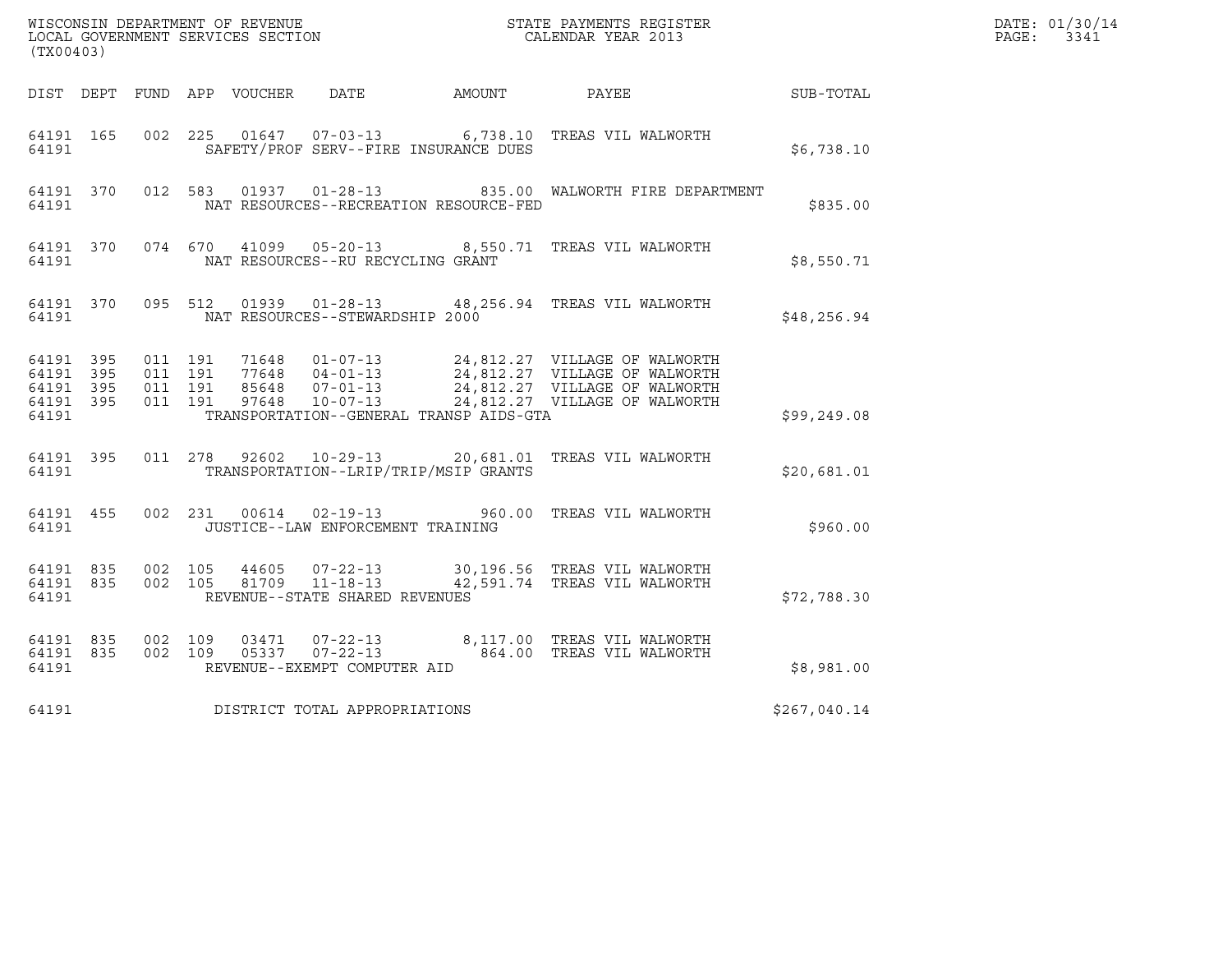| (TX00403)                                    |           |                                              |         |  |                                                             |                                         | ${\tt WISCONSIM\ DEPARTMENT\ OF\ REVENUE}\qquad \qquad {\tt STATE\ PAYMENTS\ REGISTER} \\ {\tt LOCAL\ GOVERNMENT\ SERVICES\ SECTION}\qquad \qquad {\tt CALENDAR\ YEAR\ 2013}$                            | DATE: 01/30/14<br>PAGE: 3341 |  |
|----------------------------------------------|-----------|----------------------------------------------|---------|--|-------------------------------------------------------------|-----------------------------------------|----------------------------------------------------------------------------------------------------------------------------------------------------------------------------------------------------------|------------------------------|--|
|                                              |           | DIST DEPT FUND APP VOUCHER DATE AMOUNT PAYEE |         |  |                                                             |                                         | <b>SUB-TOTAL</b>                                                                                                                                                                                         |                              |  |
| 64191 165<br>64191                           |           |                                              | 002 225 |  |                                                             | SAFETY/PROF SERV--FIRE INSURANCE DUES   | 01647  07-03-13   6,738.10   TREAS VIL WALWORTH                                                                                                                                                          | \$6,738.10                   |  |
| 64191                                        | 64191 370 |                                              |         |  |                                                             | NAT RESOURCES--RECREATION RESOURCE-FED  | 012 583 01937 01-28-13 835.00 WALWORTH FIRE DEPARTMENT                                                                                                                                                   | \$835.00                     |  |
| 64191                                        |           |                                              |         |  | NAT RESOURCES--RU RECYCLING GRANT                           |                                         | 64191 370 074 670 41099 05-20-13 8,550.71 TREAS VIL WALWORTH                                                                                                                                             | \$8,550.71                   |  |
| 64191                                        | 64191 370 |                                              |         |  | NAT RESOURCES--STEWARDSHIP 2000                             |                                         | 095 512 01939 01-28-13 48,256.94 TREAS VIL WALWORTH                                                                                                                                                      | \$48,256.94                  |  |
| 64191 395<br>64191 395<br>64191 395<br>64191 | 64191 395 | 011 191<br>011 191<br>011 191<br>011 191     |         |  |                                                             | TRANSPORTATION--GENERAL TRANSP AIDS-GTA | 71648  01-07-13  24,812.27  VILLAGE OF WALWORTH<br>77648  04-01-13  24,812.27  VILLAGE OF WALWORTH<br>85648  07-01-13  24,812.27  VILLAGE OF WALWORTH<br>97648  10-07-13  24,812.27  VILLAGE OF WALWORTH | \$99,249.08                  |  |
| 64191                                        | 64191 395 |                                              |         |  |                                                             | TRANSPORTATION--LRIP/TRIP/MSIP GRANTS   | 011  278  92602  10-29-13  20,681.01  TREAS VIL WALWORTH                                                                                                                                                 | \$20,681.01                  |  |
| 64191 455<br>64191                           |           |                                              |         |  | 002 231 00614 02-19-13<br>JUSTICE--LAW ENFORCEMENT TRAINING |                                         | 960.00 TREAS VIL WALWORTH                                                                                                                                                                                | \$960.00                     |  |
| 64191                                        | 64191 835 | 64191 835 002 105<br>002 105                 |         |  | REVENUE--STATE SHARED REVENUES                              |                                         | 44605  07-22-13  30,196.56  TREAS VIL WALWORTH<br>81709  11-18-13  42,591.74  TREAS VIL WALWORTH                                                                                                         | \$72,788.30                  |  |
| 64191 835<br>64191                           | 64191 835 | 002 109<br>002 109                           |         |  | REVENUE--EXEMPT COMPUTER AID                                |                                         | 8,117.00 TREAS VIL WALWORTH<br>05337  07-22-13  664.00 TREAS VIL WALWORTH                                                                                                                                | \$8,981.00                   |  |
| 64191                                        |           |                                              |         |  | DISTRICT TOTAL APPROPRIATIONS                               |                                         |                                                                                                                                                                                                          | \$267,040.14                 |  |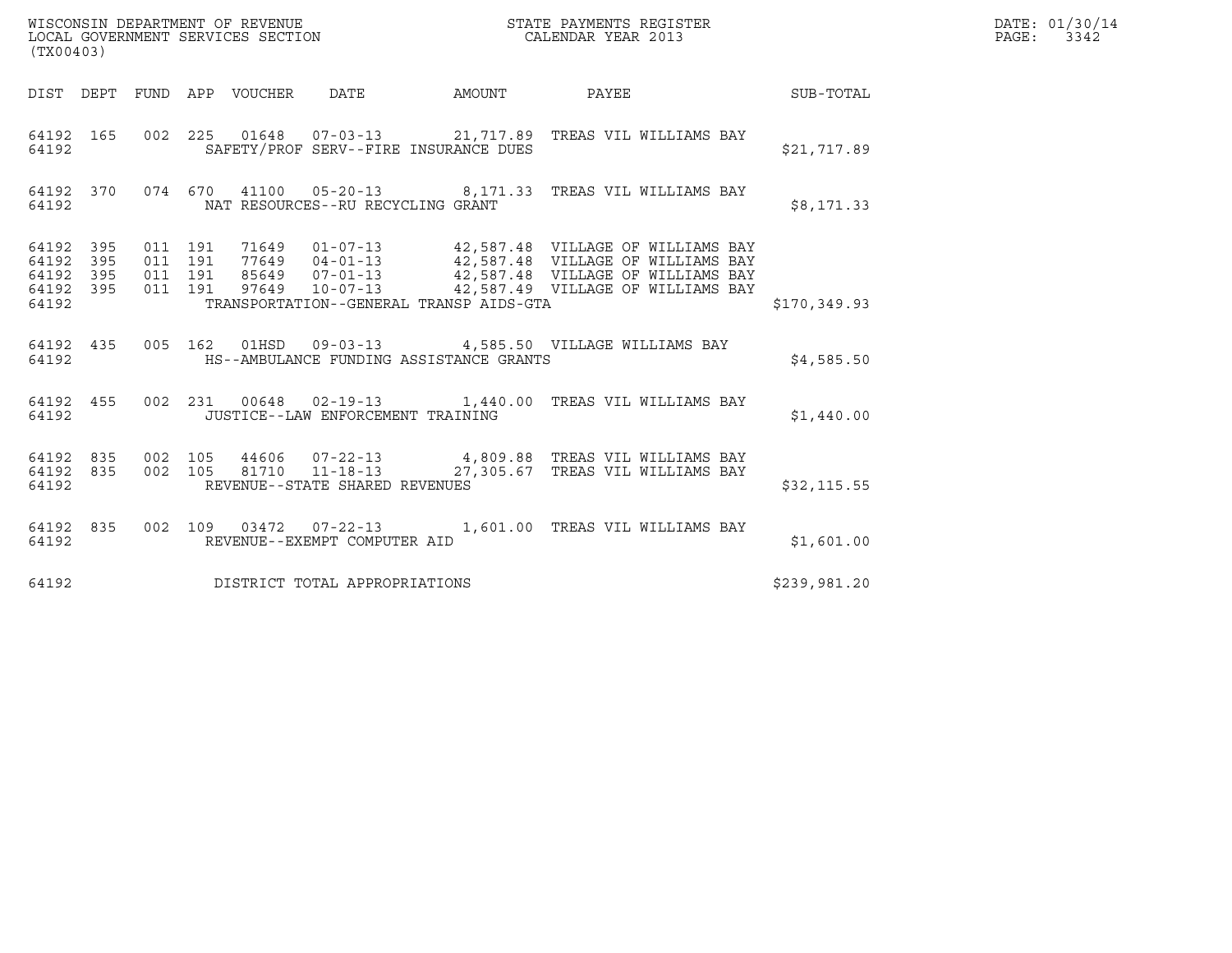| (TX00403)                                                 |                                          |  |                                         | WISCONSIN DEPARTMENT OF REVENUE ${\small \begin{array}{ll} \texttt{STATE} \texttt{ PAYMENTS} \texttt{ REGISTER} \\ \texttt{COLEDAR} \texttt{YEAR} \texttt{2013} \end{array}}$                                            |              | DATE: 01/30/14<br>PAGE: 3342 |
|-----------------------------------------------------------|------------------------------------------|--|-----------------------------------------|--------------------------------------------------------------------------------------------------------------------------------------------------------------------------------------------------------------------------|--------------|------------------------------|
|                                                           |                                          |  |                                         | DIST DEPT FUND APP VOUCHER DATE AMOUNT PAYEE THE SUB-TOTAL                                                                                                                                                               |              |                              |
| 64192                                                     |                                          |  | SAFETY/PROF SERV--FIRE INSURANCE DUES   | 64192 165 002 225 01648 07-03-13 21,717.89 TREAS VIL WILLIAMS BAY                                                                                                                                                        | \$21,717.89  |                              |
| 64192                                                     |                                          |  | NAT RESOURCES--RU RECYCLING GRANT       | 64192 370 074 670 41100 05-20-13 8,171.33 TREAS VIL WILLIAMS BAY                                                                                                                                                         | \$8,171.33   |                              |
| 64192 395<br>64192 395<br>64192 395<br>64192 395<br>64192 | 011 191<br>011 191<br>011 191<br>011 191 |  | TRANSPORTATION--GENERAL TRANSP AIDS-GTA | 71649  01-07-13  42,587.48  VILLAGE OF WILLIAMS BAY<br>77649  04-01-13  42,587.48  VILLAGE OF WILLIAMS BAY<br>85649  07-01-13  42,587.48  VILLAGE OF WILLIAMS BAY<br>97649  10-07-13  42,587.49  VILLAGE OF WILLIAMS BAY | \$170,349.93 |                              |
| 64192                                                     |                                          |  | HS--AMBULANCE FUNDING ASSISTANCE GRANTS | 64192 435 005 162 01HSD 09-03-13 4,585.50 VILLAGE WILLIAMS BAY                                                                                                                                                           | \$4,585.50   |                              |
|                                                           |                                          |  | 64192 JUSTICE--LAW ENFORCEMENT TRAINING | 64192 455 002 231 00648 02-19-13 1,440.00 TREAS VIL WILLIAMS BAY                                                                                                                                                         | \$1,440.00   |                              |
| 64192                                                     |                                          |  | REVENUE--STATE SHARED REVENUES          | 64192 835 002 105 44606 07-22-13 4,809.88 TREAS VIL WILLIAMS BAY<br>64192 835 002 105 81710 11-18-13 27,305.67 TREAS VIL WILLIAMS BAY                                                                                    | \$32, 115.55 |                              |
| 64192                                                     |                                          |  | REVENUE--EXEMPT COMPUTER AID            | 64192 835 002 109 03472 07-22-13 1,601.00 TREAS VIL WILLIAMS BAY                                                                                                                                                         | \$1,601.00   |                              |
| 64192                                                     |                                          |  | DISTRICT TOTAL APPROPRIATIONS           |                                                                                                                                                                                                                          | \$239,981.20 |                              |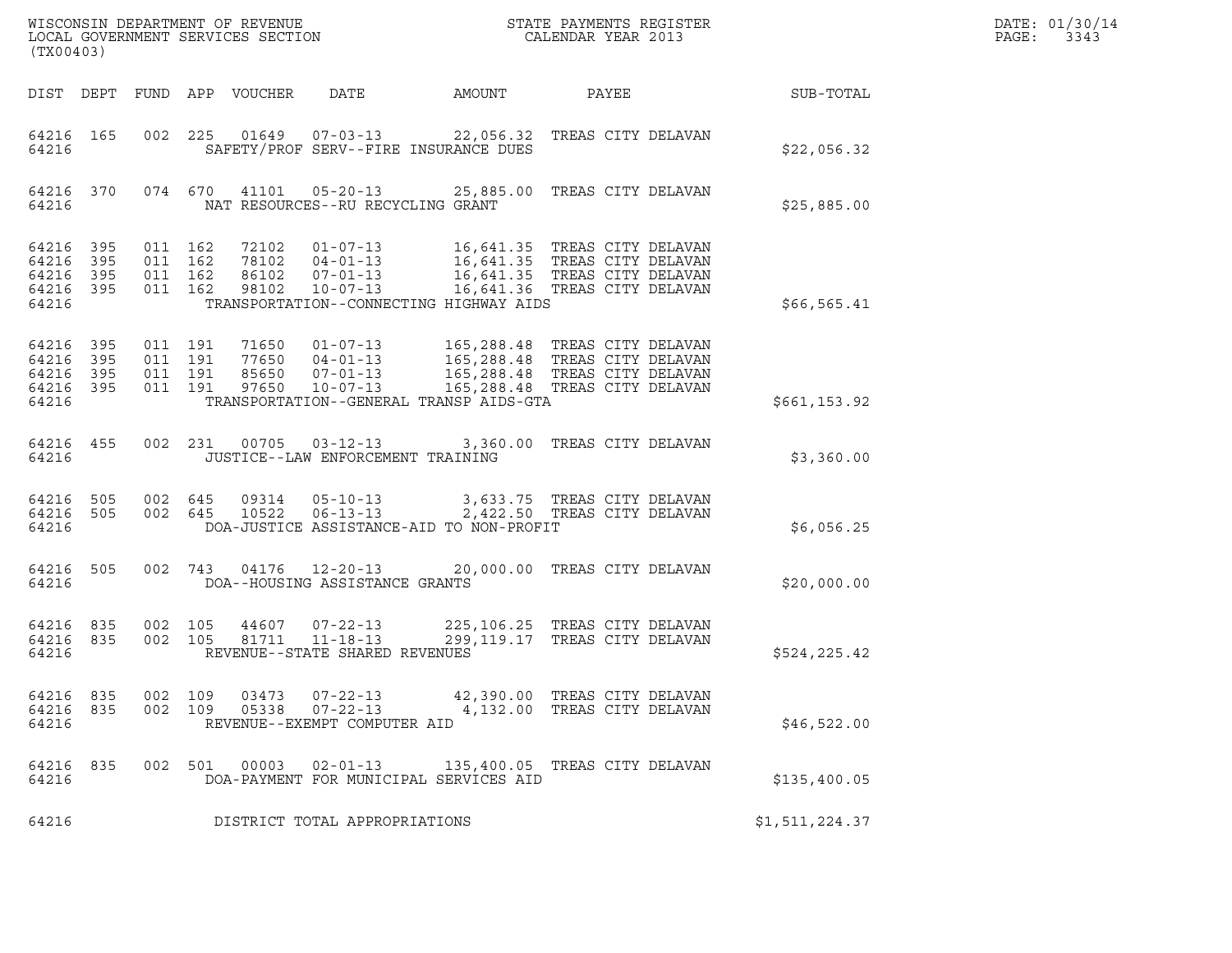| (TX00403)                                 |                            |                               |                    |                                  | WISCONSIN DEPARTMENT OF REVENUE<br>LOCAL GOVERNMENT SERVICES SECTION                                            |        | STATE PAYMENTS REGISTER<br>CALENDAR YEAR 2013                                                                                    |                | DATE: 01/30/14<br>PAGE:<br>3343 |
|-------------------------------------------|----------------------------|-------------------------------|--------------------|----------------------------------|-----------------------------------------------------------------------------------------------------------------|--------|----------------------------------------------------------------------------------------------------------------------------------|----------------|---------------------------------|
| DIST DEPT                                 |                            |                               |                    | FUND APP VOUCHER                 | DATE                                                                                                            | AMOUNT | PAYEE                                                                                                                            | SUB-TOTAL      |                                 |
| 64216 165<br>64216                        |                            | 002                           | 225                |                                  | 01649  07-03-13<br>SAFETY/PROF SERV--FIRE INSURANCE DUES                                                        |        | 22,056.32 TREAS CITY DELAVAN                                                                                                     | \$22,056.32    |                                 |
| 64216 370<br>64216                        |                            |                               | 074 670            | 41101                            | $05 - 20 - 13$<br>NAT RESOURCES--RU RECYCLING GRANT                                                             |        | 25,885.00 TREAS CITY DELAVAN                                                                                                     | \$25,885.00    |                                 |
| 64216<br>64216<br>64216<br>64216<br>64216 | 395<br>395<br>395<br>- 395 | 011 162<br>011 162<br>011 162 | 011 162            | 72102<br>78102<br>86102<br>98102 | $01 - 07 - 13$<br>$04 - 01 - 13$<br>$07 - 01 - 13$<br>10-07-13<br>TRANSPORTATION--CONNECTING HIGHWAY AIDS       |        | 16,641.35 TREAS CITY DELAVAN<br>16,641.35 TREAS CITY DELAVAN<br>16,641.35 TREAS CITY DELAVAN<br>16,641.36 TREAS CITY DELAVAN     | \$66, 565.41   |                                 |
| 64216<br>64216<br>64216<br>64216<br>64216 | 395<br>395<br>395<br>395   | 011 191<br>011 191            | 011 191<br>011 191 | 97650                            | 71650 01-07-13<br>77650 04-01-13<br>85650 07-01-13<br>$10 - 07 - 13$<br>TRANSPORTATION--GENERAL TRANSP AIDS-GTA |        | 165,288.48 TREAS CITY DELAVAN<br>165,288.48 TREAS CITY DELAVAN<br>165,288.48 TREAS CITY DELAVAN<br>165,288.48 TREAS CITY DELAVAN | \$661, 153.92  |                                 |
| 64216 455<br>64216                        |                            |                               | 002 231            | 00705                            | $03 - 12 - 13$<br>JUSTICE--LAW ENFORCEMENT TRAINING                                                             |        | 3,360.00 TREAS CITY DELAVAN                                                                                                      | \$3,360.00     |                                 |
| 64216 505<br>64216<br>64216               | 505                        | 002 645                       | 002 645            | 09314<br>10522                   | $05 - 10 - 13$<br>$06 - 13 - 13$<br>DOA-JUSTICE ASSISTANCE-AID TO NON-PROFIT                                    |        | 3,633.75 TREAS CITY DELAVAN<br>2,422.50 TREAS CITY DELAVAN                                                                       | \$6,056.25     |                                 |
| 64216<br>64216                            | 505                        |                               | 002 743            | 04176                            | $12 - 20 - 13$<br>DOA--HOUSING ASSISTANCE GRANTS                                                                |        | 20,000.00 TREAS CITY DELAVAN                                                                                                     | \$20,000.00    |                                 |
| 64216 835<br>64216<br>64216               | 835                        |                               | 002 105<br>002 105 | 44607<br>81711                   | $07 - 22 - 13$<br>$11 - 18 - 13$<br>REVENUE--STATE SHARED REVENUES                                              |        | 225,106.25 TREAS CITY DELAVAN<br>299,119.17 TREAS CITY DELAVAN                                                                   | \$524,225.42   |                                 |
| 64216<br>64216<br>64216                   | 835<br>835                 |                               | 002 109<br>002 109 | 03473<br>05338                   | $07 - 22 - 13$<br>$07 - 22 - 13$<br>REVENUE--EXEMPT COMPUTER AID                                                |        | 42,390.00 TREAS CITY DELAVAN<br>4,132.00 TREAS CITY DELAVAN                                                                      | \$46,522.00    |                                 |
| 64216<br>64216                            | 835                        |                               | 002 501            | 00003                            | $02 - 01 - 13$<br>DOA-PAYMENT FOR MUNICIPAL SERVICES AID                                                        |        | 135,400.05 TREAS CITY DELAVAN                                                                                                    | \$135,400.05   |                                 |
| 64216                                     |                            |                               |                    |                                  | DISTRICT TOTAL APPROPRIATIONS                                                                                   |        |                                                                                                                                  | \$1,511,224.37 |                                 |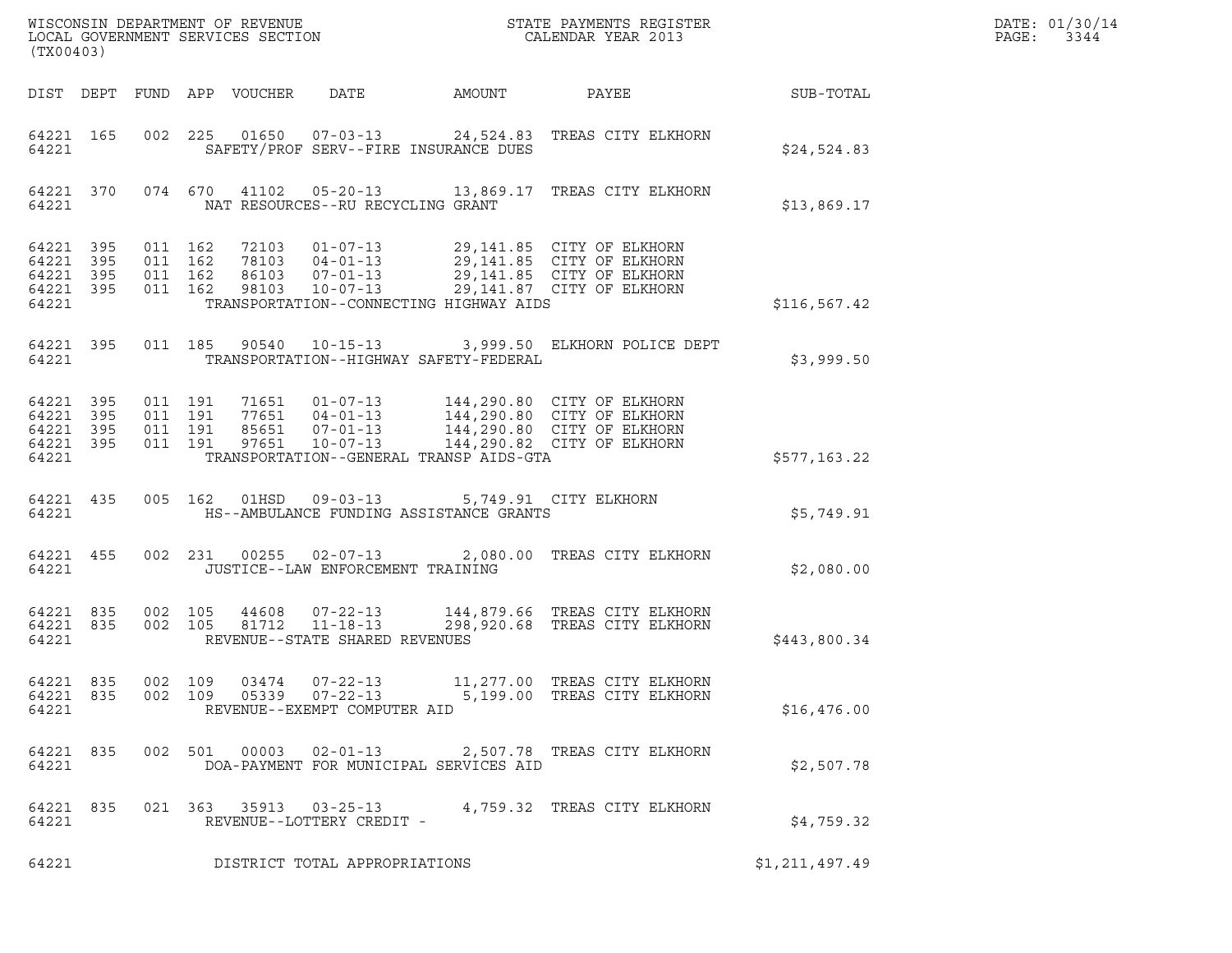| DATE: | 01/30/14 |
|-------|----------|
| PAGE: | 3344     |

| (TX00403)                                                 |     |         |                                          |                            |                                                                    |                                         |                                                                                                                                                                                                                      |                | DATE: 01/30/14<br>$\mathtt{PAGE}$ :<br>3344 |
|-----------------------------------------------------------|-----|---------|------------------------------------------|----------------------------|--------------------------------------------------------------------|-----------------------------------------|----------------------------------------------------------------------------------------------------------------------------------------------------------------------------------------------------------------------|----------------|---------------------------------------------|
|                                                           |     |         |                                          | DIST DEPT FUND APP VOUCHER | DATE                                                               | <b>AMOUNT</b>                           | PAYEE                                                                                                                                                                                                                | SUB-TOTAL      |                                             |
| 64221 165<br>64221                                        |     |         |                                          |                            |                                                                    | SAFETY/PROF SERV--FIRE INSURANCE DUES   | 002 225 01650 07-03-13 24,524.83 TREAS CITY ELKHORN                                                                                                                                                                  | \$24,524.83    |                                             |
| 64221 370<br>64221                                        |     |         |                                          |                            | NAT RESOURCES--RU RECYCLING GRANT                                  |                                         | 074 670 41102 05-20-13 13,869.17 TREAS CITY ELKHORN                                                                                                                                                                  | \$13,869.17    |                                             |
| 64221 395<br>64221<br>64221 395<br>64221 395<br>64221     | 395 | 011 162 | 011 162<br>011 162<br>011 162            |                            |                                                                    | TRANSPORTATION--CONNECTING HIGHWAY AIDS | 72103  01-07-13  29,141.85  CITY OF ELKHORN                                                                                                                                                                          | \$116, 567.42  |                                             |
| 64221 395<br>64221                                        |     |         | 011 185                                  |                            |                                                                    | TRANSPORTATION--HIGHWAY SAFETY-FEDERAL  | 90540  10-15-13  3,999.50  ELKHORN POLICE DEPT                                                                                                                                                                       | \$3,999.50     |                                             |
| 64221 395<br>64221 395<br>64221 395<br>64221 395<br>64221 |     |         | 011 191<br>011 191<br>011 191<br>011 191 |                            |                                                                    | TRANSPORTATION--GENERAL TRANSP AIDS-GTA | 71651    01-07-13    144,290.80    CITY OF ELKHORN<br>77651    04-01-13    144,290.80    CITY OF ELKHORN<br>85651    07-01-13    144,290.80    CITY OF ELKHORN<br>97651    10-07-13    144,290.82    CITY OF ELKHORN | \$577,163.22   |                                             |
| 64221 435<br>64221                                        |     |         |                                          |                            | 005 162 01HSD 09-03-13                                             | HS--AMBULANCE FUNDING ASSISTANCE GRANTS | 5,749.91 CITY ELKHORN                                                                                                                                                                                                | \$5,749.91     |                                             |
| 64221 455<br>64221                                        |     |         |                                          |                            | 002 231 00255 02-07-13<br>JUSTICE--LAW ENFORCEMENT TRAINING        |                                         | 2,080.00 TREAS CITY ELKHORN                                                                                                                                                                                          | \$2,080.00     |                                             |
| 64221 835<br>64221 835<br>64221                           |     |         | 002 105<br>002 105                       | 44608<br>81712             | $07 - 22 - 13$<br>$11 - 18 - 13$<br>REVENUE--STATE SHARED REVENUES |                                         | 144,879.66 TREAS CITY ELKHORN<br>298,920.68 TREAS CITY ELKHORN                                                                                                                                                       | \$443,800.34   |                                             |
| 64221 835<br>64221 835<br>64221                           |     | 002 109 | 002 109                                  | 03474<br>05339             | $07 - 22 - 13$<br>$07 - 22 - 13$<br>REVENUE--EXEMPT COMPUTER AID   |                                         | 11,277.00 TREAS CITY ELKHORN<br>5,199.00 TREAS CITY ELKHORN                                                                                                                                                          | \$16,476.00    |                                             |
| 64221 835<br>64221                                        |     |         |                                          | 002 501 00003              | $02 - 01 - 13$                                                     | DOA-PAYMENT FOR MUNICIPAL SERVICES AID  | 2,507.78 TREAS CITY ELKHORN                                                                                                                                                                                          | \$2,507.78     |                                             |
| 64221 835<br>64221                                        |     |         |                                          |                            | 021 363 35913 03-25-13<br>REVENUE--LOTTERY CREDIT -                |                                         | 4,759.32 TREAS CITY ELKHORN                                                                                                                                                                                          | \$4,759.32     |                                             |
| 64221                                                     |     |         |                                          |                            | DISTRICT TOTAL APPROPRIATIONS                                      |                                         |                                                                                                                                                                                                                      | \$1,211,497.49 |                                             |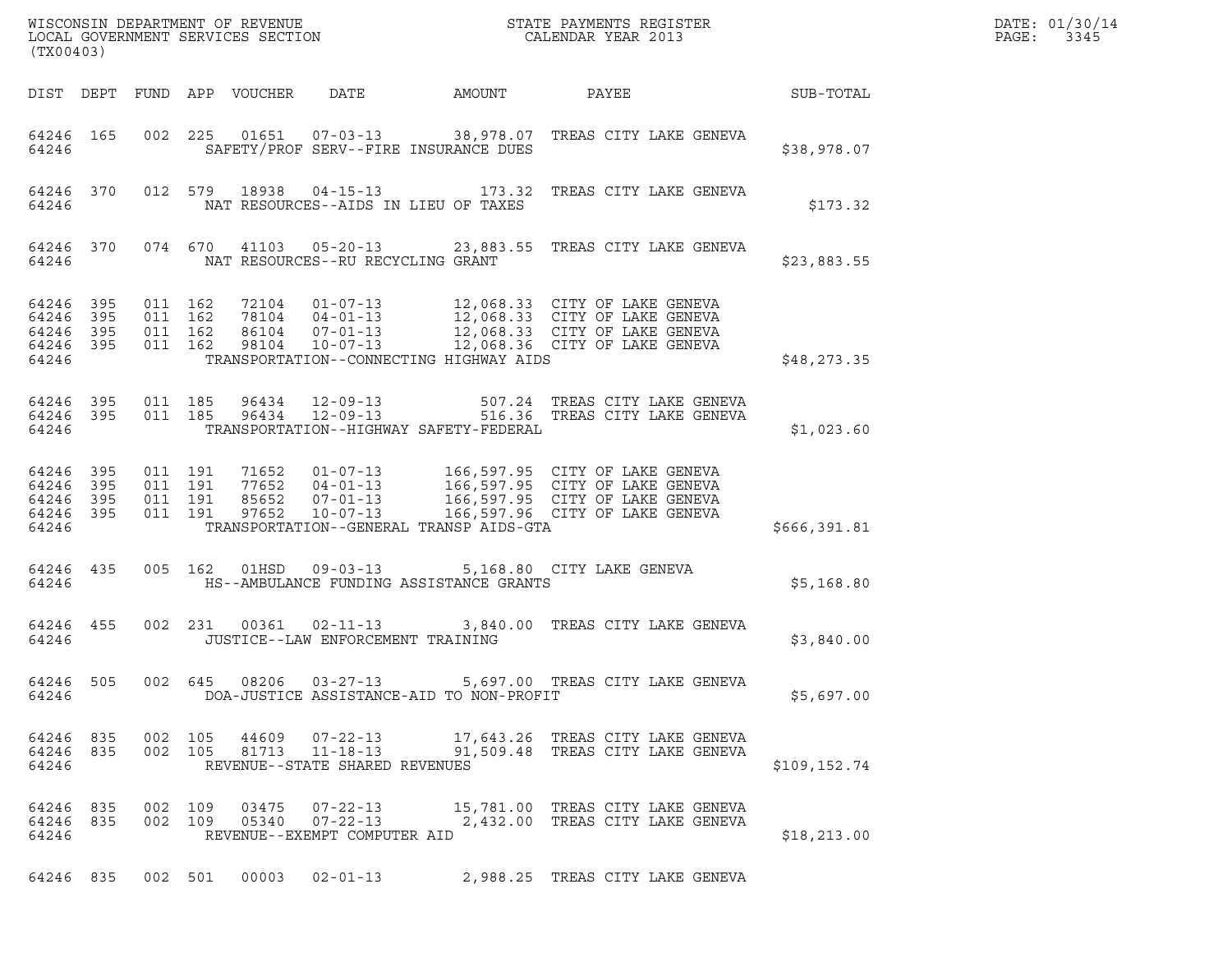| ${\tt WISCOONSIM\ DEPARTMENT\ OF\ REVENUE}\qquad \qquad {\tt STATE\ PAYMENTS\ REGISTER\ LOCAL\ GOVERNMENT\ SERVICES\ SECTION\qquad \qquad {\tt CALENDAR\ YEAR\ 2013}$<br>(TX00403) |                                                                                                                                                                                                          |                                         | DATE: 01/30/14<br>PAGE:<br>3345 |
|------------------------------------------------------------------------------------------------------------------------------------------------------------------------------------|----------------------------------------------------------------------------------------------------------------------------------------------------------------------------------------------------------|-----------------------------------------|---------------------------------|
| DATE<br>DIST DEPT FUND APP VOUCHER                                                                                                                                                 | AMOUNT                                                                                                                                                                                                   | <b>PAYEE</b> FOR THE PAYEE<br>SUB-TOTAL |                                 |
| 64246 165<br>64246<br>SAFETY/PROF SERV--FIRE INSURANCE DUES                                                                                                                        | 002 225 01651 07-03-13 38,978.07 TREAS CITY LAKE GENEVA                                                                                                                                                  | \$38,978.07                             |                                 |
| 64246 370<br>64246<br>NAT RESOURCES--AIDS IN LIEU OF TAXES                                                                                                                         | 012 579 18938 04-15-13 173.32 TREAS CITY LAKE GENEVA                                                                                                                                                     | \$173.32                                |                                 |
| 64246 370<br>NAT RESOURCES--RU RECYCLING GRANT<br>64246                                                                                                                            | 074 670 41103 05-20-13 23,883.55 TREAS CITY LAKE GENEVA                                                                                                                                                  | \$23,883.55                             |                                 |
| 64246 395<br>011 162<br>64246 395<br>011 162<br>011 162<br>64246 395<br>011 162<br>64246 395<br>64246<br>TRANSPORTATION--CONNECTING HIGHWAY AIDS                                   | 72104  01-07-13  12,068.33  CITY OF LAKE GENEVA<br>78104  04-01-13  12,068.33  CITY OF LAKE GENEVA<br>86104  07-01-13  12,068.33  CITY OF LAKE GENEVA<br>98104  10-07-13  12,068.36  CITY OF LAKE GENEVA | \$48,273.35                             |                                 |
| 64246 395<br>64246 395<br>64246<br>TRANSPORTATION--HIGHWAY SAFETY-FEDERAL                                                                                                          | 011 185 96434 12-09-13 507.24 TREAS CITY LAKE GENEVA<br>011 185 96434 12-09-13 516.36 TREAS CITY LAKE GENEVA                                                                                             | \$1,023.60                              |                                 |
| 64246 395<br>64246 395<br>011 191<br>011 191<br>64246 395<br>011 191<br>97652<br>$10 - 07 - 13$<br>64246 395<br>TRANSPORTATION--GENERAL TRANSP AIDS-GTA<br>64246                   | 011 191 71652 01-07-13 166,597.95 CITY OF LAKE GENEVA<br>166,597.96 CITY OF LAKE GENEVA                                                                                                                  | \$666, 391.81                           |                                 |
| 005 162 01HSD 09-03-13<br>64246 435<br>HS--AMBULANCE FUNDING ASSISTANCE GRANTS<br>64246                                                                                            | 5,168.80 CITY LAKE GENEVA                                                                                                                                                                                | \$5,168.80                              |                                 |
| 002 231 00361 02-11-13<br>64246 455<br>64246<br>JUSTICE--LAW ENFORCEMENT TRAINING                                                                                                  | 3,840.00 TREAS CITY LAKE GENEVA                                                                                                                                                                          | \$3,840.00                              |                                 |
| 64246 505<br>64246<br>DOA-JUSTICE ASSISTANCE-AID TO NON-PROFIT                                                                                                                     | 002 645 08206 03-27-13 5,697.00 TREAS CITY LAKE GENEVA                                                                                                                                                   | \$5,697.00                              |                                 |
| 64246 835<br>002 105 44609<br>64246 835<br>002 105 81713 11-18-13<br>REVENUE--STATE SHARED REVENUES<br>64246                                                                       | 07-22-13 17,643.26 TREAS CITY LAKE GENEVA<br>91,509.48 TREAS CITY LAKE GENEVA                                                                                                                            | \$109, 152.74                           |                                 |
| 64246 835<br>002 109 03475<br>$07 - 22 - 13$<br>$07 - 22 - 13$<br>64246 835<br>002 109<br>05340<br>64246<br>REVENUE--EXEMPT COMPUTER AID                                           | 15,781.00 TREAS CITY LAKE GENEVA<br>2,432.00 TREAS CITY LAKE GENEVA                                                                                                                                      | \$18, 213.00                            |                                 |
| 64246 835 002 501 00003 02-01-13                                                                                                                                                   | 2,988.25 TREAS CITY LAKE GENEVA                                                                                                                                                                          |                                         |                                 |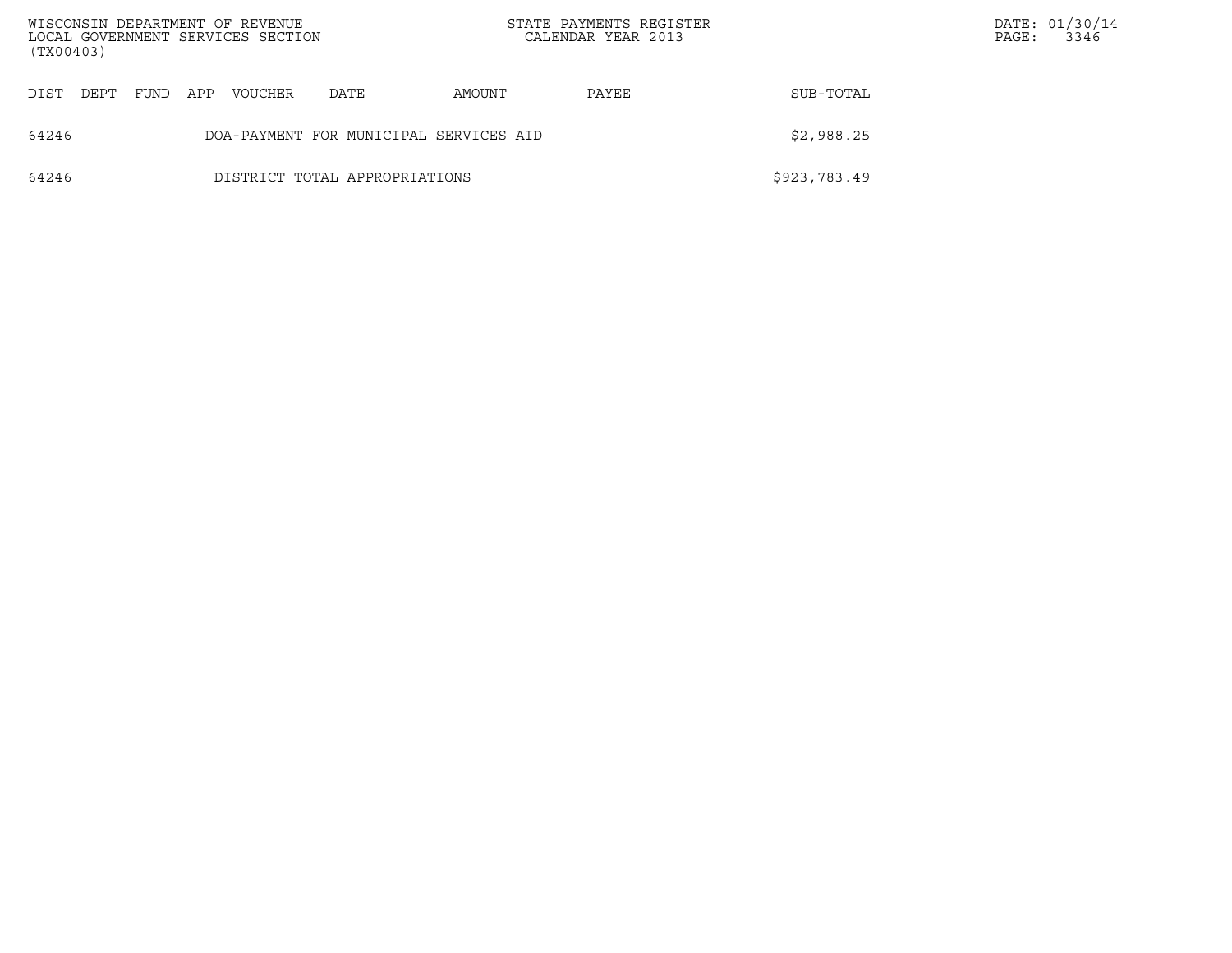| (TX00403) |                                                      |      |     | WISCONSIN DEPARTMENT OF REVENUE<br>LOCAL GOVERNMENT SERVICES SECTION |                               |        | STATE PAYMENTS REGISTER<br>CALENDAR YEAR 2013 |              | PAGE: | DATE: 01/30/14<br>3346 |
|-----------|------------------------------------------------------|------|-----|----------------------------------------------------------------------|-------------------------------|--------|-----------------------------------------------|--------------|-------|------------------------|
| DIST      | DEPT                                                 | FUND | APP | VOUCHER                                                              | DATE                          | AMOUNT | PAYEE                                         | SUB-TOTAL    |       |                        |
| 64246     | \$2,988.25<br>DOA-PAYMENT FOR MUNICIPAL SERVICES AID |      |     |                                                                      |                               |        |                                               |              |       |                        |
| 64246     |                                                      |      |     |                                                                      | DISTRICT TOTAL APPROPRIATIONS |        |                                               | \$923,783.49 |       |                        |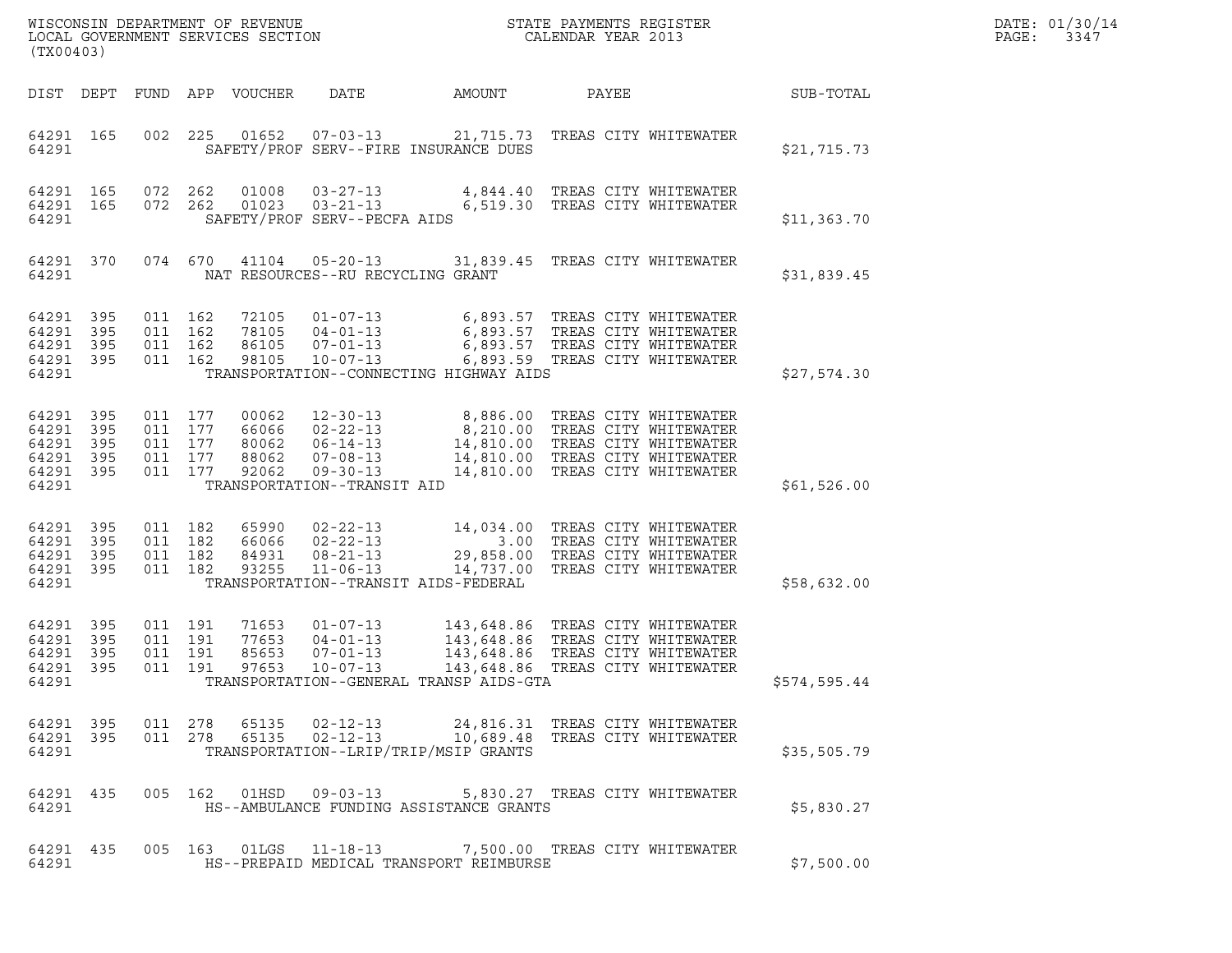| (TX00403)                                                      |              |                                                     | WISCONSIN DEPARTMENT OF REVENUE<br>LOCAL GOVERNMENT SERVICES SECTION |                                           |                                                                      |                                                                                                                                                                                                            | STATE PAYMENTS REGISTER<br>CALENDAR YEAR 2013                      |              | DATE: 01/30/14<br>PAGE:<br>3347 |
|----------------------------------------------------------------|--------------|-----------------------------------------------------|----------------------------------------------------------------------|-------------------------------------------|----------------------------------------------------------------------|------------------------------------------------------------------------------------------------------------------------------------------------------------------------------------------------------------|--------------------------------------------------------------------|--------------|---------------------------------|
|                                                                |              |                                                     | DIST DEPT FUND APP VOUCHER                                           |                                           | DATE                                                                 | AMOUNT                                                                                                                                                                                                     | PAYEE                                                              | SUB-TOTAL    |                                 |
| 64291 165<br>64291                                             |              | 002 225                                             |                                                                      |                                           | $01652$ $07-03-13$                                                   | 21,715.73 TREAS CITY WHITEWATER<br>SAFETY/PROF SERV--FIRE INSURANCE DUES                                                                                                                                   |                                                                    | \$21,715.73  |                                 |
| 64291 165<br>64291 165<br>64291                                |              | 072 262<br>072 262                                  |                                                                      | 01008                                     | $01023$ $03-21-13$<br>SAFETY/PROF SERV--PECFA AIDS                   | 03-27-13 4,844.40 TREAS CITY WHITEWATER                                                                                                                                                                    | 6,519.30 TREAS CITY WHITEWATER                                     | \$11,363.70  |                                 |
| 64291 370<br>64291                                             |              |                                                     |                                                                      |                                           | NAT RESOURCES--RU RECYCLING GRANT                                    | 074 670 41104 05-20-13 31,839.45 TREAS CITY WHITEWATER                                                                                                                                                     |                                                                    | \$31,839.45  |                                 |
| 64291 395<br>64291 395<br>64291<br>64291 395<br>64291          | - 395        | 011 162<br>011 162<br>011 162<br>011 162            |                                                                      | 72105<br>78105<br>86105<br>98105          | 10-07-13                                                             | 01-07-13 6,893.57 TREAS CITY WHITEWATER<br>04-01-13 6,893.57 TREAS CITY WHITEWATER<br>07-01-13 6,893.57 TREAS CITY WHITEWATER<br>6,893.59 TREAS CITY WHITEWATER<br>TRANSPORTATION--CONNECTING HIGHWAY AIDS |                                                                    | \$27,574.30  |                                 |
| 64291 395<br>64291<br>64291 395<br>64291<br>64291 395<br>64291 | 395<br>- 395 | 011 177<br>011 177<br>011 177<br>011 177<br>011 177 |                                                                      | 00062<br>66066<br>80062<br>88062<br>92062 | $07 - 08 - 13$<br>$09 - 30 - 13$<br>TRANSPORTATION--TRANSIT AID      | 12-30-13 8,886.00 TREAS CITY WHITEWATER<br>14,810.00 TREAS CITY WHITEWATER                                                                                                                                 | 14,810.00 TREAS CITY WHITEWATER                                    | \$61,526.00  |                                 |
| 64291 395<br>64291<br>64291 395<br>64291 395<br>64291          | 395          | 011 182<br>011 182<br>011 182<br>011 182            |                                                                      | 65990<br>66066<br>84931<br>93255          | $08 - 21 - 13$<br>$11 - 06 - 13$                                     | 02-22-13 14,034.00 TREAS CITY WHITEWATER<br>02-22-13 3.00 TREAS CITY WHITEWATER<br>02-22-13 68.00 TREAS CITY WHITEWATER<br>TRANSPORTATION--TRANSIT AIDS-FEDERAL                                            | 29,858.00 TREAS CITY WHITEWATER<br>14,737.00 TREAS CITY WHITEWATER | \$58,632.00  |                                 |
| 64291 395<br>64291 395<br>64291<br>64291 395<br>64291          | - 395        | 011 191<br>011 191<br>011 191<br>011 191            |                                                                      | 71653<br>77653<br>85653<br>97653          | $01 - 07 - 13$<br>$04 - 01 - 13$<br>$07 - 01 - 13$<br>$10 - 07 - 13$ | 143,648.86 TREAS CITY WHITEWATER<br>143,648.86 TREAS CITY WHITEWATER<br>143,648.86 TREAS CITY WHITEWATER<br>143,648.86 TREAS CITY WHITEWATER<br>TRANSPORTATION--GENERAL TRANSP AIDS-GTA                    |                                                                    | \$574,595.44 |                                 |
| 64291                                                          |              |                                                     |                                                                      |                                           |                                                                      | 64291 395 011 278 65135 02-12-13 24,816.31 TREAS CITY WHITEWATER<br>64291 395 011 278 65135 02-12-13 10,689.48 TREAS CITY WHITEWATER<br>TRANSPORTATION--LRIP/TRIP/MSIP GRANTS                              |                                                                    | \$35,505.79  |                                 |
| 64291                                                          |              |                                                     |                                                                      |                                           |                                                                      | 64291 435 005 162 01HSD 09-03-13 5,830.27 TREAS CITY WHITEWATER<br>HS--AMBULANCE FUNDING ASSISTANCE GRANTS                                                                                                 |                                                                    | \$5,830.27   |                                 |
| 64291                                                          |              |                                                     |                                                                      |                                           |                                                                      | 64291 435 005 163 01LGS 11-18-13 7,500.00 TREAS CITY WHITEWATER<br>HS--PREPAID MEDICAL TRANSPORT REIMBURSE                                                                                                 |                                                                    | \$7,500.00   |                                 |